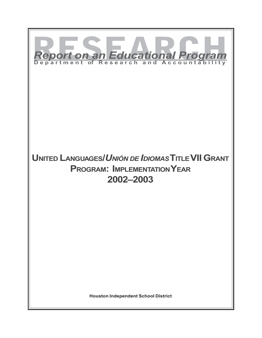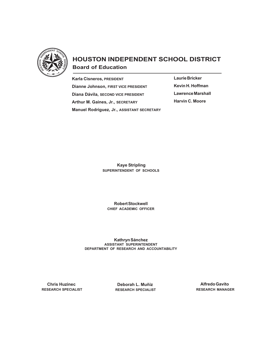

# **HOUSTON INDEPENDENT SCHOOL DISTRICT Board of Education**

**Karla Cisneros, PRESIDENT Dianne Johnson, FIRST VICE PRESIDENT Diana Dávila, SECOND VICE PRESIDENT Arthur M. Gaines, Jr., SECRETARY Manuel Rodríguez, Jr., ASSISTANT SECRETARY** **Laurie Bricker Kevin H. Hoffman Lawrence Marshall Harvin C. Moore**

 **Kaye Stripling SUPERINTENDENT OF SCHOOLS**

**Robert Stockwell CHIEF ACADEMIC OFFICER**

**Kathryn Sánchez ASSISTANT SUPERINTENDENT DEPARTMENT OF RESEARCH AND ACCOUNTABILITY**

 **Chris Huzinec RESEARCH SPECIALIST**

 **Deborah L. Muñiz RESEARCH SPECIALIST**

**Alfredo Gavito RESEARCH MANAGER**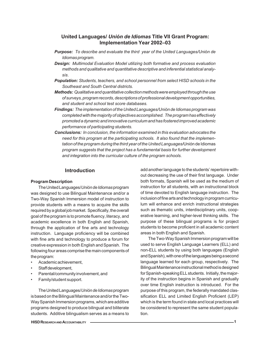## **United Languages/** *Unión de Idiomas* **Title VII Grant Program: Implementation Year 2002–03**

- *Purpose: To describe and evaluate the third year of the United Languages/Unión de Idiomas program.*
- *Design: Multimodal Evaluation Model utilizing both formative and process evaluation methods and qualitative and quantitative descriptive and inferential statistical analysis.*
- *Population: Students, teachers, and school personnel from select HISD schools in the Southeast and South Central districts.*
- *Methods: Qualitative and quantitative collection methods were employed through the use of surveys, program records, descriptions of professional development opportunities, and student and school test score databases.*
- *Findings: The implementation of the United Languages/Unión de Idiomas program was completed with the majority of objectives accomplished. The program has effectively promoted a dynamic and innovative curriculum and has fostered improved academic performance of participating students.*
- *Conclusions: In conclusion, the information examined in this evaluation advocates the need for this program at the participating schools. It also found that the implementation of the program during the third year of the United Languages/*Unión de Idiomas *program suggests that the project has a fundamental basis for further development and integration into the curricular culture of the program schools.*

## **Introduction**

#### **Program Description**

The United Languages/*Unión de Idiomas* program was designed to use Bilingual Maintenance and/or a Two-Way Spanish Immersion model of instruction to provide students with a means to acquire the skills required by a global job market. Specifically, the overall goal of the program is to promote fluency, literacy, and academic excellence in both English and Spanish, through the application of fine arts and technology instruction. Language proficiency will be combined with fine arts and technology to produce a forum for creative expression in both English and Spanish. The following four areas comprise the main components of the program:

- Academic achievement,
- Staff development,
- Parental/community involvement, and
- Family/student support.

The United Languages/*Unión de Idiomas* program is based on the Bilingual Maintenance and/or the Two-Way Spanish Immersion programs, which are additive programs designed to produce bilingual and biliterate students. Additive bilingualism serves as a means to

**HISD RESEARCH AND ACCOUNTABILITY 1**

add another language to the students' repertoire without decreasing the use of their first language. Under both formats, Spanish will be used as the medium of instruction for all students, with an instructional block of time devoted to English language instruction. The inclusion of fine arts and technology in program curriculum will enhance and enrich instructional strategies such as thematic units, interdisciplinary units, cooperative learning, and higher-level thinking skills. The purpose of these bilingual programs is for project students to become proficient in all academic content areas in both English and Spanish.

The Two-Way Spanish Immersion program will be used to serve English Language Learners (ELL) and non-ELL students by using both languages (English and Spanish), with one of the languages being a second language learned for each group, respectively. The Bilingual Maintenance instructional method is designed for Spanish-speaking ELL students. Initially, the majority of the instruction begins in Spanish and gradually over time English instruction is introduced. For the purpose of this program, the federally mandated classification ELL and Limited English Proficient (LEP) which is the term found in state and local practices will be considered to represent the same student population.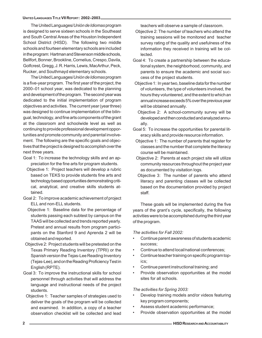The United Languages/*Unión de Idiomas* program is designed to serve sixteen schools in the Southeast and South Central Areas of the Houston Independent School District (HISD). The following two middle schools and fourteen elementary schools are included in the program: Hartman and Stevenson middle schools, Bellfort, Bonner, Brookline, Cornelius, Crespo, Davila, Golfcrest, Gregg, J. R. Harris, Lewis, MacArthur, Peck, Rucker, and Southmayd elementary schools.

The United Languages/*Unión de Idiomas* program is a five-year program. The first year of the project, the 2000–01 school year, was dedicated to the planning and development of the program. The second year was dedicated to the initial implementation of program objectives and activities. The current year (year three) was designed to continue implementation of the bilingual, technology, and fine arts components of the grant at the classroom and schoolwide level as well as continuing to provide professional development opportunities and promote community and parental involvement. The following are the specific goals and objectives that the project is designed to accomplish over the next three years.

- Goal 1: To increase the technology skills and an appreciation for the fine arts for program students.
	- Objective 1: Project teachers will develop a rubric based on TEKS to provide students fine arts and technology based opportunities demonstrating critical, analytical, and creative skills students attained.
- Goal 2: To improve academic achievement of project ELL and non-ELL students.
	- Objective 1: Baseline data for the percentage of students passing each subtest by campus on the TAAS will be collected and trends reported yearly. Pretest and annual results from program participants on the Stanford 9 and Aprenda 2 will be obtained and reported.
- Objective 2: Project students will be pretested on the Texas Primary Reading Inventory (TPRI) or the Spanish version the Tejas-Lee Reading Inventory (Tejas-Lee), and on the Reading Proficiency Test in English (RPTE).
- Goal 3: To improve the instructional skills for school personnel through activities that will address the language and instructional needs of the project students.
- Objective 1: Teacher samples of strategies used to deliver the goals of the program will be collected and examined. In addition, a copy of a teacher observation checklist will be collected and lead

teachers will observe a sample of classroom.

- Objective 2: The number of teachers who attend the training sessions will be monitored and teacher survey rating of the quality and usefulness of the information they received in training will be collected.
- Goal 4: To create a partnership between the educational system, the neighborhood, community, and parents to ensure the academic and social success of the project students.
- Objective 1: In year two, baseline data for the number of volunteers, the type of volunteers involved, the hours they volunteered, and the extent to which an annual increase exceeds 5% over the previous year will be obtained annually.
- Objective 2: A school-community survey will be developed and then conducted and analyzed annually.
- Goal 5: To increase the opportunities for parental literacy skills and provide resource information.
- Objective 1: The number of parents that register for classes and the number that complete the literacy course will be maintained.
- Objective 2: Parents at each project site will utilize community resources throughout the project year as documented by visitation logs.
- Objective 3: The number of parents who attend literacy and parenting classes will be collected based on the documentation provided by project staff.

These goals will be implemented during the five years of the grant's cycle, specifically, the following activities were to be accomplished during the third year of the program.

*The activities for Fall 2002:*

- Continue parent awareness of students academic success;
- Continue to attend local/national conferences;
- Continue teacher training on specific program topics;
- Continue parent instructional training; and
- Provide observation opportunities at the model sites for all schools.

*The activities for Spring 2003:*

- Develop training models and/or videos featuring key program components;
- Assess student academic performance;
- Provide observation opportunities at the model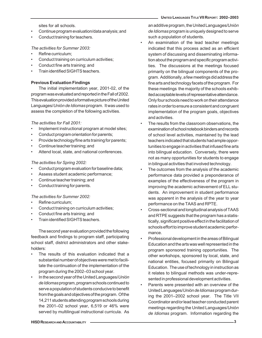sites for all schools.

- Continue program evaluation/data analysis; and
- Conduct training for teachers.

#### *The activities for Summer 2003:*

- Refine curriculum:
- Conduct training on curriculum activities;
- Conduct fine arts training; and
- Train identified SIGHTS teachers.

#### **Previous Evaluation Findings**

The initial implementation year, 2001-02, of the program was evaluated and reported in the Fall of 2002. This evaluation provided a formative picture of the United Languages/*Unión de Idiomas* program. It was used to assess the completion of the following activities.

*The activities for Fall 2001:*

- Implement instructional program at model sites;
- Conduct program orientation for parents;
- Provide technology/fine arts training for parents;
- Continue teacher training; and
- Attend local, state, and national conferences.

#### *The activities for Spring 2002:*

- Conduct program evaluation for baseline data;
- Assess student academic performance;
- Continue teacher training; and
- Conduct training for parents.

#### *The activities for Summer 2002:*

- Refine curriculum;
- Conduct training on curriculum activities;
- Conduct fine arts training; and
- Train identified SIGHTS teachers.

The second year evaluation provided the following feedback and findings to program staff, participating school staff, district administrators and other stakeholders:

- The results of this evaluation indicated that a substantial number of objectives were met to facilitate the continuation of the implementation of the program during the 2002–03 school year.
- In the second year of the United Languages/*Unión de Idiomas* program, program schools continued to serve a population of students conducive to benefit from the goals and objectives of the program. Of the 14,211 students attending program schools during the 2001–02 school year, 6,519 or 46% were served by multilingual instructional curricula. As

an additive program, the United Languages/*Unión de Idiomas* program is uniquely designed to serve such a population of students.

- An examination of the lead teacher meetings indicated that this process acted as an efficient system of discussing and disseminating information about the program and specific program activities. The discussions at the meetings focused primarily on the bilingual components of the program. Additionally, a few meetings did address the fine arts and technology facets of the program. For these meetings the majority of the schools exhibited acceptable levels of representative attendance. Only four schools need to work on their attendance rates in order to ensure a consistent and congruent implementation of the program goals, objectives and activities.
- The results from the classroom observations, the examination of school notebook binders and records of school level activities, maintained by the lead teachers indicated that students had ample opportunities to engage in activities that infused fine arts into bilingual education. Conversely, there were not as many opportunities for students to engage in bilingual activities that involved technology.
- The outcomes from the analysis of the academic performance data provided a preponderance of examples of the effectiveness of the program in improving the academic achievement of ELL students. An improvement in student performance was apparent in the analysis of the year to year performance on the TAAS and RPTE.
- Cross-sectional and longitudinal analysis of TAAS and RTPE suggests that the program has a statistically, significant positive effect in the facilitation of schools effort to improve student academic performance.
- Professional development in the areas of Bilingual Education and the arts was well represented in the program sponsored training opportunities. The other workshops, sponsored by local, state, and national entities, focused primarily on Bilingual Education. The use of technology in instruction as it relates to bilingual methods was under-represented in professional development activities.
- Parents were presented with an overview of the United Languages/*Unión de Idiomas* program during the 2001–2002 school year. The Title VII Coordinator and/or lead teacher conducted parent meetings regarding the United Languages/*Unión de Idiomas* program. Information regarding the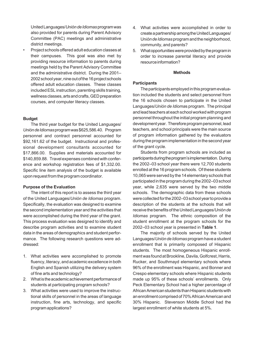United Languages/*Unión de Idiomas* program was also provided for parents during Parent Advisory Committee (PAC) meetings and administrative district meetings.

• Project schools offered adult education classes at their campuses. This goal was also met by providing resource information to parents during meetings held by the Parent Advisory Committee and the administrative district. During the 2001– 2002 school year, nine out of the 16 project schools offered adult education classes. These classes included ESL instruction, parenting skills training, wellness classes, arts and crafts, GED preparation courses, and computer literacy classes.

#### **Budget**

The third year budget for the United Languages/ *Unión de Idiomas* program was \$625,586.40. Program personnel and contract personnel accounted for \$92,161.62 of the budget. Instructional and professional development consultants accounted for \$17,866.00. Supplies and materials accounted for \$140,859.88. Travel expenses combined with conference and workshop registration fees of \$1,332.00. Specific line item analysis of the budget is available upon request from the program coordinator.

#### **Purpose of the Evaluation**

The intent of this report is to assess the third year of the United Languages/*Unión de Idiomas* program. Specifically, the evaluation was designed to examine the second implementation year and the activities that were accomplished during the third year of the grant. This process evaluation was designed to identify and describe program activities and to examine student data in the areas of demographics and student performance. The following research questions were addressed:

- 1. What activities were accomplished to promote fluency, literacy, and academic excellence in both English and Spanish utilizing the delivery system of fine arts and technology?
- 2. What is the academic achievement performance of students at participating program schools?
- 3. What activities were used to improve the instructional skills of personnel in the areas of language instruction, fine arts, technology, and specific program applications?
- 4. What activities were accomplished in order to create a partnership among the United Languages/ Un*ión de Idiomas* program and the neighborhood, community, and parents?
- 5. What opportunities were provided by the program in order to increase parental literacy and provide resource information?

#### **Methods**

#### **Participants**

The participants employed in this program evaluation included the students and select personnel from the 16 schools chosen to participate in the United Languages/*Unión de Idioma*s program. The principal and lead teachers at each school worked with program personnel throughout the initial program planning and development year. Therefore program personnel, lead teachers, and school principals were the main source of program information gathered by the evaluators during the program implementation in the second year of the grant cycle.

Students from program schools are included as participants during the program's implementation. During the 2002–03 school year there were 12,700 students enrolled at the 16 program schools. Of these students 10,065 were served by the 14 elementary schools that participated in the program during the 2002–03 school year, while 2,635 were served by the two middle schools. The demographic data from these schools were collected for the 2002–03 school year to provide a description of the students at the schools that will receive the benefits of the United Languages/*Unión de Idiomas* program. The ethnic composition of the student enrollment at the program schools for the 2002–03 school year is presented in **Table 1***.*

The majority of schools served by the United Languages/*Unión de Idiomas* program have a student enrollment that is primarily composed of Hispanic students. The most homogeneous Hispanic enrollment was found at Brookline, Davila, Golfcrest, Harris, Rucker, and Southmayd elementary schools where 96% of the enrollment was Hispanic, and Bonner and Crespo elementary schools where Hispanic students made up 95% of these schools' enrollments. Only Peck Elementary School had a higher percentage of African American students than Hispanic students with an enrollment comprised of 70% African American and 30% Hispanic. Stevenson Middle School had the largest enrollment of white students at 5%.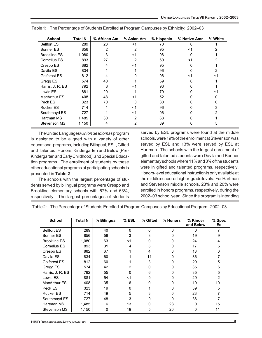| <b>School</b>       | <b>Total N</b> | % African Am | % Asian Am | % Hispanic | % Native Amr | % White |
|---------------------|----------------|--------------|------------|------------|--------------|---------|
| <b>Bellfort ES</b>  | 289            | 28           | <1         | 70         | $\Omega$     |         |
| Bonner ES           | 856            | 2            |            | 95         | <1           |         |
| <b>Brookline ES</b> | 1,080          | 3            | <1         | 96         | O            |         |
| Cornelius ES        | 893            | 27           | 2          | 69         | <1           |         |
| Crespo ES           | 882            | 4            | <1         | 95         | O            |         |
| Davila ES           | 834            |              |            | 96         | O            | 2       |
| Golfcrest ES        | 812            |              |            | 96         | <1           | <1      |
| Gregg ES            | 574            | 40           |            | 59         | 0            |         |
| Harris, J. R. ES    | 792            | 3            | <1         | 96         | 0            |         |
| Lewis ES            | 881            | 20           |            | 79         | 0            | <1      |
| <b>MacArthur ES</b> | 408            | 48           | <1         | 52         | 0            | 0       |
| Peck ES             | 323            | 70           |            | 30         |              |         |
| <b>Rucker ES</b>    | 714            |              | <1         | 96         |              | 3       |
| Southmayd ES        | 727            |              | <1         | 96         |              | 2       |
| Hartman MS          | 1,485          | 30           | 2          | 68         |              |         |
| Stevenson MS        | 1,150          | 4            | 2          | 89         | 0            | 5       |

Table 1: The Percentage of Students Enrolled at Program Campuses by Ethnicity: 2002–03

The United Languages/*Unión de Idiomas* program is designed to be aligned with a variety of other educational programs, including Bilingual, ESL, Gifted and Talented, Honors, Kindergarten and Below (Pre-Kindergarten and Early Childhood), and Special Education programs. The enrollment of students by these other educational programs at participating schools is presented in **Table 2**.

The schools with the largest percentage of students served by bilingual programs were Crespo and Brookline elementary schools with 67% and 63%, respectively. The largest percentages of students served by ESL programs were found at the middle schools, were 19% of the enrollment at Stevenson was served by ESL and 13% were served by ESL at Hartman. The schools with the largest enrollment of gifted and talented students were Davila and Bonner elementary schools where 11% and 8% of the students were in gifted and talented programs, respectively. Honors-level educational instruction is only available at the middle school or higher-grade levels. For Hartman and Stevenson middle schools, 23% and 20% were enrolled in honors programs, respectively, during the 2002–03 school year. Since the program is intending

Table 2: The Percentage of Students Enrolled at Program Campuses by Educational Program: 2002–03

| <b>School</b>       | <b>Total N</b> | % Bilingual | $%$ ESL      | % Gifted | % Honors | % Kinder<br>and Below | % Spec<br>Ed |
|---------------------|----------------|-------------|--------------|----------|----------|-----------------------|--------------|
| <b>Bellfort ES</b>  | 289            | 40          | $\mathbf{0}$ | 0        | 0        | $\Omega$              | 7            |
| Bonner ES           | 856            | 59          | 3            | 8        | 0        | 19                    | 9            |
| <b>Brookline ES</b> | 1,080          | 63          | $<$ 1        | 0        | 0        | 24                    | 4            |
| <b>Cornelius ES</b> | 893            | 31          | 4            | 5        | 0        | 17                    | 5            |
| Crespo ES           | 882            | 67          |              | 4        | 0        | 18                    | 6            |
| Davila ES           | 834            | 60          |              | 11       | 0        | 36                    |              |
| Golfcrest ES        | 812            | 60          |              | 3        | 0        | 29                    | 5            |
| Gregg ES            | 574            | 42          | 2            | 0        | 0        | 35                    | 6            |
| Harris, J. R. ES    | 792            | 55          | 0            | 6        | 0        | 35                    | 5            |
| Lewis ES            | 881            | 54          | $<$ 1        | 0        | 0        | 29                    | 2            |
| <b>MacArthur ES</b> | 408            | 35          | 6            | 0        | 0        | 19                    | 10           |
| Peck ES             | 323            | 19          | 0            |          | 0        | 39                    | 5            |
| <b>Rucker ES</b>    | 714            | 49          | 5            | 3        | 0        | 23                    |              |
| Southmayd ES        | 727            | 48          | 3            | 0        | 0        | 36                    |              |
| Hartman MS          | 1,485          | 6           | 13           | 0        | 23       | 0                     | 15           |
| Stevenson MS        | 1,150          | 0           | 19           | 5        | 20       | 0                     | 11           |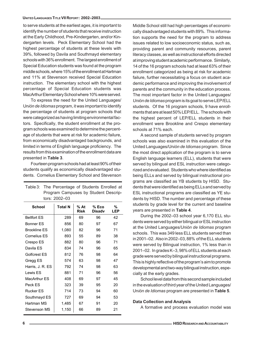#### **UNITED LANGUAGES TITLE VII REPORT: 2002–2003**

to serve students at the earliest ages, it is important to identify the number of students that receive instruction at the Early Childhood, Pre-Kindergarten, and/or Kindergarten levels. Peck Elementary School had the highest percentage of students at these levels with 39%, followed by Davila and Southmayd elementary schools with 36% enrollment. The largest enrollment of Special Education students was found at the program middle schools, where 15% of the enrollment at Hartman and 11% at Stevenson received Special Education instruction. The elementary school with the highest percentage of Special Education students was MacArthur Elementary School where 10% were served.

To express the need for the United Languages/ Un*ión de Idiomas* program, it was important to identify the percentage of students at program schools that were categorized as having limiting environmental factors. Specifically, the student enrollment at the program schools was examined to determine the percentage of students that were at risk for academic failure, from economically disadvantaged backgrounds, and limited in terms of English language proficiency. The results from this examination of the enrollment data are presented in **Table 3**.

Fourteen program schools had at least 90% of their students qualify as economically disadvantaged students. Cornelius Elementary School and Stevenson

|                     | tors: 2002–03  |              |                        |          |
|---------------------|----------------|--------------|------------------------|----------|
| <b>School</b>       | <b>Total N</b> | % At<br>Risk | % Eco<br><b>Disadv</b> | %<br>LEP |
| <b>Bellfort FS</b>  | 289            | 69           | 96                     | 42       |
| <b>Bonner FS</b>    | 856            | 80           | 97                     | 67       |
| <b>Brookline FS</b> | 1,080          | 82           | 96                     | 71       |
| Cornelius FS        | 893            | 55           | 89                     | 38       |
| Crespo ES           | 882            | 80           | 96                     | 71       |
| Davila FS           | 834            | 74           | 96                     | 65       |
| Golfcrest ES        | 812            | 76           | 98                     | 64       |
| Gregg ES            | 574            | 63           | 98                     | 47       |
| Harris, J. R. ES    | 792            | 74           | 98                     | 63       |
| Lewis ES            | 881            | 71           | 96                     | 56       |
| MacArthur ES        | 408            | 69           | 97                     | 45       |
| Peck ES             | 323            | 39           | 95                     | 20       |
| <b>Rucker ES</b>    | 714            | 73           | 94                     | 60       |
| Southmayd ES        | 727            | 69           | 94                     | 53       |
| Hartman MS          | 1,485          | 67           | 91                     | 20       |
| Stevenson MS        | 1,150          | 66           | 89                     | 21       |

Table 3: The Percentage of Students Enrolled at Program Campuses by Student DescripMiddle School still had high percentages of economically disadvantaged students with 89%. This information supports the need for the program to address issues related to low socioeconomic status, such as, providing parent and community resources, parent literacy classes, as well as instructional efforts directed at improving student academic performance. Similarly, 14 of the 16 program schools had at least 63% of their enrollment categorized as being at risk for academic failure, further necessitating a focus on student academic performance and improving the involvement of parents and the community in the education process. The most important factor in the United Languages/ *Unión de Idiomas* program is its goal to serve LEP/ELL students. Of the 16 program schools, 9 have enrollments that are at least 50% LEP/ELL. The schools with the highest percent of LEP/ELL students in their enrollment were Brookline and Crespo elementary schools at 71% each.

A second sample of students served by program schools was also examined in this evaluation of the United Languages/Un*ión de Idiomas* program. Since the most direct application of the program is to serve English language learners (ELL), students that were served by bilingual and ESL instruction were categorized and evaluated. Students who where identified as being ELLs and served by bilingual instructional programs are classified as YB students by HISD. Students that were identified as being ELLs and served by ESL instructional programs are classified as YE students by HISD. The number and percentage of these students by grade level for the current and baseline years are presented in **Table 4**.

During the 2002–03 school year 6,170 ELL students were served by either bilingual or ESL instruction at the United Languages/*Unión de Idiomas* program schools. This was 349 less ELL students served than in 2001–02. Also in 2002–03, 88% of the ELL students were served by Bilingual instruction, 1% less than in 2001–02. In grades K–3, 98% of ELL students at each grade were served by bilingual instructional programs. This is highly reflective of the program's aim to promote developmental and two-way bilingual instruction, especially at the early grades.

School level data from this second sample included in the evaluation of third year of the United Languages/ Un*ión de Idiomas* program are presented in **Table 5**.

#### **Data Collection and Analysis**

A formative and process evaluation model was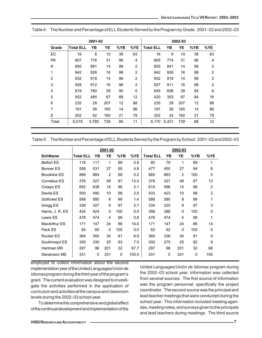|                |                  | 2001-02 |     |     |     |                  |       | 2002-03 |     |                |
|----------------|------------------|---------|-----|-----|-----|------------------|-------|---------|-----|----------------|
| Grade          | <b>Total ELL</b> | YB      | YE  | %YB | %YE | <b>Total ELL</b> | YΒ    | YE      | %YB | %YE            |
| EC             | 16               | 6       | 10  | 38  | 63  | 16               | 6     | 10      | 38  | 63             |
| <b>PK</b>      | 807              | 776     | 31  | 96  | 4   | 805              | 774   | 31      | 96  | 4              |
| K              | 895              | 881     | 14  | 98  | 2   | 855              | 841   | 14      | 98  | $\overline{2}$ |
| 1              | 942              | 926     | 16  | 98  | 2   | 942              | 926   | 16      | 98  | $\overline{2}$ |
| $\overline{2}$ | 932              | 918     | 14  | 98  | 2   | 932              | 918   | 14      | 98  | $\overline{2}$ |
| 3              | 928              | 912     | 16  | 98  | 2   | 927              | 911   | 16      | 98  | $\overline{2}$ |
| $\overline{4}$ | 819              | 780     | 39  | 95  | 5   | 645              | 606   | 39      | 94  | 6              |
| 5              | 552              | 485     | 67  | 88  | 12  | 420              | 353   | 67      | 84  | 16             |
| 6              | 235              | 28      | 207 | 12  | 88  | 235              | 28    | 207     | 12  | 88             |
| $\overline{7}$ | 191              | 26      | 165 | 14  | 86  | 191              | 26    | 165     | 14  | 86             |
| 8              | 202              | 42      | 160 | 21  | 79  | 202              | 42    | 160     | 21  | 79             |
| Total          | 6,519            | 5,780   | 739 | 89  | 11  | 6,170            | 5,431 | 739     | 88  | 12             |

Table 4: The Number and Percentage of ELL Students Served by the Program by Grade: 2001–02 and 2002–03

| Table 5: The Number and Percentage of ELL Students Served by the Program by School: 2001–02 and 2002–03 |  |
|---------------------------------------------------------------------------------------------------------|--|
|                                                                                                         |  |

|                     |                  |     | 2001-02 |     |       |                  |     | 2002-03        |              |                |
|---------------------|------------------|-----|---------|-----|-------|------------------|-----|----------------|--------------|----------------|
| <b>SchName</b>      | <b>Total ELL</b> | YΒ  | YE      | %YB | %YE   | <b>Total ELL</b> | YΒ  | YE             | %YB          | %YE            |
| <b>Belfort ES</b>   | 118              | 117 | 1       | 99  | 0.8   | 80               | 79  | 1              | 99           | 1              |
| <b>Bonner ES</b>    | 558              | 531 | 27      | 95  | 4.8   | 477              | 450 | 27             | 94           | 6              |
| <b>Brookline ES</b> | 886              | 884 | 2       | 99  | 0.2   | 885              | 883 | $\overline{2}$ | 100          | 0              |
| Cornelius ES        | 376              | 327 | 49      | 87  | 13.0  | 376              | 327 | 49             | 87           | 13             |
| Crespo ES           | 652              | 638 | 14      | 98  | 2.1   | 610              | 596 | 14             | 98           | $\overline{2}$ |
| Davila ES           | 500              | 490 | 10      | 98  | 2.0   | 433              | 423 | 10             | 98           | 2              |
| Golfcrest ES        | 588              | 580 | 8       | 99  | 1.4   | 588              | 580 | 8              | 99           | 1              |
| Gregg ES            | 336              | 327 | 9       | 97  | 2.7   | 334              | 325 | 9              | 97           | 3              |
| Harris, J. R. ES    | 424              | 424 | 0       | 100 | 0.0   | 388              | 388 | 0              | 100          | 0              |
| Lewis ES            | 478              | 474 | 4       | 99  | 0.8   | 478              | 474 | 4              | 99           | 1              |
| <b>MacArthur ES</b> | 171              | 147 | 24      | 86  | 14.0  | 171              | 147 | 24             | 86           | 14             |
| Peck ES             | 65               | 65  | 0       | 100 | 0.0   | 62               | 62  | 0              | 100          | 0              |
| <b>Rucker ES</b>    | 384              | 350 | 34      | 91  | 8.9   | 360              | 326 | 34             | 91           | 9              |
| Southmayd ES        | 355              | 330 | 25      | 93  | 7.0   | 300              | 275 | 25             | 92           | 8              |
| Hartman MS          | 297              | 96  | 201     | 32  | 67.7  | 297              | 96  | 201            | 32           | 68             |
| Stevenson MS        | 331              | 0   | 331     | 0   | 100.0 | 331              | 0   | 331            | $\mathbf{0}$ | 100            |

employed to collect information about the second implementation year of the United Languages/*Unión de Idiomas* program during the third year of the program's grant. The current evaluation was designed to investigate the activities performed in the application of curriculum and activities at the campus and classroom levels during the 2002–03 school year.

To determine the comprehensive and global effect of the continual development and implementation of the United Languages/*Unión de Idiomas* program during the 2002–03 school year, information was collected from several sources. The first source of information was the program personnel, specifically the project coordinator. The second source was the principal and lead teacher meetings that were conducted during the school year. This information included meeting agendas, meeting notes, and surveys given to the principals and lead teachers during meetings. The third source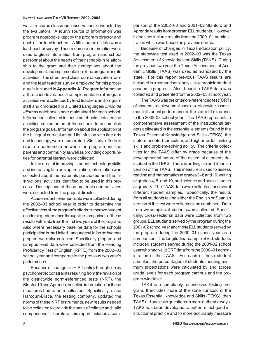#### **UNITED LANGUAGES TITLE VII REPORT: 2002–2003**

was structured classroom observations conducted by the evaluators. A fourth source of information was program notebooks kept by the program director and each of the lead teachers. A fifth source of data was a lead teacher survey. These sources of information were used to glean information from program and school personnel about the needs of their schools in relationship to the grant and their perceptions about the development and implementation of the program and its activities. The structured classroom observation form and the lead teacher survey employed for this procedure is included in **Appendix A**. Program information at the school level about the implementation of program activities were collected by lead teachers and program staff and chronicled in a United Languages/*Unión de Idiomas* notebook binder maintained for each school. Information collected in these notebooks detailed the activities implemented at the schools to accomplish the program goals. Information about the application of the bilingual curriculum and its infusion with fine arts and technology were enumerated. Similarly, efforts to create a partnership between the program and the parents and community as well as providing opportunities for parental literacy were collected.

In the area of improving student technology skills and increasing fine arts appreciation, information was collected about the materials purchased and the instructional activities identified to be used in this process. Descriptions of these materials and activities were collected from the project director.

Academic achievement data were collected during the 2002–03 school year in order to determine the effectiveness of the program's efforts to improve student academic performance through the comparison of these results with data from the first two years of the program. Also where necessary baseline data for the schools participating in the United Languages/Un*ión de Idiomas* program were also collected. Specifically, program and campus level data were collected from the Reading Proficiency Test of English (RPTE) from the 2002–03 school year and compared to the previous two year's performance.

Because of changes in HISD policy brought on by psychometric constraints resulting from the revision of the districtwide norm-referenced tests (NRT), the Stanford 9 and Aprenda, baseline information for these measures had to be recollected. Specifically, since Harcourt-Brace, the testing company, updated the norms of these NRT instruments, new results needed to be collected to provide the basis of reliable and valid comparisons. Therefore, this report includes a com-

parison of the 2002–03 and 2001–02 Stanford and Aprenda results from program ELL students. However it does not include results from the 2000–01 administration which was based on previous norms.

Because of changes in Texas education policy, the statewide test used in 2002–03 was the Texas Assessment of Knowledge and Skills (TAKS). During the previous two year the Texas Assessment of Academic Skills (TAAS) was used as mandated by the state. For this report previous TAAS results are included in a comparison analysis to chronicle student academic progress. Also, baseline TAKS data was collected and presented for the 2002–03 school year.

The TAAS was the criterion-referenced test (CRT) of academic achievement used as a statewide assessment of student performance in the state of Texas prior to the 2002-03 school year. The TAAS represents a comprehensive assessment of the instructional targets delineated in the essential elements found in the Texas Essential Knowledge and Skills (TEKS), the state-mandated curriculum, and higher-order thinking skills and problem-solving ability. The criteria objectives for the TAAS differ by grade because of the developmental nature of the essential elements described in the TEKS. There is an English and Spanish version of the TAAS. This measure is used to assess reading and mathematics at grades 3–8 and 10, writing at grades 4, 8, and 10, and science and social studies at grade 8. The TAAS data were collected for several different student samples. Specifically, the results from all students taking either the English or Spanish version of the test were collected and combined. Data from two samples of students were collected. Specifically, cross-sectional data were collected from two groups, ELL students served by the program during the 2001-02 school year and those ELL students served by the program during the 2000–01 school year as a comparison. The longitudinal sample of ELL students included students served during the 2001-02 school year who had valid CRT data from the 2000–01 administration of the TAAS. For each of these student samples, the percentages of students meeting minimum expectations were calculated by and across grade levels for each program campus and the program-wide level.

TAKS is a completely reconceived testing program. It includes more of the state curriculum, the Texas Essential Knowledge and Skills (TEKS), than TAAS did and asks questions in more authentic ways. TAKS has been developed to better reflect good instructional practice and to more accurately measure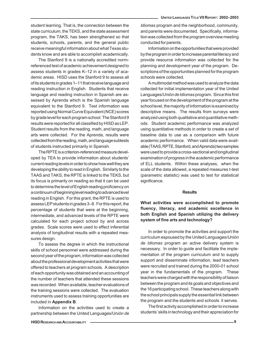The Stanford 9 is a nationally accredited normreferenced test of academic achievement designed to assess students in grades K–12 in a variety of academic areas. HISD uses the Stanford 9 to assess all of its students in grades 1–11 that receive language and reading instruction in English. Students that receive language and reading instruction in Spanish are assessed by Aprenda which is the Spanish language equivalent to the Stanford 9. Test information was reported using Normal Curve Equivalent (NCE) scores by grade level for each program school. The Stanford 9 results were reported for all classified by HISD as LEP. Student results from the reading, math, and language arts were collected. For the Aprenda, results were collected from the reading, math, and language subtests of students instructed primarily in Spanish.

The RPTE is a criterion-referenced measure developed by TEA to provide information about students' current reading levels in order to show how well they are developing the ability to read in English. Similarly to the TAAS and TAKS, the RPTE is linked to the TEKS, but its focus is primarily on reading so that it can be used to determine the level of English reading proficiency on a continuum of beginning level reading to advanced level reading in English. For this grant, the RPTE is used to assess LEP students in grades 3–8. For this report, the percentage of students that were at the beginning, intermediate, and advanced levels of the RPTE were calculated for each project school by and across grades. Scale scores were used to effect inferential analysis of longitudinal results with a repeated measures design.

To assess the degree in which the instructional skills of school personnel were addressed during the second year of the program, information was collected about the professional development activities that were offered to teachers at program schools. A description of each opportunity was obtained and an accounting of the number of teachers that attended these sessions was recorded. When available, teacher evaluations of the training sessions were collected. The evaluation instruments used to assess training opportunities are included in **Appendix B**.

Information on the activities used to create a partnership between the United Languages/Un*ión de* *Idiomas* program and the neighborhood, community, and parents were documented. Specifically, information was collected from the program overview meeting conducted for parents.

Information on the opportunities that were provided by the program in order to increase parental literacy and provide resource information was collected for the planning and development year of the program. Descriptions of the opportunities planned for the program schools were collected.

A multimodal method was used to analyze the data collected for initial implementation year of the United Languages/*Unión de Idiomas* program. Since this first year focused on the development of the program at the school level, the majority of information is examined by descriptive means. The results from surveys were analyzed using both qualitative and quantitative methods. Student academic performance was analyzed using quantitative methods in order to create a set of baseline data to use as a comparison with future academic performance. When valid data were available (TAAS, RPTE, Stanford, and Aprenda) two samples were used to provide a cross-sectional and longitudinal examination of progress in the academic performance of ELL students. Within these analyses, when the scale of the data allowed, a repeated measures t-test (parametric statistic) was used to test for statistical significance.

#### **Results**

**What activities were accomplished to promote fluency, literacy, and academic excellence in both English and Spanish utilizing the delivery system of fine arts and technology?**

In order to promote the activities and support the curriculum espoused by the United Languages/*Unión de Idiomas* program an active delivery system is necessary. In order to guide and facilitate the implementation of the program curriculum and to supply support and disseminate information, lead teachers were recruited and trained during the 2000-01 school year in the fundamentals of the program. These teachers were charged with the responsibility of liaison between the program and its goals and objectives and the 16 participating school. These teachers along with the school principals supply the essential link between the program and the students and schools it serves.

The first activity accomplished in order to increase students' skills in technology and their appreciation for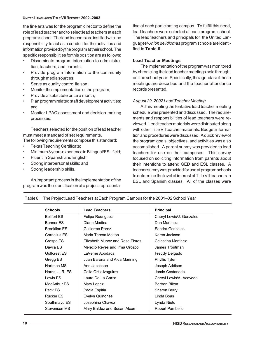the fine arts was for the program director to define the role of lead teacher and to select lead teachers at each program school. The lead teachers are instilled with the responsibility to act as a conduit for the activities and information provided by the program at their school. The specific responsibilities for this position are as follows:

- Disseminate program information to administration, teachers, and parents;
- Provide program information to the community through media sources;
- Serve as quality control liaison;
- Monitor the implementation of the program;
- Provide a substitute once a month;
- Plan program related staff development activities; and
- Monitor LPAC assessment and decision-making processes.

Teachers selected for the position of lead teacher must meet a standard of set requirements.

- The following requirements compose this standard:
- Texas Teaching Certificate;
- Minimum 3 years experience in Bilingual/ESL field;
- Fluent in Spanish and English:
- Strong interpersonal skills; and
- Strong leadership skills.

An important process in the implementation of the program was the identification of a project representative at each participating campus. To fulfill this need, lead teachers were selected at each program school. The lead teachers and principals for the United Languages/*Unión de Idiomas* program schools are identified in **Table 6**.

#### **Lead Teacher Meetings**

The implementation of the program was monitored by chronicling the lead teacher meetings held throughout the school year. Specifically, the agendas of these meetings are described and the teacher attendance records presented.

#### *August 29, 2002 Lead Teacher Meeting*

At this meeting the tentative lead teacher meeting schedule was presented and discussed. The requirements and responsibilities of lead teachers were reviewed. Lead teacher materials were distributed along with other Title VII teacher materials. Budget information and procedures were discussed. A quick review of the program goals, objectives, and activities was also accomplished. A parent survey was provided to lead teachers for use on their campuses. This survey focused on soliciting information from parents about their intentions to attend GED and ESL classes. A teacher survey was provided for use at program schools to determine the level of interest of Title VII teachers in ESL and Spanish classes. All of the classes were

| <b>Schools</b>      | <b>Lead Teachers</b>            | <b>Principal</b>         |
|---------------------|---------------------------------|--------------------------|
| <b>Bellfort ES</b>  | Felipe Rodriguez                | Cheryl Lewis/J. Gonzales |
| Bonner ES           | Diane Medina                    | Dan Martinez             |
| <b>Brookline ES</b> | Guillermo Perez                 | Sandra Gonzales          |
| Cornelius ES        | Maria Teresa Melton             | Karen Jackson            |
| Crespo ES           | Elizabeth Munoz and Rose Flores | Celestina Martinez       |
| Davila ES           | Melecio Reyes and Irma Orozco   | James Troutman           |
| Golfcrest ES        | LaVerne Apodaca                 | Freddy Delgado           |
| Gregg ES            | Juan Barona and Aida Manning    | Phyllis Tyler            |
| Hartman MS          | Ann Jacobson                    | Joseph Addison           |
| Harris, J. R. ES    | Celia Ortiz-Izaguirre           | Jamie Castaneda          |
| Lewis ES            | Laura De La Garza               | Cheryl Lewis/A. Acevedo  |
| MacArthur ES        | Mary Lopez                      | Bertran Bilton           |
| Peck ES             | Paola Espitia                   | Sharon Berry             |
| <b>Rucker ES</b>    | Evelyn Quinones                 | Linda Boas               |
| Southmayd ES        | Josephina Chavez                | Lynda Nieto              |
| Stevenson MS        | Mary Baldez and Susan Alcorn    | Robert Pambello          |

Table 6: The Project Lead Teachers at Each Program Campus for the 2001–02 School Year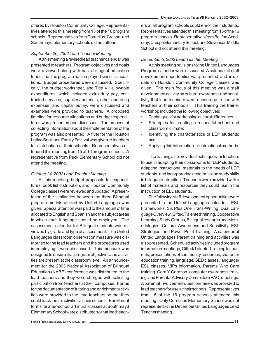offered by Houston Community College. Representatives attended this meeting from 13 of the 16 program schools. Representatives from Cornelius, Crespo, and Southmayd elementary schools did not attend.

#### *September 26, 2002 Lead Teacher Meeting*

At this meeting a revised lead teacher calendar was presented to teachers. Program objectives and goals were reviewed along with basic bilingual education tenets that the program has employed since its inceptions. Budget procedures were discussed. Specifically, the budget worksheet, and Title VII allowable expenditures; which included extra duty pay, contracted services, supplies/materials, other operating expenses, and capital outlay, were discussed and examples were provided to teachers. A proposed timeline for resource allocations and budget expenditures was presented and discussed. The process of collecting information about the implementation of the program was also presented. A flyer for the Houston Latino Book and Family Festival was given to teachers for distribution at their schools. Representatives attended this meeting from 15 of 16 program schools. A representative from Peck Elementary School did not attend the meeting.

#### *October 24, 2002 Lead Teacher Meeting*

At this meeting, budget proposals for expenditures, book list distribution, and Houston Community College classes were reviewed and updated. A presentation of the similarities between the three Bilingual program models utilized by United Languages was given. Special attention was paid to the amount of time allocated to English and Spanish and the subject areas in which each language should be employed. The assessment calendar for Bilingual students was reviewed by grade and type of assessment. The United Languages classroom observation measure was distributed to the lead teachers and the procedures used in employing it were discussed. This measure was designed to ensure that program objectives and activities are present at the classroom level. An announcement for the 2003 National Association of Bilingual Education (NABE) conference was distributed to the lead teachers and they were charged with soliciting participation from teachers at their campuses. Forms for the documentation of tutoring and enrichment activities were provided to the lead teachers so that they could track these activities at their schools. Enrollment forms for after-school art mural classes at Southmayd Elementary School were distributed so that lead teachers at all program schools could enroll their students. Representatives attended this meeting from 13 of the 16 program schools. Representatives from Bellfort Academy, Crespo Elementary School, and Stevenson Middle School did not attend this meeting.

#### *December 5, 2002 Lead Teacher Meeting*

At this meeting revisions to the United Languages Program calendar were discussed. A calendar of staff development opportunities was presented, and an update on Houston Community College classes was given. The main focus of this meeting was a staff development activity on cultural awareness and sensitivity that lead teachers were encourage to use with teachers at their schools. This training the trainer workshop included the following objectives:

- Techniques for addressing cultural differences;
- Strategies for creating a respectful school and classroom climate;
- Identifying the characteristics of LEP students; and
- Applying this information in instructional methods.

The training also provided techniques for teachers to use in adapting their classrooms for LEP students, adapting instructional materials to the needs of LEP students, and incorporating academic and study skills in bilingual instruction. Teachers were provided with a list of materials and resources they could use in the instruction of ELL students.

The following staff development opportunities were presented in the United Languages calendar: ESL Frameworks, Six Plus One Traits-Writing, Dual Language Overview, Gifted/Talented training, Cooperative Learning, Study Groups, Bilingual research and Methodologies, Cultural Awareness and Sensitivity, ESL Strategies, and Power Point Training. A calendar of United Languages Parent training and activities was also presented. Scheduled activities included program information meetings, Gifted/Talented training for parents, presentations of community resources, character education training, language/GED classes, language/ ESL classes, VIPs information, Parents Who Care training, Cara Y Corazon, computer awareness training, and Parental Advisory Committee (PAC) meetings. A parental involvement questionnaire was provided to lead teachers for use at their schools. Representatives from 15 of the 16 program schools attended this meeting. Only Cornelius Elementary School was not represented at the December United Languages Lead Teacher meeting.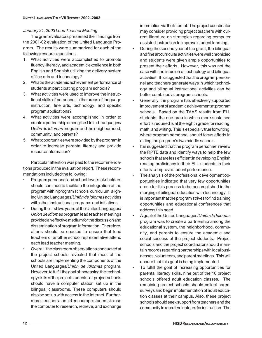#### *January 21, 2003 Lead Teacher Meeting*

The grant evaluators presented their findings from the 2001-02 evaluation of the United Language Program. The results were summarized for each of the following research questions.

- 1. What activities were accomplished to promote fluency, literacy, and academic excellence in both English and Spanish utilizing the delivery system of fine arts and technology?
- 2. What is the academic achievement performance of students at participating program schools?
- 3. What activities were used to improve the instructional skills of personnel in the areas of language instruction, fine arts, technology, and specific program applications?
- 4. What activities were accomplished in order to create a partnership among the United Languages/ Un*ión de Idiomas* program and the neighborhood, community, and parents?
- 5. What opportunities were provided by the program in order to increase parental literacy and provide resource information?

Particular attention was paid to the recommendations produced in the evaluation report. These recommendations included the following:

- Program personnel and school level stakeholders should continue to facilitate the integration of the program within program schools' curriculum, aligning United Languages/*Unión de idiomas* activities with other instructional programs and initiatives.
- During the first two years of the United Languages/ *Unión de idiomas* program lead teacher meetings provided an effective medium for the discussion and dissemination of program Information. Therefore, efforts should be enacted to ensure that lead teachers or another school representative attend each lead teacher meeting.
- Overall, the classroom observations conducted at the project schools revealed that most of the schools are implementing the components of the United Languages/*Unión de Idiomas* program. However, to fulfill the goal of increasing the technology skills of the project students, all project schools should have a computer station set up in the bilingual classrooms. These computers should also be set up with access to the Internet. Furthermore, teachers should encourage students to use the computer to research, retrieve, and exchange

information via the Internet. The project coordinator may consider providing project teachers with current literature on strategies regarding computer assisted instruction to improve student learning.

- During the second year of the grant, the bilingual and fine art curricular activities were well chronicled and students were given ample opportunities to present their efforts. However, this was not the case with the infusion of technology and bilingual activities. It is suggested that the program personnel and teachers generate ways in which technology and bilingual instructional activities can be better combined at program schools.
- Generally, the program has effectively supported improvement of academic achievement at program schools. Based on the TAAS results from ELL students, the one area in which more sustained effort is required is at the eighth grade for reading, math, and writing. This is especially true for writing, where program personnel should focus efforts in aiding the program's two middle schools.
- It is suggested that the program personnel review the RPTE data and identify ways to help the few schools that are less efficient in developing English reading proficiency in their ELL students in their efforts to improve student performance.
- The analysis of the professional development opportunities indicated that very few opportunities arose for this process to be accomplished in the merging of bilingual education with technology. It is important that the program strives to find training opportunities and educational conferences that address this need.
- A goal of the United Languages/*Unión de Idiomas* program was to create a partnership among the educational system, the neighborhood, community, and parents to ensure the academic and social success of the project students. Project schools and the project coordinator should maintain records regarding partnerships with local businesses, volunteers, and parent meetings. This will ensure that this goal is being implemented.
- To fulfill the goal of increasing opportunities for parental literacy skills, nine out of the 16 project schools offered adult education classes. The remaining project schools should collect parent surveys and begin implementation of adult education classes at their campus. Also, these project schools should seek support from teachers and the community to recruit volunteers for instruction. The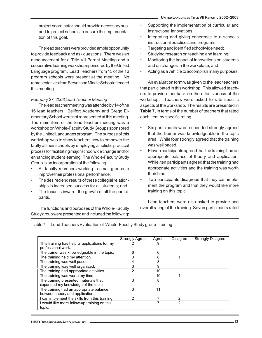project coordinator should provide necessary support to project schools to ensure the implementation of this goal.

The lead teachers were provided ample opportunity to provide feedback and ask questions. There was an announcement for a Title VII Parent Meeting and a cooperative learning workshop sponsored by the United Language program. Lead Teachers from 15 of the 16 program schools were present at the meeting. No representatives from Stevenson Middle School attended this meeting.

#### *February 27, 2003 Lead Teacher Meeting*

The lead teacher meeting was attended by 14 of the 16 lead teachers. Bellfort Academy and Gregg Elementary School were not represented at this meeting. The main item of the lead teacher meeting was a workshop on Whole-Faculty Study Groups sponsored by the United Languages program. The purpose of this workshop was to show teachers how to empower the faulty at their schools by employing a holistic practical process for facilitating major schoolwide change and for enhancing student learning. The Whole-Faculty Study Group is an incorporation of the following:

- All faculty members working in small groups to improve their professional performance;
- The desired end results of these collegial relationships is increased success for all students; and
- The focus is inward, the growth of all the participants.

The functions and purposes of the Whole-Faculty Study group were presented and included the following:

- Supporting the implementation of curricular and instructional innovations;
- Integrating and giving coherence to a school's instructional practices and programs;
- Targeting and identified schoolwide need;
- Studying research on teaching and learning;
- Monitoring the impact of innovations on students and on changes in the workplace; and
- Acting as a vehicle to accomplish many purposes.

An evaluation form was given to the lead teachers that participated in this workshop. This allowed teachers to provide feedback on the effectiveness of the workshop. Teachers were asked to rate specific aspects of the workshop. The results are presented in **Table 7**, in terms of the number of teachers that rated each item by specific rating.

- Six participants who responded strongly agreed that the trainer was knowledgeable in the topic area. While four strongly agreed that the training was well paced.
- Eleven participants agreed that the training had an appropriate balance of theory and application. While, ten participants agreed that the training had appropriate activities and the training was worth their time.
- Two participants disagreed that they can implement the program and that they would like more training on this topic.

Lead teachers were also asked to provide and overall rating of the training. Seven participants rated

Table 7: Lead Teachers Evaluation of Whole-Faculty Study group Training

|                                                                              | <b>Strongly Agree</b> | Agree | Disagree | <b>Strongly Disagree</b> |
|------------------------------------------------------------------------------|-----------------------|-------|----------|--------------------------|
| This training has helpful applications for my<br>professional work.          |                       | 9     |          |                          |
| The trainer was knowledgeable in the topic.                                  | 6                     | 6     |          |                          |
| The training held my attention.                                              | 3                     | 8     |          |                          |
| The training was well paced.                                                 |                       | 8     |          |                          |
| The training was well organized.                                             | 3                     | 9     |          |                          |
| The training had appropriate activities.                                     | 2                     | 10    |          |                          |
| The training was worth my time.                                              |                       | 10    |          |                          |
| The training presented materials that<br>expanded my knowledge of the topic. | 3                     | 8     |          |                          |
| The training had an appropriate balance<br>between theory and application.   | 3                     | 11    |          |                          |
| can implement the skills from this training.                                 | າ                     |       | 2        |                          |
| I would like more follow-up training on this<br>topic.                       |                       |       | 2        |                          |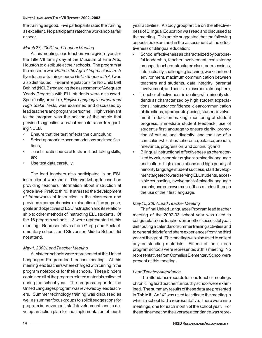#### **UNITED LANGUAGES TITLE VII REPORT: 2002–2003**

the training as good. Five participants rated the training as excellent. No participants rated the workshop as fair or poor.

#### *March 27, 2003 Lead Teacher Meeting*

At this meeting, lead teachers were given flyers for the Title VII family day at the Museum of Fine Arts, Houston to distribute at their schools. The program at the museum was *Paris in the Age of Impressionism*. A flyer for an e-training course *Get in Shape with Art* was also distributed. Federal regulations for No Child Left Behind (NCLB) regarding the assessment of Adequate Yearly Progress with ELL students were discussed. Specifically, an article, *English Language Learners and High Stake Tests*, was examined and discussed by lead teachers and program personnel. Highly relevant to the program was the section of the article that provided suggestions on what educators can do regarding NCLB.

- Ensure that the test reflects the curriculum;
- Select appropriate accommodations and modifications;
- Teach the discourse of tests and test-taking skills; and
- Use test data carefully.

The lead teachers also participated in an ESL instructional workshop. This workshop focused on providing teachers information about instruction at grade level PreK to third. It stressed the development of frameworks of instruction in the classroom and provided a comprehensive explanation of the purpose, goals and objectives of ESL instruction and its relationship to other methods of instructing ELL students. Of the 16 program schools, 13 were represented at this meeting. Representatives from Gregg and Peck elementary schools and Stevenson Middle School did not attend.

## *May 1, 2003 Lead Teacher Meeting*

All sixteen schools were represented at this United Languages Program lead teacher meeting. At this meeting lead teachers where charged with turning in the program notebooks for their schools. These binders contained all of the program related materials collected during the school year. The progress report for the United Languages program was reviewed by lead teachers. Summer technology training was discussed as well as summer focus groups to solicit suggestions for program improvement, staff development, and to develop an action plan for the implementation of fourth year activities. A study group article on the effectiveness of Bilingual Education was read and discussed at the meeting. This article suggested that the following aspects be examined in the assessment of the effectiveness of Bilingual education:

- School effectiveness as characterized by purposeful leadership, teacher involvement, consistency amongst teachers, structured classroom sessions, intellectually challenging teaching, work centered environment, maximum communication between teachers and students, data integrity, parental involvement, and positive classroom atmosphere;
- Teacher effectiveness in dealing with minority students as characterized by high student expectations, instructor confidence, clear communication of directions, appropriate pacing, student involvement in decision-making, monitoring of student progress, immediate student feedback, use of student's first language to ensure clarity, promotion of culture and diversity, and the use of a curriculum which has coherence, balance, breadth, relevance, progression, and continuity; and
- Bilingual instructional effectiveness as characterized by value and status given to minority language and culture, high expectations and high priority of minority language student success, staff development targeted toward serving ELL students, accessible counseling, involvement of minority language parents, and empowerment of these student through the use of their first language.

## *May 15, 2003 Lead Teacher Meeting*

The final United Languages Program lead teacher meeting of the 2002-03 school year was used to congratulate lead teachers on another successful year, distributing a calendar of summer training activities and to general debrief and share experiences from the third year of the grant. The meeting was also used to collect any outstanding materials. Fifteen of the sixteen program schools were represented at this meeting. No representatives from Cornelius Elementary School were present at this meeting.

## *Lead Teacher Attendance.*

The attendance records for lead teacher meetings chronicling lead teacher turnout by school were examined. The summary results of these data are presented in **Table 8**. An "X" was used to indicate the meeting in which a school had a representative. There were nine meetings, one for each month of the school year. For these nine meeting the average attendance was repre-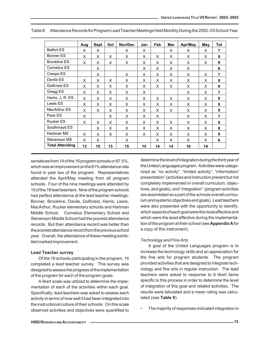|                        | Aug | <b>Sept</b> | Oct | Nov/Dec | Jan | Feb | Mar | Apr/May | May | <b>Tot</b>     |
|------------------------|-----|-------------|-----|---------|-----|-----|-----|---------|-----|----------------|
| <b>Belfort ES</b>      | X   | X           |     | X       | X   |     | X   | X       | X   | $\overline{7}$ |
| Bonner ES              | X   | X           | X   | X       | X   | X   | X   | X       | X   | 9              |
| <b>Brookline ES</b>    | X   | X           | X   | X       | X   | X   | X   | X       | X   | 9              |
| Cornelius ES           |     | X           |     |         | X   | X   | X   | X       |     | 6              |
| Crespo ES              |     | X           |     | X       | X   | X   | X   | X       | X   | $\overline{7}$ |
| Davila ES              | X   | X           | X   | X       | X   | X   | X   | X       | X   | 9              |
| Golfcrest ES           | X   | X           | X   | X       | X   | X   | X   | X       | X   | 9              |
| Gregg ES               | X   | X           | X   | X       | X   |     |     | X       | X   | $\overline{7}$ |
| Harris, J. R. ES       | X   | X           | X   | X       | X   | X   | X   | X       | X   | 9              |
| Lewis ES               | X   | X           | X   | X       | X   | X   | X   | X       | X   | 9              |
| <b>MacArthur ES</b>    | X   | X           | X   | X       | X   | X   | X   | X       | X   | 9              |
| Peck ES                | X   |             | X   | X       | X   | X   |     | X       | X   | $\overline{7}$ |
| <b>Rucker ES</b>       | X   | X           | X   | X       | X   | X   | X   | X       | X   | 9              |
| Southmayd ES           |     | X           | X   | X       | X   | X   | X   | X       | X   | 8              |
| Hartman MS             | X   | X           | X   | X       | X   | X   | X   | X       | X   | 9              |
| Stevenson MS           | X   | X           |     | X       |     | X   | X   | X       | X   | 6              |
| <b>Total Attending</b> | 13  | 15          | 13  | 15      | 15  | 14  | 14  | 16      | 14  |                |

Table 8: Attendance Records for Program Lead Teacher Meetings Held Monthly During the 2002–03 School Year

sentatives from 14 of the 16 program schools or 87.5%, which was an improvement on the 81% attendance rate found in year two of the program. Representatives attended the April/May meeting from all program schools. Four of the nine meetings were attended by 15 of the 16 lead teachers. Nine of the program schools had perfect attendance at the lead teacher meetings: Bonner, Brookline, Davila, Golfcrest, Harris, Lewis, MacArthur, Rucker elementary schools and Hartman Middle School. Cornelius Elementary School and Stevenson Middle School had the poorest attendance records. But their attendance record was better than the poorest attendance record from the previous school year. Overall, the attendance of these meeting exhibited marked improvement.

#### **Lead Teacher survey**

Of the 16 schools participating in the program, 14 completed a lead teacher survey. This survey was designed to assess the progress of the implementation of the program for each of the program goals.

A likert scale was utilized to determine the implementation of each of the activities within each goal. Specifically, lead teachers was asked to assess each activity in terms of how well it had been integrated into the instructional culture of their schools. On this scale observed activities and objectives were quantified to determine the level of integration during the third year of the United Languages program. Activities were categorized as "no activity", "limited activity", "information/ presentation" (activities and instruction present but not completely implemented in overall curriculum, objectives, and goals), and "integration" (program activities are assimilated as a part of the schools overall curriculum and systemic objectives and goals). Lead teachers were also presented with the opportunity to identify, which aspects of each goal were the most effective and which were the least effective during the implementation of the program at their school (see **Appendix A** for a copy of this instrument).

#### *Technology and Fine Arts*

A goal of the United Languages program is to increase the technology skills and an appreciation for the fine arts for program students. The program provided activities that are designed to integrate technology and fine arts in regular instruction. The lead teachers were asked to response to 8 likert items specific to this process in order to determine the level of integration of this goal and related activities. The results were tabulated and a mean rating was calculated (see **Table 9**).

• The majority of responses indicated integration in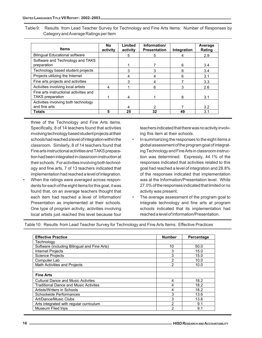Table 9: Results from Lead Teacher Survey for Technology and Fine Arts Items: Number of Responses by Category and Average Ratings per Item

| <b>Items</b>                                                      | No<br>activity | Limited<br>activity | Information/<br><b>Presentation</b> | Integration | Average<br>Rating |
|-------------------------------------------------------------------|----------------|---------------------|-------------------------------------|-------------|-------------------|
| <b>Bilingual Educational software</b>                             |                | 5                   | 5                                   | 4           | 2.9               |
| Software and Technology and TAKS<br>preparation                   |                |                     |                                     | 6           | 3.4               |
| Technology based student projects                                 |                | 3                   | 3                                   | 8           | 3.4               |
| Projects utilizing the Internet                                   |                | 4                   | 4                                   | 6           | 3.1               |
| Fine arts projects and activities                                 |                | 3                   | 4                                   |             | 3.3               |
| Activities involving local artists                                | 4              |                     | 6                                   | 3           | 2.6               |
| Fine arts instructional activities and<br><b>TAKS</b> preparation |                | 4                   |                                     | 8           | 3.1               |
| Activities involving both technology<br>and fine arts             |                | 4                   | 2                                   |             | 3.2               |
| <b>Totals</b>                                                     | 5              | 25                  | 32                                  | 49          | 3.1               |

three of the Technology and Fine Arts items. Specifically, 8 of 14 teachers found that activities involving technology based student projects at their schools had reached a level of integration within the classroom. Similarly, 8 of 14 teachers found that Fine arts instructional activities and TAKS preparation had been integrated in classroom instruction at their schools. For activities involving both technology and fine arts, 7 of 13 teachers indicated that implementation had reached a level of integration.

• When the ratings were averaged across respondents for each of the eight items for this goal, it was found that, on an average teachers thought that each item had reached a level of Information/ Presentation as implemented at their schools. One type of program activity, activities involving local artists just reached this level because four teachers indicated that there was no activity involving this item at their schools.

- In summarizing the responses to the eight items a global assessment of the program goal of integrating Technology and Fine Arts in classroom instruction was determined. Expressly, 44.1% of the responses indicated that activities related to this goal had reached a level of integration and 28.8% of the responses indicated that implementation was at the Information/Presentation level. While 27.0% of the responses indicated that limited or no activity was present.
- The average assessment of the program goal to integrate technology and fine arts at program schools indicated that its implementation had reached a level of Information/Presentation.

Table 10: Results from Lead Teacher Survey for Technology and Fine Arts Items: Effective Practices

| <b>Effective Practice</b>                    | <b>Number</b> | Percentage |
|----------------------------------------------|---------------|------------|
| Technology                                   |               |            |
| Software (including Bilingual and Fine Arts) | 10            | 50.0       |
| <b>Internet Projects</b>                     | 3             | 15.0       |
| <b>Science Projects</b>                      | 3             | 15.0       |
| Computer Lab                                 | 2             | 10.0       |
| Math Activities and Projects                 | 2             | 10.0       |
|                                              |               |            |
| <b>Fine Arts</b>                             |               |            |
| <b>Cultural Dance and Music Activites</b>    | 4             | 18.2       |
| <b>Traditional Dance and Music Activites</b> | 4             | 18.2       |
| Artists/Writers in Schools                   | 4             | 18.2       |
| Schoolwide Performances                      | 3             | 13.6       |
| Art/Dance/Music Clubs                        | 3             | 13.6       |
| Arts integrated with regular curriculum      | 2             | 9.1        |
| Museum Flied trips                           | っ             | 9.1        |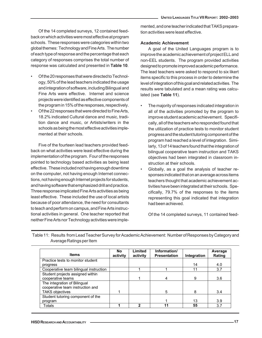Of the 14 completed surveys, 12 contained feedback on which activities were most effective at program schools. These responses were categories within two global themes: Technology and Fine Arts. The number of each type of response and the percentage that each category of responses comprises the total number of response was calculated and presented in **Table 10**.

- Of the 20 responses that were directed to Technology, 50% of the lead teachers indicated the usage and integration of software, including Bilingual and Fine Arts were effective. Internet and science projects were identified as effective components of the program in 15% of the responses, respectively.
- Of the 22 responses that were directed to Fine Arts, 18.2% indicated Cultural dance and music, tradition dance and music, or Artists/writers in the schools as being the most effective activities implemented at their schools.

Five of the fourteen lead teachers provided feedback on what activities were least effective during the implementation of the program. Four of the responses pointed to technology based activities as being least effective. These included not having enough downtime on the computer, not having enough Internet connections, not having enough Internet projects for students, and having software that emphasized drill and practice. Three response implicated Fine Arts activities as being least effective. These included the use of local artists because of poor attendance, the need for consultants to teach and perform on campus, and Fine Arts instructional activities in general. One teacher reported that neither Fine Arts nor Technology activities were implemented, and one teacher indicated that TAKS preparation activities were least effective.

#### **Academic Achievement**

A goal of the United Languages program is to improve the academic achievement of project ELL and non-EEL students. The program provided activities designed to promote improved academic performance. The lead teachers were asked to respond to six likert items specific to this process in order to determine the level of integration of this goal and related activities. The results were tabulated and a mean rating was calculated (see **Table 11**).

- The majority of responses indicated integration in all of the activities promoted by the program to improve student academic achievement. Specifically, all of the teachers who responded found that the utilization of practice tests to monitor student progress and the student tutoring component of the program had reached a level of integration. Similarly, 13 of 14 teachers found that the integration of bilingual cooperative team instruction and TAKS objectives had been integrated in classroom instruction at their schools.
- Globally, as a goal the analysis of teacher responses indicated that on an average across items teachers thought that academic achievement activities have been integrated at their schools. Specifically, 79.7% of the responses to the items representing this goal indicated that integration had been achieved.

Of the 14 completed surveys, 11 contained feed-

| <b>Items</b>                           | No<br>activity | Limited<br>activity | Information/<br><b>Presentation</b> | Integration | Average<br>Rating |
|----------------------------------------|----------------|---------------------|-------------------------------------|-------------|-------------------|
| Practice tests to monitor student      |                |                     |                                     |             |                   |
| progress                               |                |                     |                                     | 14          | 4.0               |
| Cooperative team bilingual instruction |                |                     |                                     | 11          | 3.7               |
| Student projects assigned within       |                |                     |                                     |             |                   |
| cooperative teams                      |                |                     | 4                                   | 9           | 3.6               |
| The integration of Bilingual           |                |                     |                                     |             |                   |
| cooperative team instruction and       |                |                     |                                     |             |                   |
| <b>TAKS objectives</b>                 |                |                     | 5                                   | 8           | 3.4               |
| Student tutoring component of the      |                |                     |                                     |             |                   |
| program                                |                |                     |                                     | 13          | 3.9               |
| Totals                                 |                | 2                   |                                     | 55          | 3.7               |

Table 11: Results from Lead Teacher Survey for Academic Achievement: Number of Responses by Category and Average Ratings per Item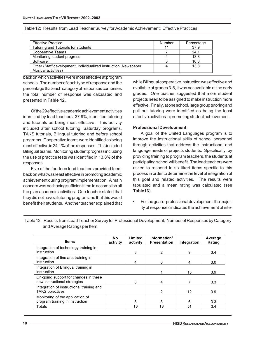| <b>Effective Practice</b>                                        | <b>Number</b> | Percentage |
|------------------------------------------------------------------|---------------|------------|
| Tutoring and Tutorials for students                              | 11            | 37.9       |
| Cooperative Teams                                                |               | 24.1       |
| Monitoring student progress                                      |               | 13.8       |
| Software                                                         |               | 10.3       |
| Other (Staff development, Individualized instruction, Newspaper, |               | 13.8       |
| Musical activities)                                              |               |            |

back on which activities were most effective at program schools. The number of each type of response and the percentage that each category of responses comprises the total number of response was calculated and presented in **Table 12**.

Of the 29 effective academic achievement activities identified by lead teachers, 37.9%, identified tutoring and tutorials as being most effective. This activity included after school tutoring, Saturday programs, TAKS tutorials, Bilingual tutoring and before school programs. Cooperative teams were identified as being most effective in 24.1% of the responses. This included Bilingual teams. Monitoring student progress including the use of practice tests was identified in 13.8% of the responses.

Five of the fourteen lead teachers provided feedback on what was least effective in promoting academic achievement during program implementation. A main concern was not having sufficient time to accomplish all the plan academic activities. One teacher stated that they did not have a tutoring program and that this would benefit their students. Another teacher explained that while Bilingual cooperative instruction was effective and available at grades 3-5, it was not available at the early grades. One teacher suggested that more student projects need to be assigned to make instruction more effective. Finally, at one school, large group tutoring and pull out tutoring were identified as being the least effective activities in promoting student achievement.

#### **Professional Development**

A goal of the United Languages program is to improve the instructional skills of school personnel through activities that address the instructional and language needs of projects students. Specifically, by providing training to program teachers, the students at participating school will benefit. The lead teachers were asked to respond to six likert items specific to this process in order to determine the level of integration of this goal and related activities. The results were tabulated and a mean rating was calculated (see **Table13**).

• For the goal of professional development, the majority of responses indicated the achievement of inte-

| <b>Items</b>                                                          | No<br>activity | Limited<br>activity | Information/<br><b>Presentation</b> | Integration | Average<br>Rating |
|-----------------------------------------------------------------------|----------------|---------------------|-------------------------------------|-------------|-------------------|
| Integration of technology training in<br>instruction                  |                | 3                   | 2                                   | 9           | 3.4               |
| Integration of fine arts training in<br>instruction                   |                | 4                   | 6                                   | 4           | 3.0               |
| Integration of Bilingual training in<br>instruction                   |                |                     |                                     | 13          | 3.9               |
| On-going support for changes in these<br>new instructional strategies |                | 3                   | 4                                   |             | 3.3               |
| Integration of instructional training and<br><b>TAKS objectives</b>   |                |                     | $\mathcal{P}$                       | 12          | 3.9               |
| Monitoring of the application of<br>program training in instruction   |                | 3                   | 3                                   | 6           | 3.3               |
| Totals                                                                |                | 13                  | 18                                  | 51          | 3.4               |

Table 13: Results from Lead Teacher Survey for Professional Development: Number of Responses by Category and Average Ratings per Item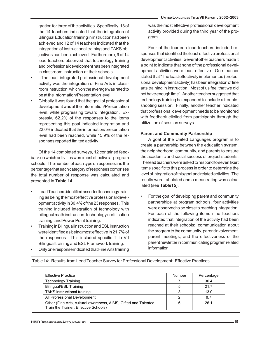gration for three of the activities. Specifically, 13 of the 14 teachers indicated that the integration of Bilingual Education training in instruction had been achieved and 12 of 14 teachers indicated that the integration of instructional training and TAKS objectives had been achieved. Furthermore, 9 of 14 lead teachers observed that technology training and professional development has been integrated in classroom instruction at their schools.

- The least integrated professional development activity was the integration of Fine Arts in classroom instruction, which on the average was rated to be at the Information/Presentation level.
- Globally it was found that the goal of professional development was at the Information/Presentation level, while progressing toward integration. Expressly, 62.2% of the responses to the items representing this goal indicated integration and 22.0% indicated that the information/presentation level had been reached, while 15.9% of the responses reported limited activity.

Of the 14 completed surveys, 12 contained feedback on which activities were most effective at program schools. The number of each type of response and the percentage that each category of responses comprises the total number of response was calculated and presented in **Table 14**.

- Lead Teachers identified assorted technology training as being the most effective professional development activity in 30.4% of the 23 responses. This training included integration of technology with bilingual math instruction, technology certification training, and Power Point training.
- Training in Bilingual instruction and ESL instruction were identified as being most effective in 21.7% of the responses. This included specific Title VII Bilingual training and ESL Framework training.
- Only one response indicated that Fine Arts training

was the most effective professional development activity provided during the third year of the program.

Four of the fourteen lead teachers included responses that identified the least effective professional development activities. Several other teachers made it a point to indicate that none of the professional development activities were least effective. One teacher stated that "The least effectively implemented (professional development activity) has been integration of fine arts training in instruction. Most of us feel that we did not have enough time". Another teacher suggested that technology training be expanded to include a troubleshooting session. Finally, another teacher indicated that professional development needs to be monitored with feedback elicited from participants through the utilization of session surveys.

## **Parent and Community Partnership**

A goal of the United Languages program is to create a partnership between the education system, the neighborhood, community, and parents to ensure the academic and social success of project students. The lead teachers were asked to respond to seven likert items specific to this process in order to determine the level of integration of this goal and related activities. The results were tabulated and a mean rating was calculated (see **Table15**).

• For the goal of developing parent and community partnerships at program schools, four activities were observed to be close to reaching integration. For each of the following items nine teachers indicated that integration of the activity had been reached at their schools: communication about the program to the community, parent involvement, parent meetings, and the effectiveness of the parent newletter in communicating program related information.

Table 14: Results from Lead Teacher Survey for Professional Development: Effective Practices

| <b>Effective Practice</b>                                                                                 | Number | Percentage |
|-----------------------------------------------------------------------------------------------------------|--------|------------|
| <b>Technology Training</b>                                                                                |        | 30.4       |
| Bilingual/ESL Training                                                                                    |        | 21.7       |
| TAKS instructional training                                                                               |        | 13.0       |
| All Professional Development                                                                              |        | 8.7        |
| Other (Fine Arts, cultural awareness, AIMS, Gifted and Talented,<br>Train the Trainer, Effective Schools) |        | 26.1       |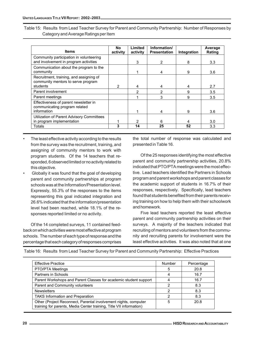Table 15: Results from Lead Teacher Survey for Parent and Community Partnership: Number of Responses by Category and Average Ratings per Item

| <b>Items</b>                                                                          | No<br>activity | Limited<br>activity | Information/<br><b>Presentation</b> | Integration | Average<br>Rating |
|---------------------------------------------------------------------------------------|----------------|---------------------|-------------------------------------|-------------|-------------------|
| Community participation in volunteering<br>and involvement in program activities      |                | 3                   | 2                                   | 8           | 3.3               |
| Communication about the program to the<br>community                                   |                |                     | 4                                   | 9           | 3.6               |
| Recruitment, training, and assigning of<br>community mentors to serve program         |                |                     |                                     |             |                   |
| students                                                                              | 2              | 4                   | 4                                   | 4           | 2.7               |
| Parent involvement                                                                    |                | 2                   | 2                                   | 9           | 3.5               |
| Parent meetings                                                                       |                |                     | 3                                   | 9           | 3.5               |
| Effectiveness of parent newsletter in<br>communicating program related<br>information |                |                     | 4                                   | 9           | 3.6               |
| Utilization of Parent Advisory Committees                                             |                |                     |                                     |             |                   |
| in program implementation                                                             |                | 2                   | 6                                   |             | 3.0               |
| <b>Totals</b>                                                                         | 3              | 14                  | 25                                  | 52          | 3.3               |

- The least effective activity according to the results from the survey was the recruitment, training, and assigning of community mentors to work with program students. Of the 14 teachers that responded, 6 observed limited or no activity related to this objective.
- Globally it was found that the goal of developing parent and community partnerships at program schools was at the Information/Presentation level. Expressly, 55.3% of the responses to the items representing this goal indicated integration and 26.6% indicated that the information/presentation level had been reached, while 18.1% of the responses reported limited or no activity.

Of the 14 completed surveys, 11 contained feedback on which activities were most effective at program schools. The number of each type of response and the percentage that each category of responses comprises

the total number of response was calculated and presented in Table 16.

Of the 25 responses identifying the most effective parent and community partnership activities, 20.8% indicated that PTO/PTA meetings were the most effective. Lead teachers identified the Partners in Schools program and parent workshops and parent classes for the academic support of students in 16.7% of their responses, respectively. Specifically, lead teachers found that students benefited from their parents receiving training on how to help them with their schoolwork and homework.

Five lead teachers reported the least effective parent and community partnership activities on their surveys. A majority of the teachers indicated that recruiting of mentors and volunteers from the community and recruiting parents for involvement were the least effective activities. It was also noted that at one

| <b>Effective Practice</b>                                                                                                              | <b>Number</b> | Percentage |
|----------------------------------------------------------------------------------------------------------------------------------------|---------------|------------|
| PTO/PTA Meetings                                                                                                                       | 5             | 20.8       |
| Partners in Schools                                                                                                                    |               | 16.7       |
| Parent Workshops and Parent Classes for academic student support                                                                       |               | 16.7       |
| Parent and Community volunteers                                                                                                        | 2             | 8.3        |
| <b>Newsletters</b>                                                                                                                     |               | 8.3        |
| <b>TAKS Information and Preparation</b>                                                                                                | າ             | 8.3        |
| Other (Project Reconnect, Parental involvement nights, computer<br>training for parents, Media Center training, Title VII information) | 5             | 20.8       |

Table 16: Results from Lead Teacher Survey for Parent and Community Partnership: Effective Practices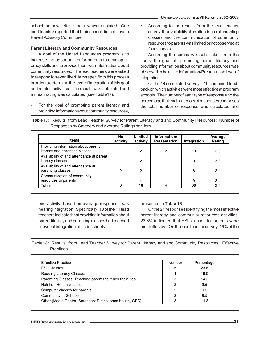school the newsletter is not always translated. One lead teacher reported that their school did not have a Parent Advisory Committee.

#### **Parent Literacy and Community Resources**

A goal of the United Languages program is to increase the opportunities for parents to develop literacy skills and to provide them with information about community resources. The lead teachers were asked to respond to seven likert items specific to this process in order to determine the level of integration of this goal and related activities. The results were tabulated and a mean rating was calculated (see **Table17**).

• For the goal of promoting parent literacy and providing information about community resources, • According to the results from the lead teacher survey, the availability of an attendance at parenting classes and the communication of community resources to parents was limited or not observed at four schools.

According the summary results taken from the items, the goal of promoting parent literacy and providing information about community resources was observed to be at the Information/Presentation level of integration

Of the 14 completed surveys, 10 contained feedback on which activities were most effective at program schools. The number of each type of response and the percentage that each category of responses comprises the total number of response was calculated and

Table 17: Results from Lead Teacher Survey for Parent Literacy and and Community Resources: Number of Responses by Category and Average Ratings per Item

| <b>Items</b>                                                         | No.<br>activity | Limited<br>activity | Information/<br><b>Presentation</b> | Integration | Average<br>Rating |
|----------------------------------------------------------------------|-----------------|---------------------|-------------------------------------|-------------|-------------------|
| Providing information about parent<br>literacy and parenting classes |                 | 2                   | 2                                   | 10          | 3.6               |
| Availability of and attendance at parent<br>literacy classes         |                 | 2                   |                                     | 9           | 3.3               |
| Availability of and attendance at<br>parenting classes               | 2               | 2                   |                                     | 8           | 3.1               |
| Communication of community<br>resources to parents                   |                 |                     |                                     | 9           | 3.4               |
| Totals                                                               |                 | 10                  |                                     | 36          | 3.4               |

one activity, based on average responses was nearing integration. Specifically, 10 of the 14 lead teachers indicated that providing information about parent literacy and parenting classes had reached a level of integration at their schools.

#### presented in **Table 18**.

Of the 21 responses identifying the most effective parent literacy and community resources activities, 23.8% indicated that ESL classes for parents were most effective. On the lead teacher survey, 19% of the

Table 18: Results from Lead Teacher Survey for Parent Literacy and and Community Resources: Effective Practices

| <b>Effective Practice</b>                                | Number | Percentage |
|----------------------------------------------------------|--------|------------|
| <b>ESL Classes</b>                                       |        | 23.8       |
| Reading Literacy Classes                                 |        | 19.0       |
| Parenting Classes, Teaching parents to teach their kids  |        | 14.3       |
| Nutrition/Health classes                                 |        | 9.5        |
| Computer classes for parents                             |        | 9.5        |
| <b>Community in Schools</b>                              | ⌒      | 9.5        |
| Other (Media Center, Southeast District open house, GED) |        | 14.3       |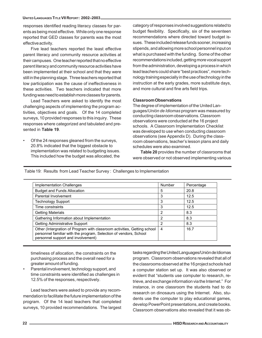#### **UNITED LANGUAGES TITLE VII REPORT: 2002–2003**

responses identified reading literacy classes for parents as being most effective. While only one response reported that GED classes for parents was the most effective activity.

Five lead teachers reported the least effective parent literacy and community resource activities at their campuses. One teacher reported that no effective parent literacy and community resource activities have been implemented at their school and that they were still in the planning stage. Three teachers reported that low participation was the cause of ineffectiveness in these activities. Two teachers indicated that more funding was need to establish more classes for parents.

Lead Teachers were asked to identify the most challenging aspects of implementing the program activities, objectives and goals. Of the 14 completed surveys, 10 provided responses to this inquiry. These responses where categorized and tabulated and presented in **Table 19**.

• Of the 24 responses gleaned from the surveys, 20.8% indicated that the biggest obstacle to implementation was related to budgeting issues. This included how the budget was allocated, the category of responses involved suggestions related to budget flexibility. Specifically, six of the seventeen recommendations where directed toward budget issues. These included release funds sooner, increasing stipends, and allowing more school personnel input on what is purchased with the funding. Some of the other recommendations included, getting more vocal support from the administration, developing a process in which lead teachers could share "best practices", more technology training especially in the use of technology in the instruction at the early grades, more substitute days, and more cultural and fine arts field trips.

#### **Classroom Observations**

The degree of implementation of the United Languages/*Unión de Idiomas* program was measured by conducting classroom observations. Classroom observations were conducted at the 16 project schools. A Classroom Implementation Checklist was developed to use when conducting classroom observations (see Appendix D). During the classroom observations, teacher's lesson plans and daily schedules were also examined.

**Table 20** provides the number of classrooms that were observed or not observed implementing various

Table 19: Results from Lead Teacher Survey : Challenges to Implementation

| Implementation Challenges                                                                                                                                                           | Number | Percentage |
|-------------------------------------------------------------------------------------------------------------------------------------------------------------------------------------|--------|------------|
| <b>Budget and Funds Allocation</b>                                                                                                                                                  | 5      | 20.8       |
| Parental Involvement                                                                                                                                                                | 3      | 12.5       |
| <b>Technology Support</b>                                                                                                                                                           | 3      | 12.5       |
| Time constraints                                                                                                                                                                    | 3      | 12.5       |
| <b>Getting Materials</b>                                                                                                                                                            | 2      | 8.3        |
| Gathering Information about Implementation                                                                                                                                          | 2      | 8.3        |
| Getting Administrative Support                                                                                                                                                      | 2      | 8.3        |
| Other (Intergration of Program with classroom activities, Getting school<br>personnel familiar with the program, Selection of vendors, School<br>personnel support and involvement) | 4      | 16.7       |

timeliness of allocation, the constraints on the purchasing process and the overall need for a greater amount of funding.

• Parental involvement, technology support, and time constraints were identified as challenges in 12.5% of the responses, respectively.

Lead teachers were asked to provide any recommendation to facilitate the future implementation of the program. Of the 14 lead teachers that completed surveys, 10 provided recommendations. The largest tasks regarding the United Languages/Unión de Idiomas program. Classroom observations revealed that all of the classrooms observed at the 16 project schools had a computer station set up. It was also observed or evident that "students use computer to research, retrieve, and exchange information via the Internet." For instance, in one classroom the students had to do research on dinosaurs using the Internet. Also, students use the computer to play educational games, develop PowerPoint presentations, and create books. Classroom observations also revealed that it was ob-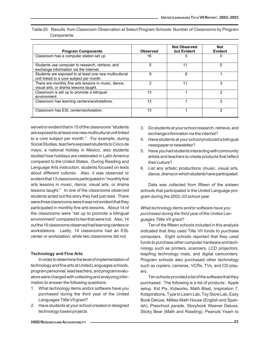| <b>Program Components</b>                                                                          | Observed | <b>Not Observed</b><br>but Evident | <b>Not</b><br><b>Evident</b> |
|----------------------------------------------------------------------------------------------------|----------|------------------------------------|------------------------------|
| Classroom has a computer station set up.                                                           | 16       |                                    |                              |
| Students use computer to research, retrieve, and<br>exchange information via the Internet.         | 5        | 11                                 | O                            |
| Students are exposed to at least one new multicultural<br>unit linked to a core subject per month. | 9        | 6                                  |                              |
| There are monthly fine arts lessons in music, dance,<br>visual arts, or drama lessons taught.      |          | 11                                 | 3                            |
| Classroom is set up to promote a bilingual<br>environment.                                         | 13       |                                    | っ                            |
| Classroom has learning centers/workstations.                                                       | 13       |                                    | っ                            |
| Classroom has ESL center/workstation.                                                              | 13       |                                    | າ                            |

Table 20: Results from Classroom Observation at Select Program Schools: Number of Classrooms by Program **Components** 

served or evident that in 15 of the classrooms "students are exposed to at least one new multicultural unit linked to a core subject per month." For example, during Social Studies, teachers exposed students to Cinco de mayo, a national holiday in Mexico, also students studied how holidays are celebrated in Latin America compared to the United States. During Reading and Language Arts instruction, students focused on texts about different cultures. Also, it was observed or evident that 13 classrooms participated in "monthly fine arts lessons in music, dance, visual arts, or drama lessons taught." In one of the classrooms observed students acted out the story they had just read. There were three classrooms were it was not evident that they participated in monthly fine arts lessons. About 14 of the classrooms were "set up to promote a bilingual environment" compared to two that were not. Also, 14 out the 16 classrooms observed had learning centers or workstations. Lastly, 14 classrooms had an ESL center or workstation, while two classrooms did not.

#### **Technology and Fine Arts**

In order to determine the level of implementation of technology and fine arts at United Languages schools, program personnel, lead teachers, and program evaluators were charged with collecting and analyzing information to answer the following questions.

- 1. What technology items and/or software have you purchased during the third year of the United Languages Tittle VII grant?
- 2. Have students at your school created or designed technology based projects
- 3. Do students at your school research, retrieve, and exchange information via the internet?
- 4. Have students at your school produced a bilingual newspaper or newsletter?
- 5. Have you had students interacting with community artists and teachers to create products that reflect their culture?
- 6. List any artistic productions (music, visual arts, dance, drama) in which students have participated.

Data was collected from fifteen of the sixteen schools that participated in the United Language program during the 2002–03 school year.

## *What technology items and/or software have you purchased during the third year of the United Languages Tittle VII grant?*

Ten of the fifteen schools included in this analysis indicated that they used Title VII funds to purchase computers. Eight schools reported that they used funds to purchase other computer hardware and technology such as printers, scanners, LCD projectors, leapfrog technology mats, and digital camcorders. Program schools also purchased other technology such as copiers, cameras, VCRs, TVs, and CD players.

Ten schools provided a list of the software that they purchased. The following is a list of products: Apple setup, Kid Pix, Kidworks, Math Blast, Inspiration 7, Kidspirations, Type to Learn Lab, Toy Store Lab, Easy Book Deluxe, Millies Math House (English and Spanish), Preschool parade, Storybook Weaver Deluxe, Sticky Bear (Math and Reading), Peanuts Yearn to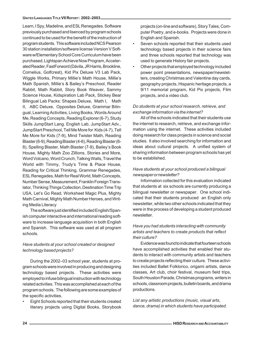Learn, I Spy, Madeline, and ESL Renegades. Software previously purchased and lisenced by program schools continued to be used for the benefit of the instruction of program students. This software included NCS Pearson 30 station installation/software license Version V Software w/Elementary School Core Curriculum have been purchased, Lightspan Achieve Now Program, Accelerated Reader, FastForword (Dávila, JR Harris, Brookline, Cornelius, Golfcrest), Kid Pix Deluxe V3 Lab Pack, Wiggle Works, Primary Millie's Math House, Millie's Math Spanish, Millie's & Bailey's Preschool, Reader Rabbit, Math Rabbit, Story Book Weaver, Sammy Science House, Kidspiration Lab Pack, Stickey Bear Bilingual Lab Packs: Shapes Deluxe, Math I, Math II, ABC Deluxe, Opposites Deluxe, Grammar Bilingual, Learning Activities, Living Books, Words Around Me, Reading Concepts, Reading Explorer (6-7), Study Skills JumpStart Lang. English Lab, JumpStart Adv., JumpStart Preschool, Tell Me More for Kids (4-7), Tell Me More for Kids (7-9), Mind Twister Math, Reading Blaster (6-9), Reading Blaster (4-6), Reading Blaster (6- 8), Spelling Blaster, Math Blaster (7-9), Bailey's Book House, Mighty Math Zoo Zillions, Stories and More, Word Volcano, Word Crunch, Talking Walls, Travel the World with Timmy, Trudy's Time & Place House, Reading for Critical Thinking, Grammar Renegades, ESL Renegades, Math for Real World, Math Concepts, Number Sense, Measurement, Franklin Foreign Translator, Thinking Things Collection, Destination Time Trip USA, Let's Go Read, Worksheet Magic Plus, Mighty Math Carnival, Mighty Math Number Heroes, and Writing Media Literacy

The software just identified included English/Spanish computer interactive and international reading software to increase language acquisition in both English and Spanish. This software was used at all program schools.

## *Have students at your school created or designed technology based projects?*

During the 2002–03 school year, students at program schools were involved in producing and designing technology based projects. These activities were employed to infuse bilingual instruction with technology related activities. This was accomplished at each of the program schools. The following are some examples of the specific activities.

• Eight Schools reported that their students created literary projects using Digital Books, Storybook projects (on-line and software), Story Tales, Computer Poetry, and e-books. Projects were done in English and Spanish.

- Seven schools reported that their students used technology based projects in their science fairs and three schools reported that technology was used to generate History fair projects.
- Other projects that employed technology included power point presentations, newspaper/newsletters, creating Christmas and Valentine day cards, geography projects, Hispanic heritage projects, a 9/11 memorial program, Kid Pix projects, Film projects, and a video club.

## *Do students at your school research, retrieve, and exchange information via the internet?*

All of the schools indicated that their students use the internet to research, retrieve, and exchange information using the internet. These activities included doing research for class projects in science and social studies. It also involved searching for information and ideas about cultural projects. A unified system of sharing information between program schools has yet to be established.

## *Have students at your school produced a bilingual newspaper or newsletter?*

Information collected for this evaluation indicated that students at six schools are currently producing a bilingual newsletter or newspaper. One school indicated that their students produced an English only newsletter, while two other schools indicated that they were in the process of developing a student produced newsletter.

## *Have you had students interacting with community artists and teachers to create products that reflect their culture?*

Evidence was found to indicate that fourteen schools have accomplished activities that enabled their students to interact with community artists and teachers to create projects reflecting their culture. These activities included Ballet Folklorico, origami artists, dance classes, Art club, choir festival, museum field trips, South Houston Parade, Christmas programs, writers in schools, classroom projects, bulletin boards, and drama productions.

*List any artistic productions (music, visual arts, dance, drama) in which students have participated.*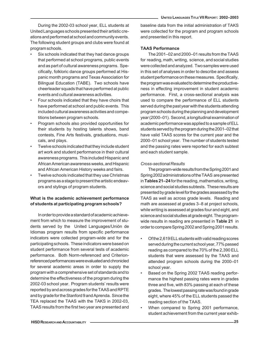During the 2002-03 school year, ELL students at United Languages schools presented their artistic creations and performed at school and community events. The following student groups and clubs were found at program schools.

- Six schools indicated that they had dance groups that performed at school programs, public events and as part of cultural awareness programs. Specifically, folkloric dance groups performed at Hispanic month programs and Texas Association for Bilingual Education (TABE). Two schools have cheerleader squads that have performed at public events and cultural awareness activities.
- Four schools indicated that they have choirs that have performed at school and public events. This included cultural awareness activities and competitions between program schools.
- Program schools also provided opportunities for their students by hosting talents shows, band contests, Fine Arts festivals, graduations, musicals, and plays.
- Twelve schools indicated that they include student art work and student performance in their cultural awareness programs. This included Hispanic and African American awareness weeks, and Hispanic and African American History weeks and fairs.
- Twelve schools indicated that they use Christmas programs as a stage to present the artistic endeavors and stylings of program students.

## **What is the academic achievement performance of students at participating program schools?**

In order to provide a standard of academic achievement from which to measure the improvement of students served by the United Languages/Unión de Idiomas program results from specific performance indicators were collected program-wide and for the participating schools. These indicators were based on student performance from several tests of academic performance. Both Norm-referenced and Criterionreferenced performances were evaluated and chronicled for several academic areas in order to supply the program with a comprehensive set of standards and to determine the effectiveness of the program during the 2002-03 school year. Program students' results were reported by and across grades for the TAAS and RPTE and by grade for the Stanford 9 and Aprenda. Since the TEA replaced the TAAS with the TAKS in 2002-03, TAAS results from the first two year are presented and baseline data from the initial administration of TAKS were collected for the program and program schools and presented in this report.

## **TAAS Performance**

The 2001–02 and 2000–01 results from the TAAS for reading, math, writing, science, and social studies were collected and analyzed. Two samples were used in this set of analyses in order to describe and assess student performance on these measures. Specifically, the program was evaluated to determine the productiveness in effecting improvement in student academic performance. First, a cross-sectional analysis was used to compare the performance of ELL students served during the past year with the students attending program schools during the planning and development year (2000–01). Second, a longitudinal examination of academic performance was applied to a sample of ELL students served by the program during the 2001–02 that have valid TAAS scores for the current year and the 2000–01 school year. The number of students tested and the passing rates were reported for each subtest and each student sample.

## *Cross-sectional Results*

The program-wide results from the Spring 2001 and Spring 2002 administrations of the TAAS are presented in **Tables 21–24** for the reading, mathematics, writing, science and social studies subtests. These results are presented by grade level for the grades assessed by the TAAS as well as across grade levels. Reading and math are assessed at grades 3–8 at project schools, while writing is assessed at grades four and eight, and science and social studies at grade eight. The programwide results in reading are presented in **Table 21** in order to compare Spring 2002 and Spring 2001 results.

- Of the 2,619 ELL students with valid reading scores served during the current school year, 77% passed reading as compared to the 70% of the 2,390 ELL students that were assessed by the TAAS and attended program schools during the 2000–01 school year.
- Based on the Spring 2002 TAAS reading performance the highest passing rates were in grades three and five, with 83% passing at each of these grades. The lowest passing rate was found in grade eight, where 45% of the ELL students passed the reading section of the TAAS.
- When compared to Spring 2001 performance, student achievement from the current year exhib-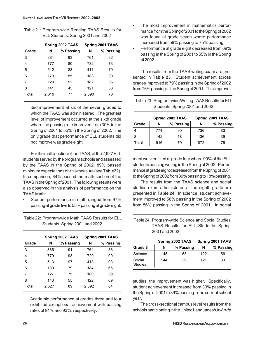|       |       | Spring 2002 TAAS | <b>Spring 2001 TAAS</b> |           |
|-------|-------|------------------|-------------------------|-----------|
| Grade | N     | % Passing        | N                       | % Passing |
| 3     | 881   | 83               | 761                     | 82        |
| 4     | 777   | 80               | 732                     | 73        |
| 5     | 512   | 83               | 411                     | 79        |
| 6     | 179   | 55               | 183                     | 30        |
| 7     | 129   | 52               | 182                     | 35        |
| 8     | 141   | 45               | 121                     | 58        |
| Total | 2,619 | 77               | 2,390                   | 70        |

Table 21: Program-wide Reading TAAS Results for ELL Students: Spring 2001 and 2002

ited improvement at six of the seven grades to which the TAAS was administered. The greatest level of improvement occurred at the sixth grade where the passing rate improved from 30% in the Spring of 2001 to 55% in the Spring of 2002. The only grade that performance of ELL students did not improve was grade eight.

For the math section of the TAAS, of the 2,627 ELL students served by the program schools and assessed by the TAAS in the Spring of 2002, 89% passed minimum expectations on this measure (see **Table22**). In comparison, 84% passed the math section of the TAAS in the Spring of 2001. The following results were also observed in this analysis of performance on the TAAS Math:

• Student performance in math ranged from 97% passing at grade five to 55% passing at grade eight.

| Table 22: Program-wide Math TAAS Results for ELL |
|--------------------------------------------------|
| Students: Spring 2001 and 2002                   |

|       |       | Spring 2002 TAAS |       | Spring 2001 TAAS |
|-------|-------|------------------|-------|------------------|
| Grade | N     | % Passing        | N     | % Passing        |
| 3     | 885   | 91               | 764   | 86               |
| 4     | 779   | 93               | 729   | 90               |
| 5     | 513   | 97               | 413   | 93               |
| 6     | 180   | 79               | 184   | 65               |
|       | 127   | 75               | 180   | 59               |
| 8     | 143   | 55               | 122   | 69               |
| Total | 2.627 | 89               | 2,392 | 84               |

Academic performance at grades three and four exhibited exceptional achievement with passing rates of 91% and 93%, respectively.

- The most improvement in mathematics performance from the Spring of 2001 to the Spring of 2002 was found at grade seven where performance increased from 59% passing to 75% passing.
- Performance at grade eight decreased from 69% passing in the Spring of 2001 to 55% in the Spring of 2002.

The results from the TAAS writing exam are presented in **Table 23**. Student achievement across grades improved to 79% passing in the Spring of 2002 from 76% passing in the Spring of 2001. This improve-

| Table 23: Program-wide Writing TAAS Results for ELL |  |
|-----------------------------------------------------|--|
| Students: Spring 2001 and 2002                      |  |

|       |     | <b>Spring 2002 TAAS</b> |     | Spring 2001 TAAS |
|-------|-----|-------------------------|-----|------------------|
| Grade | N   | % Passing               | N   | % Passing        |
|       | 774 | 90                      | 736 | 83               |
| 8     | 142 | 18                      | 136 | 39               |
| Total | 916 | 79                      | 872 | 76               |

ment was realized at grade four where 90% of the ELL students passing writing in the Spring of 2002. Performance at grade eight decreased from the Spring of 2001 to the Spring of 2002 from 39% passing to 18% passing.

The results from the TAAS science and social studies exam administered at the eighth grade are presented in **Table 24**. In science, student achievement improved to 58% passing in the Spring of 2002 from 56% passing in the Spring of 2001. In social

Table 24: Program-wide Science and Social Studies TAAS Results for ELL Students: Spring 2001 and 2002

|                          |     | Spring 2002 TAAS |     | Spring 2001 TAAS |
|--------------------------|-----|------------------|-----|------------------|
| Grade 8                  | N   | % Passing        | N   | % Passing        |
| Science                  | 145 | 58               | 122 | 56               |
| Social<br><b>Studies</b> | 144 | 39               | 121 | 33               |

studies, the improvement was higher. Specifically, student achievement increased from 33% passing in the Spring of 2001 to 39% passing in the current school year.

The cross-sectional campus level results from the schools participating in the United Languages/*Unión de*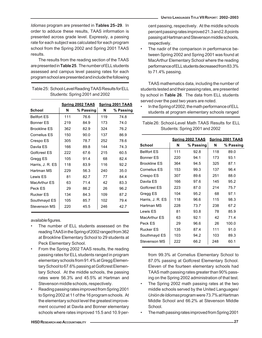*Idiomas* program are presented in **Tables 25–29**. In order to adduce these results, TAAS information is presented across grade level. Expressly, a passing rate for each subject was calculated for each program school from the Spring 2002 and Spring 2001 TAAS results.

The results from the reading section of the TAAS are presented in **Table 25**. The number of ELL students assessed and campus level passing rates for each program school are presented and include the following

Table 25: School-Level Reading TAAS Results for ELL Students: Spring 2001 and 2002

|                     |     | Spring 2002 TAAS |     | Spring 2001 TAAS |
|---------------------|-----|------------------|-----|------------------|
| School              | N   | % Passing        | N   | % Passing        |
| <b>Bellfort ES</b>  | 111 | 76.6             | 119 | 74.8             |
| <b>Bonner ES</b>    | 219 | 84.9             | 173 | 74.0             |
| <b>Brookline ES</b> | 362 | 82.9             | 324 | 76.2             |
| Cornelius ES        | 150 | 90.0             | 137 | 86.9             |
| Crespo ES           | 305 | 78.7             | 252 | 78.6             |
| Davila ES           | 166 | 89.8             | 144 | 74.3             |
| Golfcrest ES        | 222 | 67.6             | 215 | 60.5             |
| Gregg ES            | 105 | 91.4             | 68  | 824              |
| Harris, J. R. ES    | 118 | 83.9             | 116 | 922              |
| Hartman MS          | 229 | 56.3             | 240 | 35.0             |
| I ewis FS           | 81  | 82.7             | 77  | 84.4             |
| MacArthur ES        | 63  | 71.4             | 42  | 83.3             |
| Peck FS             | 29  | 86.2             | 26  | 96.2             |
| Rucker FS           | 134 | 84.3             | 109 | 87.2             |
| Southmayd ES        | 105 | 85.7             | 102 | 79.4             |
| Stevenson MS        | 220 | 45.5             | 246 | 42.7             |

available figures.

- The number of ELL students assessed on the reading TAAS in the Spring of 2002 ranged from 362 at Brookline Elementary School to 29 students at Peck Elementary School.
- From the Spring 2002 TAAS results, the reading passing rates for ELL students ranged in program elementary schools from 91.4% at Gregg Elementary School to 67.6% passing at Golfcrest Elementary School. At the middle schools, the passing rates were 56.3% and 45.5% at Hartman and Stevenson middle schools, respectively.
- Reading passing rates improved from Spring 2001 to Spring 2002 at 11 of the 16 program schools. At the elementary school level the greatest improvement occurred at Davila and Bonner elementary schools where rates improved 15.5 and 10.9 per-

cent passing, respectively. At the middle schools percent passing rates improved 21.3 and 2.8 points passing at Hartman and Stevenson middle schools, respectively.

The nadir of the comparison in performance between Spring 2002 and Spring 2001 was found at MacArthur Elementary School where the reading performance of ELL students decreased from 83.3% to 71.4% passing.

TAAS mathematics data, including the number of students tested and their passing rates, are presented by school in **Table 26**. The data from ELL students served over the past two years are noted.

• In the Spring of 2002, the math performance of ELL students at program elementary schools ranged

Table 26: School-Level Math TAAS Results for ELL Students: Spring 2001 and 2002

|                     | <b>Spring 2002 TAAS Spring 2001 TAAS</b> |           |     |           |
|---------------------|------------------------------------------|-----------|-----|-----------|
| School              | N                                        | % Passing | N   | % Passing |
| <b>Bellfort ES</b>  | 111                                      | 92.8      | 118 | 89.0      |
| <b>Bonner ES</b>    | 220                                      | 94.1      | 173 | 93.1      |
| <b>Brookline ES</b> | 364                                      | 94.5      | 325 | 87.1      |
| Cornelius ES        | 153                                      | 99.3      | 137 | 96.4      |
| Crespo ES           | 307                                      | 89.6      | 251 | 88.0      |
| Davila ES           | 166                                      | 97.6      | 145 | 95.2      |
| Golfcrest ES        | 223                                      | 87.0      | 214 | 75.7      |
| Gregg ES            | 104                                      | 95.2      | 68  | 97.1      |
| Harris, J. R. ES    | 118                                      | 96.6      | 115 | 98.3      |
| Hartman MS          | 228                                      | 73.7      | 238 | 67.2      |
| Lewis ES            | 81                                       | 93.8      | 78  | 85.9      |
| MacArthur FS        | 63                                       | 92.1      | 42  | 71.4      |
| Peck FS             | 29                                       | 96.6      | 26  | 100.0     |
| Rucker FS           | 135                                      | 87.4      | 111 | 91.0      |
| Southmayd ES        | 103                                      | 94.2      | 103 | 89.3      |
| Stevenson MS        | 222                                      | 66.2      | 248 | 60.1      |

from 99.3% at Cornelius Elementary School to 87.0% passing at Golfcrest Elementary School. Eleven of the fourteen elementary schools had TAAS math passing rates greater than 90% passing on the Spring 2002 administration of that test.

- The Spring 2002 math passing rates at the two middle schools served by the United Languages/ *Unión de Idiomas* program were 73.7% at Hartman Middle School and 66.2% at Stevenson Middle School.
- The math passing rates improved from Spring 2001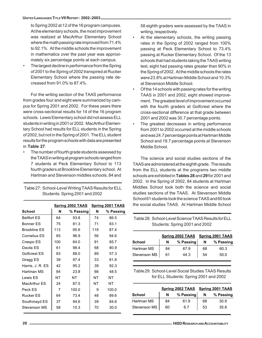to Spring 2002 at 12 of the 16 program campuses. At the elementary schools, the most improvement was realized at MacArthur Elementary School where the math passing rate improved from 71.4% to 92.1%. At the middle schools the improvement in mathematics over the past year was approximately six percentage points at each campus.

• The largest decline in performance from the Spring of 2001 to the Spring of 2002 transpired at Rucker Elementary School where the passing rate decreased from 91.0% to 87.4%.

For the writing section of the TAAS performance from grades four and eight were summarized by campus for Spring 2001 and 2002. For these years there were cross-sectional results for 14 of the 16 program schools. Lewis Elementary school did not assess ELL students in writing in 2001 or 2002. MacArthur Elementary School had results for ELL students in the Spring of 2002, but not in the Spring of 2001. The ELL student results for the program schools with data are presented in **Table 27**.

The number of fourth grade students assessed by the TAAS in writing at program schools ranged from 7 students at Peck Elementary School to 113 fourth graders at Brookline Elementary school. At Hartman and Stevenson middles schools, 84 and

| Table 27: School-Level Writing TAAS Results for ELL |
|-----------------------------------------------------|
| Students: Spring 2001 and 2002                      |

|                     | Spring 2002 TAAS |           | <b>Spring 2001 TAAS</b> |           |
|---------------------|------------------|-----------|-------------------------|-----------|
| School              | N                | % Passing | N                       | % Passing |
| <b>Bellfort FS</b>  | 64               | 93.8      | 74                      | 86.5      |
| Bonner ES           | 75               | 81.3      | 71                      | 83.1      |
| <b>Brookline ES</b> | 113              | 95.6      | 119                     | 87.4      |
| Cornelius ES        | 65               | 96.9      | 56                      | 94.6      |
| Crespo ES           | 100              | 84.0      | 91                      | 85.7      |
| Davila ES           | 61               | 98.4      | 68                      | 80.9      |
| Golfcrest ES        | 83               | 88.0      | 89                      | 57.3      |
| Gregg ES            | 39               | 97.4      | 33                      | 81.8      |
| Harris, J. R. ES    | 42               | 95.2      | 39                      | 92.3      |
| Hartman MS          | 84               | 23.8      | 66                      | 48.5      |
| Lewis ES            | NΤ               | NΤ        | NΤ                      | NΤ        |
| <b>MacArthur ES</b> | 24               | 87.5      | NΤ                      | NΤ        |
| Peck ES             | 7                | 100.0     | 9                       | 100.0     |
| Rucker ES           | 64               | 73.4      | 48                      | 89.6      |
| Southmayd ES        | 37               | 94.6      | 39                      | 84.6      |
| Stevenson MS        | 58               | 10.3      | 70                      | 30.0      |

58 eighth graders were assessed by the TAAS in writing, respectively.

- At the elementary schools, the writing passing rates in the Spring of 2002 ranged from 100% passing at Peck Elementary School to 73.4% passing at Rucker Elementary School. Of the 13 schools that had students taking the TAAS writing test, eight had passing rates greater than 90% in the Spring of 2002. At the middle schools the rates were 23.8% at Hartman Middle School and 10.3% at Stevenson Middle School.
- Of the 14 schools with passing rates for the writing TAAS in 2001 and 2002, eight showed improvement. The greatest level of improvement occurred with the fourth graders at Golfcrest where the cross-sectional difference at that grade between 2001 and 2002 was 30.7 percentage points.
- The greatest decreases in writing performance from 2001 to 2002 occurred at the middle schools and was 24.7 percentage points at Hartman Middle School and 19.7 percentage points at Stevenson Middle School.

The science and social studies sections of the TAAS are administered at the eighth grade. The results from the ELL students at the programs two middle schools are exhibited in **Tables 28** and **29** for 2001 and 2002. In the Spring of 2002, 84 students at Hartman Middles School took both the science and social studies sections of the TAAS. At Stevenson Middle School 61 students took the science TAAS and 60 took the social studies TAAS. At Hartman Middle School

| Table 28: School-Level Science TAAS Results for ELL |
|-----------------------------------------------------|
| Students: Spring 2001 and 2002                      |

|               | Spring 2002 TAAS Spring 2001 TAAS |           |    |           |
|---------------|-----------------------------------|-----------|----|-----------|
| <b>School</b> | N                                 | % Passing | N  | % Passing |
| Hartman MS    | 84                                | 67.9      | 68 | 60.3      |
| Stevenson MS  | 61                                | 44.3      | 54 | 50.0      |

Table 29: School-Level Social Studies TAAS Results for ELL Students: Spring 2001 and 2002

|               | Spring 2002 TAAS Spring 2001 TAAS |           |    |           |
|---------------|-----------------------------------|-----------|----|-----------|
| <b>School</b> | N                                 | % Passing | N  | % Passing |
| Hartman MS    | 84                                | 61.9      | 68 | 30.9      |
| Stevenson MS  | 60                                | 6.7       | 53 | 35.8      |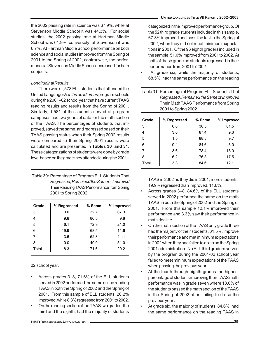the 2002 passing rate in science was 67.9%, while at Stevenson Middle School it was 44.3%. For social studies, the 2002 passing rate at Hartman Middle School was 61.9%, conversely, at Stevenson it was 6.7%. At Hartman Middle School performance on both science and social studies improved from the Spring of 2001 to the Spring of 2002, contrariwise, the performance at Stevenson Middle School decreased for both subjects.

#### *Longitudinal Results*

There were 1,573 ELL students that attended the United Languages/*Unión de Idiomas* program schools during the 2001–02 school year that have current TAAS reading results and results from the Spring of 2001. Similarly, 1,581 of the students served at program campuses had two years of data for the math section of the TAAS. The percentages of students that improved, stayed the same, and regressed based on their TAAS passing status when their Spring 2002 results were compared to their Spring 2001 results were calculated and are presented in **Tables 30 and 31**. These categorizations of students were done by grade level based on the grade they attended during the 2001–

Table 30: Percentage of Program ELL Students That *Regressed*, *Remained the Same* or *Improved* Their Reading TAAS Performance from Spring 2001 to Spring 2002

| Grade | % Regressed | % Same | % Improved |
|-------|-------------|--------|------------|
| 3     | 0.0         | 32.7   | 67.3       |
| 4     | 9.8         | 80.5   | 9.8        |
| 5     | 6.1         | 72.9   | 21.0       |
| 6     | 19.9        | 68.5   | 11.6       |
| 7     | 3.6         | 52.3   | 44.1       |
| 8     | 0.0         | 49.0   | 51.0       |
| Total | 8.3         | 71.6   | 20.2       |

02 school year.

- Across grades 3–8, 71.6% of the ELL students served in 2002 performed the same on the reading TAAS in both the Spring of 2002 and the Spring of 2001. From this sample of ELL students, 20.2% improved, while 8.3% regressed from 2001 to 2002.
- On the reading section of the TAAS two grades, the third and the eighth, had the majority of students

categorized in the improved performance group. Of the 52 third grade students included in this sample, 67.3% improved and pass the test in the Spring of 2002, when they did not meet minimum expectations in 2001. Of the 96 eighth graders included in the sample, 51.0% improved from 2001 to 2002. At both of these grade no students regressed in their performance from 2001 to 2002.

At grade six, while the majority of students, 68.5%, had the same performance on the reading

Table 31: Percentage of Program ELL Students That *Regressed*, *Remained the Same* or *Improved* Their Math TAAS Performance from Spring 2001 to Spring 2002

| Grade | % Regressed | % Same | % Improved |
|-------|-------------|--------|------------|
| 3     | 0.0         | 38.5   | 61.5       |
| 4     | 3.0         | 87.4   | 9.6        |
| 5     | 1.5         | 88.8   | 9.7        |
| 6     | 9.4         | 84.6   | 6.0        |
| 7     | 3.6         | 78.4   | 18.0       |
| 8     | 6.2         | 76.3   | 17.5       |
| Total | 3.3         | 84.6   | 12.1       |

TAAS in 2002 as they did in 2001, more students, 19.9% regressed than improved, 11.6%.

- Across grades 3–8, 84.6% of the ELL students served in 2002 performed the same on the math TAAS in both the Spring of 2002 and the Spring of 2001. From this sample 12.1% improved their performance and 3.3% saw their performance in math decline.
- On the math section of the TAAS only grade three had the majority of their students, 61.5%, improve their performance and met minimum expectations in 2002 when they had failed to do so on the Spring 2001 administration. No ELL third graders served by the program during the 2001-02 school year failed to meet minimum expectations of the TAAS when passing the previous year.
- At the fourth through eighth grades the highest percentage of students improving their TAAS math performance was in grade seven where 18.0% of the students passed the math section of the TAAS in the Spring of 2002 after failing to do so the previous year .
- At grade six, the majority of students, 84.6%, had the same performance on the reading TAAS in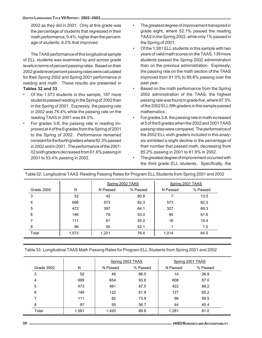#### **UNITED LANGUAGES TITLE VII REPORT: 2002–2003**

2002 as they did in 2001. Only at this grade was the percentage of students that regressed in their math performance, 9.4%, higher than the percentage of students, 6.0% that improved.

The TAAS performance of this longitudinal sample of ELL students was examined by and across grade levels in terms of percent passing rates. Based on their 2002 grade level percent passing rates were calculated for their Spring 2002 and Spring 2001 performance in reading and math. These results are presented in **Tables 32 and 33**.

- Of the 1,573 students in this sample, 187 more students passed reading in the Spring of 2002 than in the Spring of 2001. Expressly, the passing rate in 2002 was 76.4% while the passing rate on the reading TAAS in 2001 was 64.5%.
- For grades 3-8, the passing rate in reading improved at 4 of the 6 grades from the Spring of 2001 to the Spring of 2002. Performance remained constant for the fourth graders where 82.3% passed in 2002 and in 2001. The performance of the 2001- 02 sixth graders decreased from 61.6% passing in 2001 to 53.4% passing in 2002.
- The greatest degree of improvement transpired in grade eight, where 52.1% passed the reading TAAS in the Spring 2002, while only 1% passed in the Spring of 2001.
- Of the 1,581 ELL students in this sample with two years of valid math scores on the TAAS, 139 more students passed the Spring 2002 administration than on the previous administration. Expressly, the passing rate on the math section of the TAAS improved from 81.0% to 89.8% passing over the past year.
- Based on the math performance from the Spring 2002 administration of the TAAS, the highest passing rate was found in grade five, where 97.5% of the 2002 ELL fifth graders in this sample passed mathematics.
- For grades 3-8, the passing rate in math increased at 5 of the 6 grades when the 2002 and 2001 TAAS passing rates were compared. The performance of the 2002 ELL sixth graders included in this analysis exhibited a slight decline in the percentage of their number that passed math, decreasing from 85.2% passing in 2001 to 81.9% in 2002.
- The greatest degree of improvement occurred with the third grade ELL students. Specifically, the

|            |       |          | Spring 2002 TAAS |          | Spring 2001 TAAS |
|------------|-------|----------|------------------|----------|------------------|
| Grade 2002 | N     | N Passed | % Passed         | N Passed | % Passed         |
| 3          | 52    | 42       | 80.8             |          | 13.5             |
| 4          | 696   | 573      | 82.3             | 573      | 82.3             |
| 5          | 472   | 397      | 84.1             | 327      | 69.3             |
| 6          | 146   | 78       | 53.4             | 90       | 61.6             |
|            | 111   | 61       | 55.0             | 16       | 14.4             |
| 8          | 96    | 50       | 52.1             |          | 1.0              |
| Total      | 1,573 | 1,201    | 76.4             | 1,014    | 64.5             |

Table 32: Longitudinal TAAS Reading Passing Rates for Program ELL Students from Spring 2001 and 2002

Table 33: Longitudinal TAAS Math Passing Rates for Program ELL Students from Spring 2001 and 2002

|            |       |          | Spring 2002 TAAS | Spring 2001 TAAS |          |  |
|------------|-------|----------|------------------|------------------|----------|--|
| Grade 2002 | N     | N Passed | % Passed         | N Passed         | % Passed |  |
| 3          | 52    | 46       | 88.5             | 14               | 26.9     |  |
| 4          | 699   | 654      | 93.6             | 608              | 87.0     |  |
| 5          | 473   | 461      | 97.5             | 422              | 89.2     |  |
| 6          | 149   | 122      | 81.9             | 127              | 85.2     |  |
|            | 111   | 82       | 73.9             | 66               | 59.5     |  |
| 8          | 97    | 55       | 56.7             | 44               | 45.4     |  |
| Total      | 1,581 | 1,420    | 89.8             | 1,281            | 81.0     |  |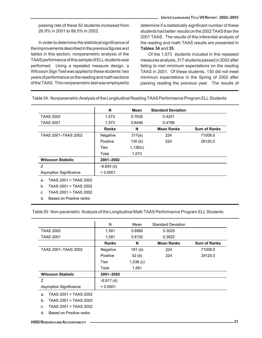passing rate of these 52 students increased from 26.9% in 2001 to 88.5% in 2002.

In order to determine the statistical significance of the improvements described in the previous figures and tables in this section, nonparametric analysis of the TAAS performance of this sample of ELL students was performed. Using a repeated measure design, a Wilcoxon Sign Test was applied to these students' two years of performance on the reading and math sections of the TAAS. This nonparametric test was employed to

determine if a statistically significant number of these students had better results on the 2002 TAAS than the 2001 TAAS. The results of this inferential analysis of the reading and math TAAS results are presented in **Tables 34** and **35**.

Of the 1,573 students included in this repeated measures analysis, 317 students passed in 2002 after failing to met minimum expectations on the reading TAAS in 2001. Of these students, 130 did not meet minimum expectations in the Spring of 2002 after passing reading the previous year. The results of

|                                | N            | Mean     | <b>Standard Deviation</b> |                     |
|--------------------------------|--------------|----------|---------------------------|---------------------|
| <b>TAAS 2002</b>               | 1,573        | 0.7635   | 0.4251                    |                     |
| <b>TAAS 2001</b>               | 1,573        | 0.6446   | 0.4788                    |                     |
|                                | <b>Ranks</b> | N        | <b>Mean Ranks</b>         | <b>Sum of Ranks</b> |
| TAAS 2001-TAAS 2002            | Negative     | 317(a)   | 224                       | 71008.0             |
|                                | Positive     | 130(b)   | 224                       | 29120.0             |
|                                | Ties         | 1,126(c) |                           |                     |
|                                | Total        | 1,573    |                           |                     |
| <b>Wilcoxon Statistic</b>      | 2001-2002    |          |                           |                     |
| Z                              | $-8.845$ (d) |          |                           |                     |
| <b>Asymption Significance</b>  | < 0.0001     |          |                           |                     |
| TAAS 2001 < TAAS 2002<br>a.    |              |          |                           |                     |
| TAAS 2001 > TAAS 2002<br>$b$ . |              |          |                           |                     |
| TAAS 2001 = TAAS 2002<br>C.    |              |          |                           |                     |
| Based on Positive ranks<br>d.  |              |          |                           |                     |

Table 34: Nonparametric Analysis of the Longitudinal Reading TAAS Performance Program ELL Students

Table 35: Non-parametric Analysis of the Longitudinal Math TAAS Performance Program ELL Students

|                           | N            | Mean      | <b>Standard Deviation</b> |                     |
|---------------------------|--------------|-----------|---------------------------|---------------------|
| <b>TAAS 2002</b>          | 1,581        | 0.8982    | 0.3025                    |                     |
| <b>TAAS 2001</b>          | 1,581        | 0.8102    | 0.3922                    |                     |
|                           | <b>Ranks</b> | N         | <b>Mean Ranks</b>         | <b>Sum of Ranks</b> |
| TAAS 2001-TAAS 2002       | Negative     | 191 $(a)$ | 224                       | 71008.0             |
|                           | Positive     | 52(b)     | 224                       | 29120.0             |
|                           | Ties         | 1,338(c)  |                           |                     |
|                           | Total        | 1,581     |                           |                     |
| <b>Wilcoxon Statistic</b> | 2001-2002    |           |                           |                     |
| Ζ                         | $-8.917$ (d) |           |                           |                     |
| Asymption Significance    | < 0.0001     |           |                           |                     |

a. TAAS 2001 < TAAS 2002

- b. TAAS 2001 > TAAS 2002
- c. TAAS 2001 = TAAS 2002
- d. Based on Positive ranks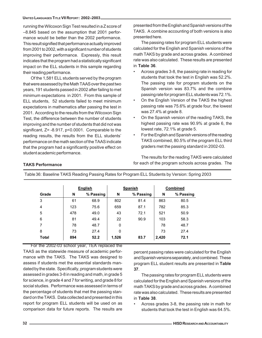running the Wilcoxon Sign Test resulted in a Z score of –8.845 based on the assumption that 2001 performance would be better than the 2002 performance. This result signified that performance actually improved from 2001 to 2002, with a significant number of students improving their performance. Expressly, this result indicates that the program had a statistically significant impact on the ELL students in this sample regarding their reading performance.

Of the 1,581 ELL students served by the program that were assessed by the Math TAAS over the past two years, 191 students passed in 2002 after failing to met minimum expectations in 2001. From this sample of ELL students, 52 students failed to meet minimum expectations in mathematics after passing the test in 2001. According to the results from the Wilcoxon Sign Test, the difference between the number of students improving and the number of students that did not was significant, Z= -8.917, p<0.0001. Comparable to the reading results, the results from the ELL students' performance on the math section of the TAAS indicate that the program had a significantly positive effect on student academic performance.

**TAKS Performance**

presented from the English and Spanish versions of the TAKS. A combine accounting of both versions is also presented here.

The passing rates for program ELL students were calculated for the English and Spanish versions of the math TAKS by grade and across grades. A combined rate was also calculated. These results are presented in **Table 36**.

- Across grades 3-8, the passing rate in reading for students that took the test in English was 52.2%. The passing rate for program students on the Spanish version was 83.7% and the combine passing rate for program ELL students was 72.1%.
- On the English Version of the TAKS the highest passing rate was 75.6% at grade four, the lowest was 27.4% at grade 8.
- On the Spanish version of the reading TAKS, the highest passing rate was 90.9% at grade 6, the lowest rate, 72.1% at grade 5.
- For the English and Spanish versions of the reading TAKS combined, 80.5% of the program ELL third graders met the passing standard in 2002-03.

The results for the reading TAKS were calculated for each of the program schools across grades. The

|              | <b>English</b> |           |       | <b>Spanish</b> | <b>Combined</b> |           |
|--------------|----------------|-----------|-------|----------------|-----------------|-----------|
| Grade        | N              | % Passing | N     | % Passing      | N               | % Passing |
| 3            | 61             | 68.9      | 802   | 81.4           | 863             | 80.5      |
| 4            | 123            | 75.6      | 659   | 87.1           | 782             | 85.3      |
| 5            | 478            | 49.0      | 43    | 72.1           | 521             | 50.9      |
| 6            | 81             | 49.4      | 22    | 90.9           | 103             | 58.3      |
| 7            | 78             | 48.7      | 0     |                | 78              | 48.7      |
| 8            | 73             | 27.4      | 0     |                | 73              | 27.4      |
| <b>Total</b> | 894            | 52.2      | 1,526 | 83.7           | 2,420           | 72.1      |

Table 36: Baseline TAKS Reading Passing Rates for Program ELL Students by Version: Spring 2003

For the 2002-03 school year, TEA replaced the TAAS as the statewide measure of academic performance with the TAKS. The TAKS was designed to assess if students met the essential standards mandated by the state. Specifically, program students were assessed in grades 3-8 in reading and math, in grade 5 for science, in grade 4 and 7 for writing, and grade 8 for social studies. Performance was assessed in terms of the percentage of students that met the passing standard on the TAKS. Data collected and presented in this report for program ELL students will be used on as comparison data for future reports. The results are

percent passing rates were calculated for the English and Spanish versions separately, and combined. These program ELL student results are presented in **Table 37**.

The passing rates for program ELL students were calculated for the English and Spanish versions of the math TAKS by grade and across grades. A combined rate was also calculated. These results are presented in **Table 38**.

• Across grades 3-8, the passing rate in math for students that took the test in English was 64.5%.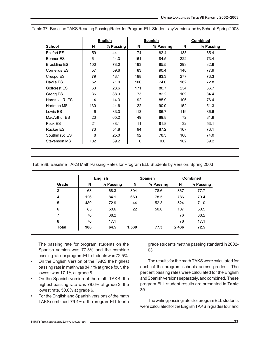|                     |     | <b>English</b> |     | <b>Spanish</b> |     | <b>Combined</b> |
|---------------------|-----|----------------|-----|----------------|-----|-----------------|
| <b>School</b>       | N   | % Passing      | N   | % Passing      | N   | % Passing       |
| <b>Bellfort ES</b>  | 59  | 44.1           | 74  | 82.4           | 133 | 65.4            |
| <b>Bonner ES</b>    | 61  | 44.3           | 161 | 84.5           | 222 | 73.4            |
| <b>Brookline ES</b> | 100 | 78.0           | 193 | 85.5           | 293 | 82.9            |
| <b>Cornelius ES</b> | 57  | 59.6           | 83  | 90.4           | 140 | 77.9            |
| Crespo ES           | 79  | 48.1           | 198 | 83.3           | 277 | 73.3            |
| Davila ES           | 62  | 71.0           | 100 | 74.0           | 162 | 72.8            |
| Golfcrest ES        | 63  | 28.6           | 171 | 80.7           | 234 | 66.7            |
| Gregg ES            | 36  | 88.9           | 73  | 82.2           | 109 | 84.4            |
| Harris, J. R. ES    | 14  | 14.3           | 92  | 85.9           | 106 | 76.4            |
| Hartman MS          | 130 | 44.6           | 22  | 90.9           | 152 | 51.3            |
| Lewis ES            | 6   | 83.3           | 113 | 86.7           | 119 | 86.6            |
| MacArthur ES        | 23  | 65.2           | 49  | 89.8           | 72  | 81.9            |
| Peck ES             | 21  | 38.1           | 11  | 81.8           | 32  | 53.1            |
| <b>Rucker ES</b>    | 73  | 54.8           | 94  | 87.2           | 167 | 73.1            |
| Southmayd ES        | 8   | 25.0           | 92  | 78.3           | 100 | 74.0            |
| Stevenson MS        | 102 | 39.2           | 0   | 0.0            | 102 | 39.2            |

Table 37: Baseline TAKS Reading Passing Rates for Program ELL Students by Version and by School: Spring 2003

#### Table 38: Baseline TAKS Math Passing Rates for Program ELL Students by Version: Spring 2003

|              |     | <b>English</b> |       | <b>Spanish</b> | <b>Combined</b> |           |
|--------------|-----|----------------|-------|----------------|-----------------|-----------|
| Grade        | N   | % Passing      | N     | % Passing      | N               | % Passing |
| 3            | 63  | 68.3           | 804   | 78.6           | 867             | 77.7      |
| 4            | 126 | 84.1           | 660   | 78.5           | 786             | 79.4      |
| 5            | 480 | 72.9           | 44    | 52.3           | 524             | 71.0      |
| 6            | 85  | 50.6           | 22    | 50.0           | 107             | 50.5      |
| 7            | 76  | 38.2           |       |                | 76              | 38.2      |
| 8            | 76  | 17.1           |       |                | 76              | 17.1      |
| <b>Total</b> | 906 | 64.5           | 1,530 | 77.3           | 2,436           | 72.5      |

The passing rate for program students on the Spanish version was 77.3% and the combine passing rate for program ELL students was 72.5%.

- On the English Version of the TAKS the highest passing rate in math was 84.1% at grade four, the lowest was 17.1% at grade 8.
- On the Spanish version of the math TAKS, the highest passing rate was 78.6% at grade 3, the lowest rate, 50.0% at grade 6.
- For the English and Spanish versions of the math TAKS combined, 79.4% of the program ELL fourth

grade students met the passing standard in 2002- 03.

The results for the math TAKS were calculated for each of the program schools across grades. The percent passing rates were calculated for the English and Spanish versions separately, and combined. These program ELL student results are presented in **Table 39**.

The writing passing rates for program ELL students were calculated for the English TAKS in grades four and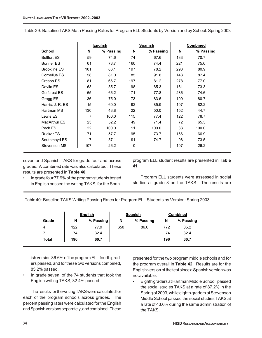|                     |     | <b>English</b> | <b>Spanish</b> |           |     |           | <b>Combined</b> |
|---------------------|-----|----------------|----------------|-----------|-----|-----------|-----------------|
| School              | N   | % Passing      | N              | % Passing | N   | % Passing |                 |
| <b>Bellfort ES</b>  | 59  | 74.6           | 74             | 67.6      | 133 | 70.7      |                 |
| <b>Bonner ES</b>    | 61  | 78.7           | 160            | 74.4      | 221 | 75.6      |                 |
| <b>Brookline ES</b> | 101 | 86.1           | 197            | 78.2      | 298 | 80.9      |                 |
| Cornelius ES        | 58  | 81.0           | 85             | 91.8      | 143 | 87.4      |                 |
| Crespo ES           | 81  | 66.7           | 197            | 81.2      | 278 | 77.0      |                 |
| Davila ES           | 63  | 85.7           | 98             | 65.3      | 161 | 73.3      |                 |
| Golfcrest ES        | 65  | 66.2           | 171            | 77.8      | 236 | 74.6      |                 |
| Gregg ES            | 36  | 75.0           | 73             | 83.6      | 109 | 80.7      |                 |
| Harris, J. R. ES    | 15  | 60.0           | 92             | 85.9      | 107 | 82.2      |                 |
| Hartman MS          | 130 | 43.8           | 22             | 50.0      | 152 | 44.7      |                 |
| Lewis ES            | 7   | 100.0          | 115            | 77.4      | 122 | 78.7      |                 |
| <b>MacArthur ES</b> | 23  | 52.2           | 49             | 71.4      | 72  | 65.3      |                 |
| Peck ES             | 22  | 100.0          | 11             | 100.0     | 33  | 100.0     |                 |
| <b>Rucker ES</b>    | 71  | 57.7           | 95             | 73.7      | 166 | 66.9      |                 |
| Southmayd ES        | 7   | 57.1           | 91             | 74.7      | 98  | 73.5      |                 |
| Stevenson MS        | 107 | 26.2           | 0              |           | 107 | 26.2      |                 |

seven and Spanish TAKS for grade four and across grades. A combined rate was also calculated. These results are presented in **Table 40**.

• In grade four 77.9% of the program students tested in English passed the writing TAKS, for the Spanprogram ELL student results are presented in **Table 41**.

Program ELL students were assessed in social studies at grade 8 on the TAKS. The results are

Table 40: Baseline TAKS Writing Passing Rates for Program ELL Students by Version: Spring 2003

|              |     | <b>English</b> |     | <b>Spanish</b> |     | <b>Combined</b> |
|--------------|-----|----------------|-----|----------------|-----|-----------------|
| Grade        | N   | % Passing      | N   | % Passing      | N   | % Passing       |
| 4            | 122 | 77.9           | 650 | 86.6           | 772 | 85.2            |
|              | 74  | 32.4           |     |                | 74  | 32.4            |
| <b>Total</b> | 196 | 60.7           |     |                | 196 | 60.7            |

ish version 86.6% of the program ELL fourth graders passed, and for these two versions combined, 85.2% passed.

In grade seven, of the 74 students that took the English writing TAKS, 32.4% passed.

The results for the writing TAKS were calculated for each of the program schools across grades. The percent passing rates were calculated for the English and Spanish versions separately, and combined. These presented for the two program middle schools and for the program overall in **Table 42**. Results are for the English version of the test since a Spanish version was not available.

• Eighth graders at Hartman Middle School, passed the social studies TAKS at a rate of 87.2% in the Spring of 2003, while eighth graders at Stevenson Middle School passed the social studies TAKS at a rate of 43.6% during the same administration of the TAKS.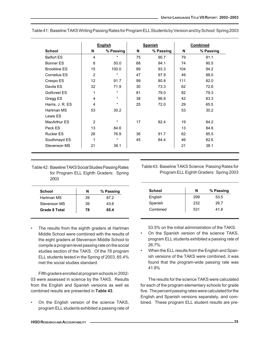|                     |                 | <b>English</b> |    | <b>Spanish</b> | Combined |           |
|---------------------|-----------------|----------------|----|----------------|----------|-----------|
| <b>School</b>       | N               | % Passing      | N  | % Passing      | N        | % Passing |
| <b>Belfort ES</b>   | $\overline{4}$  | $^\star$       | 75 | 90.7           | 79       | 91.1      |
| Bonner ES           | 6               | 50.0           | 68 | 94.1           | 74       | 90.5      |
| <b>Brookline ES</b> | 15              | 100.0          | 89 | 93.3           | 104      | 94.2      |
| Cornelius ES        | $\overline{2}$  | $^\star$       | 47 | 97.9           | 49       | 98.0      |
| Crespo ES           | 12 <sup>2</sup> | 91.7           | 99 | 80.8           | 111      | 82.0      |
| Davila ES           | 32              | 71.9           | 30 | 73.3           | 62       | 72.6      |
| Golfcrest ES        | 1               | $\star$        | 81 | 79.0           | 82       | 79.3      |
| Gregg ES            | 4               | $\star$        | 38 | 86.8           | 42       | 83.3      |
| Harris, J. R. ES    | 4               | $^\star$       | 25 | 72.0           | 29       | 65.5      |
| Hartman MS          | 53              | 30.2           |    |                | 53       | 30.2      |
| Lewis ES            |                 |                |    |                |          |           |
| MacArthur ES        | 2               | $^\star$       | 17 | 82.4           | 19       | 84.2      |
| Peck ES             | 13              | 84.6           |    |                | 13       | 84.6      |
| <b>Rucker ES</b>    | 26              | 76.9           | 36 | 91.7           | 62       | 85.5      |
| Southmayd ES        | 1               | $^\star$       | 45 | 84.4           | 46       | 82.6      |
| Stevenson MS        | 21              | 38.1           |    |                | 21       | 38.1      |

Table 41: Baseline TAKS Writing Passing Rates for Program ELL Students by Version and by School: Spring 2003

Table 42: Baseline TAKS Social Studies Passing Rates for Program ELL Eighth Graders: Spring 2003

| School               | N  | % Passing |
|----------------------|----|-----------|
| Hartman MS           | 39 | 87.2      |
| Stevenson MS         | 39 | 43.6      |
| <b>Grade 8 Total</b> | 78 | 65.4      |

The results from the eighth graders at Hartman Middle School were combined with the results of the eight graders at Stevenson Middle School to compile a program level passing rate on the social studies section of the TAKS. Of the 78 program ELL students tested in the Spring of 2003, 65.4% met the social studies standard.

Fifth graders enrolled at program schools in 2002- 03 were assessed in science by the TAKS. Results from the English and Spanish versions as well as combined results are presented in **Table 43**.

On the English version of the science TAKS, program ELL students exhibited a passing rate of Table 43: Baseline TAKS Science Passing Rates for Program ELL Eighth Graders: Spring 2003

| School   | N   | % Passing |
|----------|-----|-----------|
| English  | 299 | 53.5      |
| Spanish  | 232 | 26.7      |
| Combined | 531 | 41.8      |

53.5% on the initial administration of the TAKS.

- On the Spanish version of the science TAKS, program ELL students exhibited a passing rate of 26.7%.
- When the ELL results from the English and Spanish versions of the TAKS were combined, it was found that the program-wide passing rate was 41.8%

The results for the science TAKS were calculated for each of the program elementary schools for grade five. The percent passing rates were calculated for the English and Spanish versions separately, and combined. These program ELL student results are pre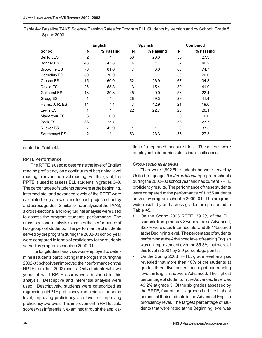Table 44: Baseline TAKS Science Passing Rates for Program ELL Students by Version and by School: Grade 5, Spring 2003

|                     |                | <b>English</b> |                | <b>Spanish</b> | <b>Combined</b> |           |
|---------------------|----------------|----------------|----------------|----------------|-----------------|-----------|
| <b>School</b>       | N              | % Passing      | N              | % Passing      | N               | % Passing |
| <b>Bellfort ES</b>  | $\overline{2}$ | $\star$        | 53             | 28.3           | 55              | 27.3      |
| <b>Bonner ES</b>    | 48             | 43.8           | 4              | $\star$        | 52              | 46.2      |
| <b>Brookline ES</b> | 76             | 81.6           | $\overline{7}$ | 0.0            | 83              | 74.7      |
| Cornelius ES        | 50             | 70.0           |                |                | 50              | 70.0      |
| Crespo ES           | 15             | 60.0           | 52             | 26.9           | 67              | 34.3      |
| Davila ES           | 26             | 53.8           | 13             | 15.4           | 39              | 41.0      |
| Golfcrest ES        | 13             | 30.8           | 45             | 20.0           | 58              | 22.4      |
| Gregg ES            | 1              | $\star$        | 28             | 39.3           | 29              | 41.4      |
| Harris, J. R. ES    | 14             | 7.1            | 7              | 42.9           | 21              | 19.0      |
| Lewis ES            | 1              | $\star$        | 22             | 22.7           | 23              | 26.1      |
| MacArthur ES        | 8              | 0.0            |                |                | 8               | 0.0       |
| Peck ES             | 38             | 23.7           |                |                | 38              | 23.7      |
| <b>Rucker ES</b>    | 7              | 42.9           | 1              | $\star$        | 8               | 37.5      |
| Southmayd ES        | $\overline{2}$ | $\star$        | 53             | 28.3           | 55              | 27.3      |

sented in **Table 44**.

#### **RPTE Performance**

The RPTE is used to determine the level of English reading proficiency on a continuum of beginning level reading to advanced level reading. For this grant, the RPTE is used to assess ELL students in grades 3–8. The percentages of students that were at the beginning, intermediate, and advanced levels of the RPTE were calculated program-wide and for each project school by and across grades. Similar to the analysis of the TAAS, a cross-sectional and longitudinal analysis were used to assess the program students' performance. The cross-sectional analysis examines the performance of two groups of students. The performance of students served by the program during the 2002-03 school year were compared in terms of proficiency to the students served by program schools in 2000-01.

The longitudinal analysis was employed to determine if students participating in the program during the 2002-03 school year improved their performance on the RPTE from their 2002 results. Only students with two years of valid RPTE scores were included in this analysis. Descriptive and inferential analysis were used. Descriptively, students were categorized as regressing in RPTE proficiency, remaining at the same level, improving proficiency one level, or improving proficiency two levels. The improvement in RPTE scale scores was inferentially examined through the application of a repeated measure t-test. These tests were employed to determine statistical significance.

#### *Cross-sectional analysis*

There were 1,992 ELL students that were served by United Languages/*Unión de Idiomas* program schools during the 2002–03 school year and had current RPTE proficiency results. The performance of these students were compared to the performance of 1,955 students served by program school in 2000–01. The programwide results by and across grades are presented in **Table 45**.

- On the Spring 2003 RPTE, 39.2% of the ELL students from grades 3-8 were rated as Advanced, 32.7% were rated Intermediate, and 28.1% scored at the Beginning level. The percentage of students performing at the Advanced level of reading English was an improvement over the 35.3% that were at this level in 2001 by 3.9 percentage points.
- On the Spring 2003 RPTE, grade level analysis revealed that more then 40% of the students at grades three, five, seven, and eight had reading levels in English that were Advanced. The highest percentage of students in the Advanced level was 49.2% at grade 5. Of the six grades assessed by the RPTE, four of the six grades had the highest percent of their students in the Advanced English proficiency level. The largest percentage of students that were rated at the Beginning level was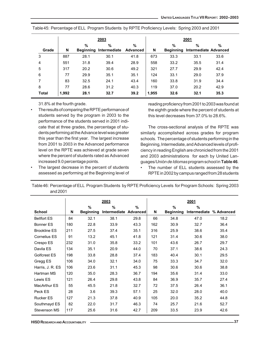|              | 2003  |                       |                      |                         | 2001  |                       |                                   |      |
|--------------|-------|-----------------------|----------------------|-------------------------|-------|-----------------------|-----------------------------------|------|
| Grade        | N     | %<br><b>Beginning</b> | $\%$<br>Intermediate | $\%$<br><b>Advanced</b> | N     | %<br><b>Beginning</b> | %<br><b>Intermediate Advanced</b> | $\%$ |
| 3            | 887   | 28.1                  | 30.1                 | 41.8                    | 673   | 33.3                  | 33.1                              | 33.6 |
| 4            | 551   | 31.8                  | 39.4                 | 28.9                    | 558   | 33.2                  | 35.5                              | 31.4 |
| 5            | 317   | 20.2                  | 30.6                 | 49.2                    | 321   | 27.7                  | 29.9                              | 42.4 |
| 6            | 77    | 29.9                  | 35.1                 | 35.1                    | 124   | 33.1                  | 29.0                              | 37.9 |
| 7            | 83    | 32.5                  | 24.1                 | 43.4                    | 160   | 33.8                  | 31.9                              | 34.4 |
| 8            | 77    | 28.6                  | 31.2                 | 40.3                    | 119   | 37.0                  | 20.2                              | 42.9 |
| <b>Total</b> | 1,992 | 28.1                  | 32.7                 | 39.2                    | 1,955 | 32.6                  | 32.1                              | 35.3 |

Table 45: Percentage of ELL Program Students by RPTE Proficiency Levels: Spring 2003 and 2001

31.8% at the fourth grade.

- The results of comparing the RPTE performance of students served by the program in 2003 to the performance of the students served in 2001 indicate that at three grades, the percentage of students performing at the Advance level was greater this year than the first year. The largest increase from 2001 to 2003 in the Advanced performance level on the RPTE was achieved at grade seven where the percent of students rated as Advanced increased 9.0 percentage points.
- The largest decrease in the percent of students assessed as performing at the Beginning level of

reading proficiency from 2001 to 2003 was found at the eighth grade where the percent of students at this level decreases from 37.0% to 28.6%.

The cross-sectional analysis of the RPTE was similarly accomplished across grades for program schools. The percentage of students performing in the Beginning, Intermediate, and Advanced levels of proficiency in reading English are chronicled from the 2001 and 2003 administrations for each by United Languages/*Unión de Idiomas* program school in **Table 46**.

• The number of ELL students assessed by the RPTE in 2002 by campus ranged from 28 students

Table 46: Percentage of ELL Program Students by RPTE Proficiency Levels for Program Schools: Spring 2003 and 2001

|                     |     |                  | 2003                  |      |     |                  | 2001          |                         |
|---------------------|-----|------------------|-----------------------|------|-----|------------------|---------------|-------------------------|
|                     |     | $\frac{0}{0}$    | %                     | %    |     | $\frac{9}{6}$    | $\frac{9}{6}$ |                         |
| <b>School</b>       | N   | <b>Beginning</b> | Intermediate Advanced |      | N   | <b>Beginning</b> |               | Intermediate % Advanced |
| <b>Bellfort ES</b>  | 84  | 32.1             | 38.1                  | 29.8 | 66  | 34.8             | 47.0          | 18.2                    |
| <b>Bonner ES</b>    | 180 | 22.8             | 33.9                  | 43.3 | 162 | 30.9             | 32.7          | 36.4                    |
| <b>Brookline ES</b> | 211 | 27.5             | 37.4                  | 35.1 | 316 | 25.9             | 38.6          | 35.4                    |
| <b>Cornelius ES</b> | 91  | 13.2             | 45.1                  | 41.8 | 121 | 31.4             | 30.6          | 38.0                    |
| Crespo ES           | 232 | 31.0             | 35.8                  | 33.2 | 101 | 43.6             | 26.7          | 29.7                    |
| Davila ES           | 134 | 35.1             | 20.9                  | 44.0 | 70  | 37.1             | 38.6          | 24.3                    |
| Golfcrest ES        | 198 | 33.8             | 28.8                  | 37.4 | 183 | 40.4             | 30.1          | 29.5                    |
| Gregg ES            | 106 | 34.0             | 32.1                  | 34.0 | 75  | 33.3             | 34.7          | 32.0                    |
| Harris, J. R. ES    | 106 | 23.6             | 31.1                  | 45.3 | 98  | 30.6             | 30.6          | 38.8                    |
| Hartman MS          | 120 | 35.0             | 28.3                  | 36.7 | 194 | 35.6             | 31.4          | 33.0                    |
| Lewis ES            | 121 | 26.4             | 29.8                  | 43.8 | 84  | 36.9             | 35.7          | 27.4                    |
| MacArthur ES        | 55  | 45.5             | 21.8                  | 32.7 | 72  | 37.5             | 26.4          | 36.1                    |
| Peck ES             | 28  | 3.6              | 39.3                  | 57.1 | 25  | 32.0             | 28.0          | 40.0                    |
| <b>Rucker ES</b>    | 127 | 21.3             | 37.8                  | 40.9 | 105 | 20.0             | 35.2          | 44.8                    |
| Southmayd ES        | 82  | 22.0             | 31.7                  | 46.3 | 74  | 25.7             | 21.6          | 52.7                    |
| Stevenson MS        | 117 | 25.6             | 31.6                  | 42.7 | 209 | 33.5             | 23.9          | 42.6                    |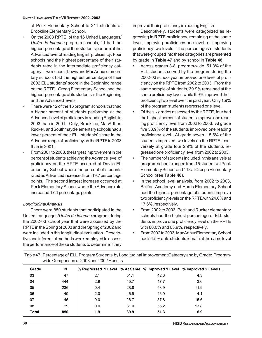at Peck Elementary School to 211 students at Brookline Elementary School.

- On the 2003 RPTE, of the 16 United Languages/ *Unión de Idiomas* program schools, 11 had the highest percentage of their students perform at the Advanced level of reading English proficiency. Four schools had the highest percentage of their students rated in the Intermediate proficiency category. Two schools Lewis and MacArthur elementary schools had the highest percentage of their 2002 ELL students' score in the Beginning range on the RPTE. Gregg Elementary School had the highest percentage of its students in the Beginning and the Advanced levels.
- There were 12 of the 16 program schools that had a higher percent of students performing at the Advanced level of proficiency in reading English in 2003 than in 2001. Only, Brookline, MacArthur, Rucker, and Southmayd elementary schools had a lower percent of their ELL students' score in the Advance range of proficiency on the RPTE in 2003 than in 2001.
- From 2001 to 2003, the largest improvement in the percent of students achieving the Advance level of proficiency on the RPTE occurred at Davila Elementary School where the percent of students rated as Advanced increased from 19.7 percentage points. The second largest increase occurred at Peck Elementary School where the Advance rate increased 17.1 percentage points

## *Longitudinal Analysis*

There were 850 students that participated in the United Languages/*Unión de Idiomas* program during the 2002-03 school year that were assessed by the RPTE in the Spring of 2003 and the Spring of 2002 and were included in this longitudinal evaluation. Descriptive and inferential methods were employed to assess the performance of these students to determine if they improved their proficiency in reading English.

Descriptively, students were categorized as regressing in RPTE proficiency, remaining at the same level, improving proficiency one level, or improving proficiency two levels. The percentages of students that were grouped into these categories are presented by grade in **Table 47** and by school in **Table 48**.

- Across grades 3-8, program-wide, 51.3% of the ELL students served by the program during the 2002-03 school year improved one level of proficiency on the RPTE from 2002 to 2003. From the same sample of students, 39.9% remained at the same proficiency level, while 6.9% improved their proficiency two level over the past year. Only 1.9% of the program students regressed one level.
- Of the six grades assessed by the RPTE, four had the highest percent of students improve one reading proficiency level from 2002 to 2003. At grade five 58.9% of the students improved one reading proficiency level. At grade seven, 15.6% of the students improved two levels on the RPTE, conversely at grade four 2.9% of the students regressed one proficiency level from 2002 to 2003.
- The number of students included in this analysis at program schools ranged from 15 students at Peck Elementary School and 118 at Crespo Elementary School (**see Table 48**).
- In the school level analysis, from 2002 to 2003, Bellfort Academy and Harris Elementary School had the highest percentage of students improve two proficiency levels on the RPTE with 24.0% and 17.6%, respectively.
- From 2002 to 2003, Peck and Rucker elementary schools had the highest percentage of ELL students improve one proficiency level on the RPTE with 80.0% and 63.9%, respectively.
- From 2002 to 2003, MacArthur Elementary School had 54.5% of its students remain at the same level

| Table 47: Percentage of ELL Program Students by Longitudinal Improvement Category and by Grade: Program- |  |
|----------------------------------------------------------------------------------------------------------|--|
| wide Comparison of 2003 and 2002 Results                                                                 |  |

| Grade        | N   | % Regressed 1 Level % At Same % Improved 1 Level % Improved 2 Levels |      |      |      |
|--------------|-----|----------------------------------------------------------------------|------|------|------|
| 03           | 47  | 2.1                                                                  | 51.1 | 42.6 | 4.3  |
| 04           | 444 | 2.9                                                                  | 45.7 | 47.7 | 3.6  |
| 05           | 236 | 0.4                                                                  | 28.8 | 58.9 | 11.9 |
| 06           | 49  | 2.0                                                                  | 46.9 | 46.9 | 4.1  |
| 07           | 45  | 0.0                                                                  | 26.7 | 57.8 | 15.6 |
| 08           | 29  | 0.0                                                                  | 31.0 | 55.2 | 13.8 |
| <b>Total</b> | 850 | 1.9                                                                  | 39.9 | 51.3 | 6.9  |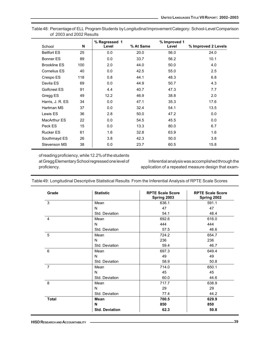| School              | N   | % Regressed 1<br>Level | % At Same | % Improved 1<br>Level | % Improved 2 Levels |
|---------------------|-----|------------------------|-----------|-----------------------|---------------------|
| <b>Bellfort ES</b>  | 25  | 0.0                    | 20.0      | 56.0                  | 24.0                |
| Bonner ES           | 89  | 0.0                    | 33.7      | 56.2                  | 10.1                |
| <b>Brookline ES</b> | 100 | 2.0                    | 44.0      | 50.0                  | 4.0                 |
| Cornelius ES        | 40  | 0.0                    | 42.5      | 55.0                  | 2.5                 |
| Crespo ES           | 118 | 0.8                    | 44.1      | 48.3                  | 6.8                 |
| Davila ES           | 69  | 0.0                    | 44.9      | 50.7                  | 4.3                 |
| Golfcrest ES        | 91  | 4.4                    | 40.7      | 47.3                  | 7.7                 |
| Gregg ES            | 49  | 12.2                   | 46.9      | 38.8                  | 2.0                 |
| Harris, J. R. ES    | 34  | 0.0                    | 47.1      | 35.3                  | 17.6                |
| Hartman MS          | 37  | 0.0                    | 32.4      | 54.1                  | 13.5                |
| Lewis ES            | 36  | 2.8                    | 50.0      | 47.2                  | 0.0                 |
| <b>MacArthur ES</b> | 22  | 0.0                    | 54.5      | 45.5                  | 0.0                 |
| Peck ES             | 15  | 0.0                    | 13.3      | 80.0                  | 6.7                 |
| <b>Rucker ES</b>    | 61  | 1.6                    | 32.8      | 63.9                  | 1.6                 |
| Southmayd ES        | 26  | 3.8                    | 42.3      | 50.0                  | 3.8                 |
| Stevenson MS        | 38  | 0.0                    | 23.7      | 60.5                  | 15.8                |

Table 48: Percentage of ELL Program Students by Longitudinal Improvement Category: School-Level Comparison of 2003 and 2002 Results

of reading proficiency, while 12.2% of the students at Gregg Elementary School regressed one level of proficiency.

Inferential analysis was accomplished through the application of a repeated measure design that exam-

| Grade          | <b>Statistic</b>      | <b>RPTE Scale Score</b><br>Spring 2003 | <b>RPTE Scale Score</b><br>Spring 2002 |
|----------------|-----------------------|----------------------------------------|----------------------------------------|
| 3              | Mean                  | 636.1                                  | 591.1                                  |
|                | N                     | 47                                     | 47                                     |
|                | Std. Deviation        | 54.1                                   | 48.4                                   |
| 4              | Mean                  | 692.6                                  | 616.0                                  |
|                | N                     | 444                                    | 444                                    |
|                | Std. Deviation        | 57.5                                   | 46.6                                   |
| 5              | Mean                  | 724.2                                  | 654.7                                  |
|                | N                     | 236                                    | 236                                    |
|                | Std. Deviation        | 59.4                                   | 46.7                                   |
| 6              | Mean                  | 697.3                                  | 649.4                                  |
|                | N                     | 49                                     | 49                                     |
|                | Std. Deviation        | 58.9                                   | 50.8                                   |
| $\overline{7}$ | Mean                  | 714.0                                  | 650.1                                  |
|                | N                     | 45                                     | 45                                     |
|                | Std. Deviation        | 60.0                                   | 44.6                                   |
| 8              | Mean                  | 717.7                                  | 638.9                                  |
|                | N                     | 29                                     | 29                                     |
|                | Std. Deviation        | 77.4                                   | 44.2                                   |
| <b>Total</b>   | Mean                  | 700.5                                  | 629.9                                  |
|                | N                     | 850                                    | 850                                    |
|                | <b>Std. Deviation</b> | 62.3                                   | 50.8                                   |

Table 49: Longitudinal Descriptive Statistical Results From the Inferential Analysis of RPTE Scale Scores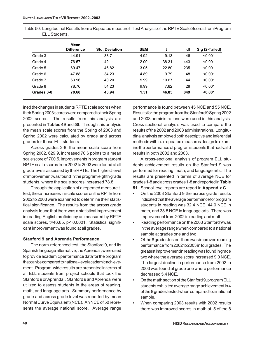Table 50: Longitudinal Results from a Repeated measure t-Test Analysis of the RPTE Scale Scores from Program ELL Students.

|            | Mean<br><b>Difference</b> | <b>Std. Deviation</b> | <b>SEM</b> |       | df  | Sig (2-Tailed) |
|------------|---------------------------|-----------------------|------------|-------|-----|----------------|
| Grade 3    | 44.91                     | 33.71                 | 4.92       | 9.13  | 46  | < 0.001        |
| Grade 4    | 76.57                     | 42.11                 | 2.00       | 38.31 | 443 | < 0.001        |
| Grade 5    | 69.47                     | 46.82                 | 3.05       | 22.80 | 235 | < 0.001        |
| Grade 6    | 47.88                     | 34.23                 | 4.89       | 9.79  | 48  | < 0.001        |
| Grade 7    | 63.96                     | 40.20                 | 5.99       | 10.67 | 44  | < 0.001        |
| Grade 8    | 78.76                     | 54.23                 | 9.99       | 7.82  | 28  | < 0.001        |
| Grades 3-8 | 70.60                     | 43.94                 | 1.51       | 46.85 | 849 | < 0.001        |

ined the changes in students RPTE scale scores when their Spring 2003 scores were compared to their Spring 2002 scores. The results from this analysis are presented in **Tables 49** and **50**. Through this analysis the mean scale scores from the Spring of 2003 and Spring 2002 were calculated by grade and across grades for these ELL students.

Across grades 3-8, the mean scale score from Spring 2002, 629.9, increased 70.6 points to a mean scale score of 700.5. Improvements in program student RPTE scale scores from 2002 to 2003 were found at all grade levels assessed by the RPTE. The highest level of improvement was found in the program eighth grade students, where the scale scores increased 78.8.

Through the application of a repeated measure ttest, these increases in scale scores on the RPTE from 2002 to 2003 were examined to determine their statistical significance. The results from the across grade analysis found that there was a statistical improvement in reading English proficiency as measured by RPTE scale scores, t=46.85, p< 0.0001. Statistical significant improvement was found at all grades.

#### **Stanford 9 and Aprenda Performance**

The norm-referenced test, the Stanford 9, and its Spanish language alternative, the Aprenda , were used to provide academic performance data for the program that can be compared to national-level academic achievement. Program-wide results are presented in terms of all ELL students from project schools that took the Stanford 9 or Aprenda . Stanford 9 and Aprenda were utilized to assess students in the areas of reading, math, and language arts. Summary performance by grade and across grade level was reported by mean Normal Curve Equivalent (NCE). An NCE of 50 represents the average national score. Average range

performance is found between 45 NCE and 55 NCE. Results for the program from the Stanford 9 Spring 2002 and 2003 administrations were used in this analysis. Cross-sectional analysis was used to compare the results of the 2002 and 2003 administrations. Longitudinal analysis employed both descriptive and inferential methods within a repeated measures design to examine the performance of program students that had valid results in both 2002 and 2003.

A cross-sectional analysis of program ELL students achievement results on the Stanford 9 was performed for reading, math, and language arts. The results are presented in terms of average NCE for grades 1-8 and across grades 1-8 and reported in **Table**

- **51**. School level reports are report in **Appendix C**.
- On the 2003 Stanford 9 the across grade results indicated that the average performance for program students in reading was 32.4 NCE, 44.0 NCE in math, and 38.5 NCE in language arts. There was improvement from 2002 in reading and math.
- Reading performance on the 2003 Stanford 9 was in the average range when compared to a national sample at grades one and two.
- Of the 8 grades tested, there was improved reading performance from 2002 to 2003 in four grades. The greatest improvement in reading was found in grade two where the average score increased 9.0 NCE. The largest decline in performance from 2002 to 2003 was found at grade one where performance decreased 5.4 NCE.
- On the math section of the Stanford 9, program ELL students exhibited average range achievement in 4 of the 8 grades tested when compared to a national sample.
- When comparing 2003 results with 2002 results there was improved scores in math at 5 of the 8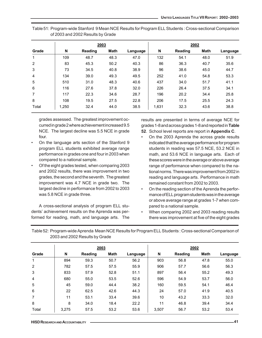|       |       | 2003           |             |          | 2002  |                |             |          |
|-------|-------|----------------|-------------|----------|-------|----------------|-------------|----------|
| Grade | N     | <b>Reading</b> | <b>Math</b> | Language | N     | <b>Reading</b> | <b>Math</b> | Language |
| 1     | 109   | 48.7           | 48.3        | 47.0     | 132   | 54.1           | 48.0        | 51.9     |
| 2     | 83    | 45.3           | 50.2        | 40.3     | 86    | 36.3           | 40.7        | 35.6     |
| 3     | 73    | 34.5           | 40.8        | 38.9     | 96    | 38.6           | 45.0        | 44.7     |
| 4     | 134   | 39.0           | 49.3        | 49.5     | 252   | 41.0           | 54.8        | 53.3     |
| 5     | 510   | 31.0           | 48.3        | 40.6     | 437   | 34.0           | 51.7        | 41.1     |
| 6     | 116   | 27.6           | 37.8        | 32.0     | 226   | 26.4           | 37.5        | 34.1     |
| 7     | 117   | 22.3           | 34.6        | 28.7     | 196   | 20.2           | 34.4        | 25.8     |
| 8     | 108   | 19.5           | 27.5        | 22.8     | 206   | 17.5           | 25.5        | 24.3     |
| Total | 1.250 | 32.4           | 44.0        | 38.5     | 1,631 | 32.3           | 43.6        | 38.8     |

Table 51: Program-wide Stanford 9 Mean NCE Results for Program ELL Students : Cross-sectional Comparison of 2003 and 2002 Results by Grade

grades assessed. The greatest improvement occurred in grade 2 where achievement increased 9.5 NCE. The largest decline was 5.5 NCE in grade four.

- On the language arts section of the Stanford 9 program ELL students exhibited average range performance in grades one and four in 2003 when compared to a national sample.
- Of the eight grades tested, when comparing 2003 and 2002 results, there was improvement in two grades, the second and the seventh. The greatest improvement was 4.7 NCE in grade two. The largest decline in performance from 2002 to 2003 was 5.8 NCE in grade three.

A cross-sectional analysis of program ELL students' achievement results on the Aprenda was performed for reading, math, and language arts. The results are presented in terms of average NCE for grades 1-8 and across grades 1-8 and reported in **Table**

- **52**. School level reports are report in **Appendix C**.
- On the 2003 Aprenda the across grade results indicated that the average performance for program students in reading was 57.5 NCE, 53.2 NCE in math, and 53.6 NCE in language arts. Each of these scores were in the average or above average range of performance when compared to the national norms. There was improvement from 2002 in reading and language arts. Performance in math remained constant from 2002 to 2003.
- On the reading section of the Aprenda the performance of ELL program students was in the average or above average range at grades 1-7 when compared to a national sample.
- When comparing 2002 and 2003 reading results there was improvement at five of the eight grades

|                                | Table 52: Program-wide Aprenda Mean NCE Results for Program ELL Students: Cross-sectional Comparison of |
|--------------------------------|---------------------------------------------------------------------------------------------------------|
| 2003 and 2002 Results by Grade |                                                                                                         |

|       |       | 2003           |             |          |       | 2002           |             |          |
|-------|-------|----------------|-------------|----------|-------|----------------|-------------|----------|
| Grade | N     | <b>Reading</b> | <b>Math</b> | Language | N     | <b>Reading</b> | <b>Math</b> | Language |
| 1     | 894   | 59.3           | 50.7        | 56.2     | 903   | 56.8           | 47.8        | 55.0     |
| 2     | 782   | 57.5           | 57.5        | 55.9     | 906   | 57.7           | 56.6        | 56.3     |
| 3     | 833   | 57.9           | 52.8        | 51.1     | 897   | 56.4           | 55.2        | 49.3     |
| 4     | 680   | 55.0           | 53.5        | 52.6     | 596   | 54.9           | 53.7        | 56.0     |
| 5     | 45    | 59.0           | 44.4        | 38.2     | 160   | 59.5           | 54.1        | 46.4     |
| 6     | 22    | 62.5           | 42.6        | 44.3     | 24    | 57.0           | 41.9        | 40.5     |
| 7     | 11    | 53.1           | 33.4        | 39.6     | 10    | 43.2           | 33.3        | 32.0     |
| 8     | 8     | 34.0           | 18.4        | 22.2     | 11    | 46.8           | 39.4        | 34.4     |
| Total | 3.275 | 57.5           | 53.2        | 53.6     | 3,507 | 56.7           | 53.2        | 53.4     |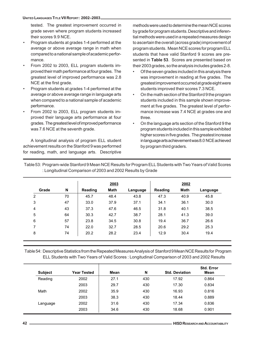tested. The greatest improvement occurred in grade seven where program students increased their scores 9.9 NCE.

- Program students at grades 1-4 performed at the average or above average range in math when compared to a national sample of academic performance.
- From 2002 to 2003, ELL program students improved their math performance at four grades. The greatest level of improved performance was 2.8 NCE at the first grade.
- Program students at grades 1-4 performed at the average or above average range in language arts when compared to a national sample of academic performance.
- From 2002 to 2003, ELL program students improved their language arts performance at four grades. The greatest level of improved performance was 7.6 NCE at the seventh grade.

A longitudinal analysis of program ELL student achievement results on the Stanford 9 was performed for reading, math, and language arts. Descriptive methods were used to determine the mean NCE scores by grade for program students. Descriptive and inferential methods were used in a repeated measures design to ascertain the overall (across grade) improvement of program students. Mean NCE scores for program ELL students that have valid Stanford 9 scores are presented in **Table 53**. Scores are presented based on their 2003 grades, so the analysis includes grades 2-8.

- Of the seven grades included in this analysis there was improvement in reading at five grades. The greatest improvement occurred at grade eight were students improved their scores 7.3 NCE.
- On the math section of the Stanford 9 the program students included in this sample shown improvement at five grades. The greatest level of performance increase was 7.4 NCE at grades one and three.
- On the language arts section of the Stanford 9 the program students included in this sample exhibited higher scores in five grades. The greatest increase in language arts achievement was 8.0 NCE achieved by program third graders.

Table 53: Program-wide Stanford 9 Mean NCE Results for Program ELL Students with Two Years of Valid Scores : Longitudinal Comparison of 2003 and 2002 Results by Grade

|                |    |         | 2003 |          |                | 2002 |          |
|----------------|----|---------|------|----------|----------------|------|----------|
| Grade          | N  | Reading | Math | Language | <b>Reading</b> | Math | Language |
| $\overline{2}$ | 70 | 45.7    | 48.4 | 43.8     | 47.3           | 40.9 | 45.8     |
| 3              | 47 | 33.0    | 37.9 | 37.1     | 34.1           | 36.1 | 30.0     |
| 4              | 43 | 37.3    | 47.6 | 46.5     | 31.8           | 40.1 | 38.5     |
| 5              | 64 | 30.3    | 42.7 | 38.7     | 28.1           | 41.3 | 39.0     |
| 6              | 57 | 23.8    | 34.5 | 30.8     | 19.4           | 36.7 | 26.6     |
| 7              | 74 | 22.0    | 32.7 | 28.5     | 20.6           | 29.2 | 25.3     |
| 8              | 74 | 20.2    | 28.2 | 23.4     | 12.9           | 30.4 | 19.4     |
|                |    |         |      |          |                |      |          |

Table 54: Descriptive Statistics from the Repeated Measures Analysis of Stanford 9 Mean NCE Results for Program ELL Students with Two Years of Valid Scores : Longitudinal Comparison of 2003 and 2002 Results

| <b>Subject</b> | Year Tested | Mean | N   | <b>Std. Deviation</b> | <b>Std. Error</b><br>Mean |
|----------------|-------------|------|-----|-----------------------|---------------------------|
| Reading        | 2002        | 27.1 | 430 | 17.92                 | 0.864                     |
|                | 2003        | 29.7 | 430 | 17.30                 | 0.834                     |
| Math           | 2002        | 35.9 | 430 | 16.93                 | 0.816                     |
|                | 2003        | 38.3 | 430 | 18.44                 | 0.889                     |
| Language       | 2002        | 31.6 | 430 | 17.34                 | 0.836                     |
|                | 2003        | 34.6 | 430 | 18.68                 | 0.901                     |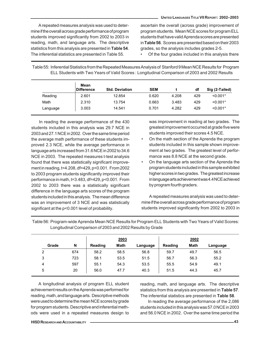A repeated measures analysis was used to determine if the overall across grade performance of program students improved significantly from 2002 to 2003 in reading, math, and language arts. The descriptive statistics from this analysis are presented in **Table 54**. The inferential statistics are presented in Table 55.

ascertain the overall (across grade) improvement of program students. Mean NCE scores for program ELL students that have valid Aprenda scores are presented in **Table 56**. Scores are presented based on their 2003 grades, so the analysis includes grades 2-5.

• Of the four grades included in this analysis there

| ELL Students with Two Years of Valid Scores: Longitudinal Comparison of 2003 and 2002 Results |                           |                       |            |       |     |                |  |  |
|-----------------------------------------------------------------------------------------------|---------------------------|-----------------------|------------|-------|-----|----------------|--|--|
|                                                                                               | Mean<br><b>Difference</b> | <b>Std. Deviation</b> | <b>SEM</b> |       | df  | Sig (2-Tailed) |  |  |
| Reading                                                                                       | 2.601                     | 12.854                | 0.620      | 4.208 | 429 | $< 0.001*$     |  |  |
| Math                                                                                          | 2.310                     | 13.754                | 0.663      | 3.483 | 429 | $< 0.001*$     |  |  |

Language 3.003 14.541 0.701 4.282 429 <0.001\*

Table 55: Inferential Statistics from the Repeated Measures Analysis of Stanford 9 Mean NCE Results for Program

In reading the average performance of the 430 students included in this analysis was 29.7 NCE in 2003 and 27.1 NCE in 2002. Over the same time period the average math performance of these students improved 2.3 NCE, while the average performance in language arts increased from 31.6 NCE in 2002 to 34.6 NCE in 2003. The repeated measures t-test analysis found that there was statistically significant improvement in reading, t=4.208, df=429, p<0.001. From 2002 to 2003 program students significantly improved their performance in math, t=3.483, df=429, p<0.001. From 2002 to 2003 there was a statistically significant difference in the language arts scores of the program students included in this analysis. The mean difference was an improvement of 3 NCE and was statistically significant at the p<0.001 level of probability.

was improvement in reading at two grades. The greatest improvement occurred at grade five were students improved their scores 4.5 NCE.

- On the math section of the Aprenda the program students included in this sample shown improvement at two grades. The greatest level of performance was 8.8 NCE at the second grade.
- On the language arts section of the Aprenda the program students included in this sample exhibited higher scores in two grades. The greatest increase in language arts achievement was 4.4 NCE achieved by program fourth graders.

A repeated measures analysis was used to determine if the overall across grade performance of program students improved significantly from 2002 to 2003 in

|       |     |         | 2003        |          |         | 2002 |          |
|-------|-----|---------|-------------|----------|---------|------|----------|
| Grade | N   | Reading | <b>Math</b> | Language | Reading | Math | Language |
| 2     | 674 | 58.2    | 58.5        | 56.8     | 59.7    | 49.7 | 56.5     |
| 3     | 723 | 58.1    | 53.5        | 51.5     | 56.7    | 56.3 | 55.2     |
| 4     | 597 | 55.1    | 54.3        | 53.5     | 55.5    | 54.9 | 49.1     |
| 5     | 20  | 56.0    | 47.7        | 40.3     | 51.5    | 44.3 | 45.7     |

Table 56: Program-wide Aprenda Mean NCE Results for Program ELL Students with Two Years of Valid Scores: Longitudinal Comparison of 2003 and 2002 Results by Grade

A longitudinal analysis of program ELL student achievement results on the Aprenda was performed for reading, math, and language arts. Descriptive methods were used to determine the mean NCE scores by grade for program students. Descriptive and inferential methods were used in a repeated measures design to

reading, math, and language arts. The descriptive statistics from this analysis are presented in **Table 57**. The inferential statistics are presented in **Table 58**.

In reading the average performance of the 2,086 students included in this analysis was 57.0 NCE in 2003 and 56.0 NCE in 2002. Over the same time period the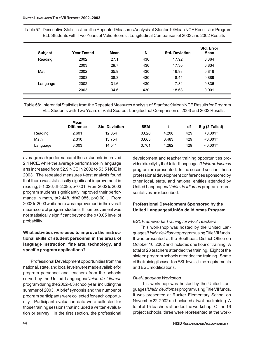Table 57: Descriptive Statistics from the Repeated Measures Analysis of Stanford 9 Mean NCE Results for Program ELL Students with Two Years of Valid Scores : Longitudinal Comparison of 2003 and 2002 Results

| <b>Subject</b> | <b>Year Tested</b> | Mean | N   | <b>Std. Deviation</b> | <b>Std. Error</b><br>Mean |
|----------------|--------------------|------|-----|-----------------------|---------------------------|
| Reading        | 2002               | 27.1 | 430 | 17.92                 | 0.864                     |
|                | 2003               | 29.7 | 430 | 17.30                 | 0.834                     |
| Math           | 2002               | 35.9 | 430 | 16.93                 | 0.816                     |
|                | 2003               | 38.3 | 430 | 18.44                 | 0.889                     |
| Language       | 2002               | 31.6 | 430 | 17.34                 | 0.836                     |
|                | 2003               | 34.6 | 430 | 18.68                 | 0.901                     |

Table 58: Inferential Statistics from the Repeated Measures Analysis of Stanford 9 Mean NCE Results for Program ELL Students with Two Years of Valid Scores : Longitudinal Comparison of 2003 and 2002 Results

|          | Mean<br><b>Difference</b> | <b>Std. Deviation</b> | <b>SEM</b> |       | df  | Sig (2-Tailed) |
|----------|---------------------------|-----------------------|------------|-------|-----|----------------|
| Reading  | 2.601                     | 12.854                | 0.620      | 4.208 | 429 | $< 0.001*$     |
| Math     | 2.310                     | 13.754                | 0.663      | 3.483 | 429 | $< 0.001*$     |
| Language | 3.003                     | 14.541                | 0.701      | 4.282 | 429 | $< 0.001*$     |

average math performance of these students improved 2.4 NCE, while the average performance in language arts increased from 52.9 NCE in 2002 to 53.5 NCE in 2003. The repeated measures t-test analysis found that there was statistically significant improvement in reading, t=1.026, df=2,085, p<0.01. From 2002 to 2003 program students significantly improved their performance in math, t=2.448, df=2,085, p<0.001. From 2002 to 2003 while there was improvement in the overall mean score of program students, this improvement was not statistically significant beyond the p<0.05 level of probability.

## **What activities were used to improve the instructional skills of student personnel in the areas of language instruction, fine arts, technology, and specific program applications?**

Professional Development opportunities from the national, state, and local levels were made available for program personnel and teachers from the schools served by the United Languages/*Unión de Idiomas* program during the 2002–03 school year, including the summer of 2003. A brief synopsis and the number of program participants were collected for each opportunity. Participant evaluation data were collected for those training sessions that included a written evaluation or survey. In the first section, the professional development and teacher training opportunities provided directly by the United Languages/*Unión de Idiomas* program are presented. In the second section, those professional development conferences sponsored by other local, state, and national entities attended by United Languages/*Unión de Idiomas* program representatives are described.

## **Professional Development Sponsored by the United Languages/Unión de Idiomas Program**

## *ESL Frameworks Training for PK-3 Teachers*

This workshop was hosted by the United Languages/*Unión de Idiomas* program using Title VII funds. It was presented at the Southeast District Office on October 10, 2002 and included one hour of training. A total of 23 teachers attended the training. Eight of the sixteen program schools attended the training. Some of the training focused on ESL levels, time requirements and ESL modifications.

## *Dual Language Workshop*

This workshop was hosted by the United Languages/*Unión de Idiomas* program using Title VII funds. It was presented at Rucker Elementary School on November 22, 2002 and included a two hour training. A total of 15 teachers attended the workshop. Of the 16 project schools, three were represented at the work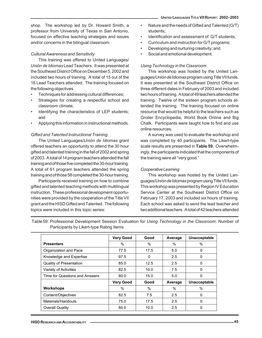shop. The workshop led by Dr. Howard Smith, a professor from University of Texas in San Antonio, focused on effective teaching strategies and issues and/or concerns in the bilingual classroom.

## *Cultural Awareness and Sensitivity*

This training was offered to United Languages/ *Unión de Idiomas* Lead Teachers. It was presented at the Southeast District Office on December 5, 2002 and included two hours of training. A total of 15 out of the 16 Lead Teachers attended. The training focused on the following objectives.

- Techniques for addressing cultural differences;
- Strategies for creating a respectful school and classroom climate;
- Identifying the characteristics of LEP students; and
- Applying this information in instructional methods.

## *Gifted and Talented Instructional Training*

The United Languages/*Unión de Idiomas* grant offered teachers an opportunity to attend the 30 hour gifted and talented training in the fall of 2002 and spring of 2003. A total of 14 program teachers attended the fall training and of those five completed the 30-hour training. A total of 61 program teachers attended the spring training and of those 58 completed the 30-hour training.

Participants received training on how to combine gifted and talented teaching methods with multilingual instruction. These professional development opportunities were provided by the cooperation of the Title VII grant and the HISD Gifted and Talented. The following topics were included in this topic series:

- Nature and the needs of Gifted and Talented (G/T) students;
- Identification and assessment of G/T students;
- Curriculum and instruction for G/T programs;
- Developing and nurturing creativity; and
- Social and emotional development.

### *Using Technology in the Classroom*

This workshop was hosted by the United Languages/*Unión de Idiomas* program using Title VII funds. It was presented at the Southeast District Office on three different dates in February of 2003 and included two hours of training. A total of 49 teachers attended the training. Twelve of the sixteen program schools attended the training. The training focused on online resource that would be helpful to the teachers such as Grolier Encyclopedia, World Book Online and Big Chalk. Participants were taught how to find and use online resources.

A survey was used to evaluate the workshop and was completed by 40 participants. The Likert-type scale results are presented in **Table 59**. Overwhelmingly, the participants indicated that the components of the training were all "very good."

## *Cooperative Learning*

This workshop was hosted by the United Languages/*Unión de Idiomas* program using Title VII funds. This workshop was presented by Region IV Education Service Center at the Southeast District Office on February 17, 2003 and included six hours of training. Each school was asked to send the lead teacher and two additional teachers. A total of 42 teachers attended

Table 59: Professional Development Session Evaluation for *Using Technology in the Classroom*: Number of Participants by Likert-type Rating Items

|                                | <b>Very Good</b> | Good | Average | Unacceptable  |
|--------------------------------|------------------|------|---------|---------------|
| <b>Presenters</b>              | $\%$             | $\%$ | %       | $\frac{0}{0}$ |
| Organization and Pace          | 77.5             | 17.5 | 5.0     | $\mathbf 0$   |
| Knowledge and Expertise        | 97.5             | 0    | 2.5     | 0             |
| Quality of Presentation        | 85.0             | 12.5 | 2.5     | $\mathbf 0$   |
| Variety of Activities          | 82.5             | 10.0 | 7.5     | $\mathbf 0$   |
| Time for Questions and Answers | 80.0             | 15.0 | 5.0     | $\mathbf 0$   |
|                                | <b>Very Good</b> | Good | Average | Unacceptable  |
| <b>Workshops</b>               | $\frac{0}{0}$    | $\%$ | $\%$    | $\frac{0}{0}$ |
| Content/Objectives             | 82.5             | 7.5  | 2.5     | 0             |
| Materials/Handouts             | 75.0             | 17.5 | 2.5     | $\mathbf 0$   |
| Overall Quality                | 80.0             | 10.0 | 2.5     | $\mathbf 0$   |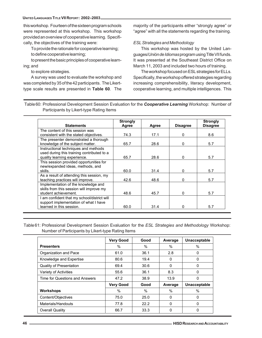this workshop. Fourteen of the sixteen program schools were represented at this workshop. This workshop provided an overview of cooperative learning. Specifically, the objectives of the training were:

To provide the rationale for cooperative learning; to define cooperative learning;

to present the basic principles of cooperative learning; and

to explore strategies.

A survey was used to evaluate the workshop and was completed by 35 of the 42 participants. The Likerttype scale results are presented in **Table 60**. The majority of the participants either "strongly agree" or "agree" with all the statements regarding the training.

## *ESL Strategies and Methodology*

This workshop was hosted by the United Languages/*Unión de Idiomas* program using Title VII funds. It was presented at the Southeast District Office on March 11, 2003 and included two hours of training.

The workshop focused on ESL strategies for ELLs. Specifically, the workshop offered strategies regarding increasing comprehensibility, literacy development, cooperative learning, and multiple intelligences. This

Table 60: Professional Development Session Evaluation for the *Cooperative Learning* Workshop: Number of Participants by Likert-type Rating Items

|                                             | <b>Strongly</b> |       |                 | <b>Strongly</b> |
|---------------------------------------------|-----------------|-------|-----------------|-----------------|
| <b>Statements</b>                           | Agree           | Agree | <b>Disagree</b> | <b>Disagree</b> |
| The content of this session was             |                 |       |                 |                 |
| consistent with the stated objectives.      | 74.3            | 17.1  | 0               | 8.6             |
| The presenter demonstrated a thorough       |                 |       |                 |                 |
| knowledge of the subject matter.            | 65.7            | 28.6  | 0               | 5.7             |
| Instructional techniques and methods        |                 |       |                 |                 |
| used during this training contributed to a  |                 |       |                 |                 |
| quality learning experience.                | 65.7            | 28.6  | $\Omega$        | 5.7             |
| This session provided opportunities for     |                 |       |                 |                 |
| new/expanded ideas, methods, and            |                 |       |                 |                 |
| skills.                                     | 60.0            | 31.4  | O               | 5.7             |
| As a result of attending this session, my   |                 |       |                 |                 |
| teaching practices will improve.            | 42.6            | 48.6  | ŋ               | 5.7             |
| Implementation of the knowledge and         |                 |       |                 |                 |
| skills from this session will improve my    |                 |       |                 |                 |
| student achievement.                        | 48.6            | 45.7  | <sup>0</sup>    | 5.7             |
| I am confident that my school/district will |                 |       |                 |                 |
| support implementation of what I have       |                 |       |                 |                 |
| learned in this session.                    | 60.0            | 31.4  | n               | 5.7             |

Table 61: Professional Development Session Evaluation for the *ESL Strategies and Methodology* Workshop: Number of Participants by Likert-type Rating Items

|                                | <b>Very Good</b> | Good | Average       | Unacceptable        |
|--------------------------------|------------------|------|---------------|---------------------|
| <b>Presenters</b>              | $\%$             | %    | $\frac{0}{0}$ | $\%$                |
| Organization and Pace          | 61.0             | 36.1 | 2.8           | 0                   |
| Knowledge and Expertise        | 80.6             | 19.4 | 0             | 0                   |
| Quality of Presentation        | 69.4             | 30.6 | $\mathbf 0$   | 0                   |
| Variety of Activities          | 55.6             | 36.1 | 8.3           | 0                   |
| Time for Questions and Answers | 47.2             | 38.9 | 13.9          | 0                   |
|                                | <b>Very Good</b> | Good | Average       | <b>Unacceptable</b> |
| <b>Workshops</b>               | %                | $\%$ | $\%$          | $\%$                |
| Content/Objectives             | 75.0             | 25.0 | $\mathbf 0$   | 0                   |
| Materials/Handouts             | 77.8             | 22.2 | $\mathbf 0$   | 0                   |
| Overall Quality                | 66.7             | 33.3 | 0             | 0                   |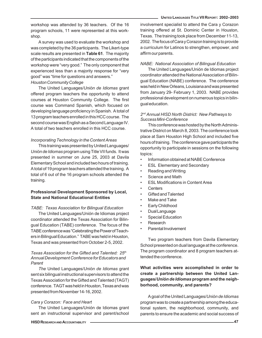workshop was attended by 36 teachers. Of the 16 program schools, 11 were represented at this workshop.

A survey was used to evaluate the workshop and was completed by the 36 participants. The Likert-type scale results are presented in **Table 61**. The majority of the participants indicated that the components of the workshop were "very good." The only component that experienced less than a majority response for "very good" was "time for questions and answers."

#### *Houston Community College*

The United Languages/*Unión de Idiomas* grant offered program teachers the opportunity to attend courses at Houston Community College. The first course was Command Spanish, which focused on developing language proficiency in Spanish. A total of 13 program teachers enrolled in this HCC course. The second course was English as a Second Language IV. A total of two teachers enrolled in this HCC course.

#### *Incorporating Technology in the Content Areas*

This training was presented by United Languages/ *Unión de Idiomas* program using Title VII funds. It was presented in summer on June 25, 2003 at Davila Elementary School and included two hours of training. A total of 19 program teachers attended the training. A total of 6 out of the 16 program schools attended the training.

## **Professional Development Sponsored by Local, State and National Educational Entities**

#### *TABE: Texas Association for Bilingual Education*

The United Languages/Unión de Idiomas project coordinator attended the Texas Association for Bilingual Education (TABE) conference. The focus of the TABE conference was "Celebrating the Power of Teachers in Bilingual Education." TABE was held in Houston, Texas and was presented from October 2-5, 2002.

#### *Texas Association for the Gifted and Talented: 25th Annual Development Conference for Educators and Parent*

*The* United Languages/*Unión de Idiomas* grant sent six bilingual instructional supervisors to attend the Texas Association for the Gifted and Talented (TAGT) conference. TAGT was held in Houston, Texas and was presented from November 14-16, 2002.

#### *Cara y Corazon: Face and Heart*

The United Languages/Unión de Idiomas grant sent an instructional supervisor and parent/school

involvement specialist to attend the Cara y Corazon training offered at St. Dominic Center in Houston, Texas. The training took place from December 11-13, 2002. The focus of Cara y Corazon training is to provide a curriculum for Latinos to strengthen, empower, and affirm our parents.

#### *NABE: National Association of Bilingual Education*

The United Languages/Unión de Idiomas project coordinator attended the National Association of Bilingual Education (NABE) conference. The conference was held in New Orleans, Louisiana and was presented from January 29- February 1, 2003. NABE provides professional development on numerous topics in bilingual education.

#### *2nd Annual HISD North District: New Pathways to Success Mini-Conference*

This conference was hosted by the North Administrative District on March 8, 2003. The conference took place at Sam Houston High School and included five hours of training. The conference gave participants the opportunity to participate in sessions on the following topics:

- Information obtained at NABE Conference
- **ESL Elementary and Secondary**
- Reading and Writing
- Science and Math
- **ESL Modifications in Content Area**
- Centers
- Gifted and Talented
- Make and Take
- Early Childhood
- Dual Language
- **Special Education**
- **Research**
- Parental Involvement

Two program teachers from Davila Elementary School presented on dual language at the conference. The program coordinator and 8 program teachers attended the conference.

## **What activities were accomplished in order to create a partnership between the United Languages/***Unión de Idiomas* **program and the neighborhood, community, and parents?**

A goal of the United Languages/*Unión de Idiomas* program was to create a partnership among the educational system, the neighborhood, community, and parents to ensure the academic and social success of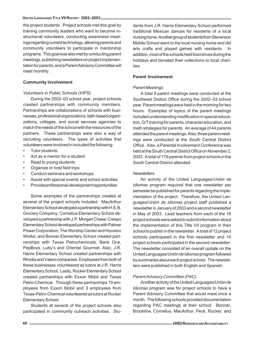#### **UNITED LANGUAGES TITLE VII REPORT: 2002–2003**

the project students. Project schools met this goal by training community leaders who want to become instructional volunteers, conducting awareness meetings regarding current technology, allowing parents and community volunteers to participate in mentorship programs. This goal was also met by conducting parent meetings, publishing newsletters on project implementation for parents, and a Parent Advisory Committee will meet monthly.

#### **Community Involvement**

#### *Volunteers in Public Schools (VIPS)*

During the 2002–03 school year, project schools created partnerships with community members. Partnerships are collaborations of schools with businesses, professional organizations, faith-based organizations, colleges, and social services agencies to match the needs of the school with the resources of the partners. These partnerships were also a way of recruiting volunteers. The types of activities that volunteers were involved in included the following:

- **Tutor students**
- Act as a mentor for a student
- Read to young students
- Organize or host field trips
- Conduct seminars and workshops
- Assist with special events and school activities
- Provide professional-development opportunities

Some examples of the partnerships created at several of the project schools included: MacArthur Elementary School developed a partnership with H.E.B. Grocery Company; Cornelius Elementary School developed a partnership with J.P. Morgan Chase; Crespo Elementary School developed partnerships with Palmer Power Corporation, The Worship Center and Houston Works; and Bonner Elementary School created partnerships with Texas Petrochemicals, Bank One, PepBoys, Luby's and Oriental Gourmet. Also, J.R. Harris Elementary School created partnerships with Rhodia and Valero companies. Employees from both of these businesses volunteered as tutors at J.R. Harris Elementary School. Lastly, Rucker Elementary School created partnerships with Exxon Mobil and Texas Petro-Chemical. Through these partnerships 19 employees from Exxon Mobil and 3 employees from Texas-Petro-Chemical volunteered as tutors at Rucker Elementary School.

Students at several of the project schools also participated in community outreach activities. Stu-

dents from J.R. Harris Elementary School performed traditional Mexican dances for residents of a local nursing home. Another group of students from Stevenson Middle School went to the local nursing home and did arts crafts and played games with residents. In addition, most of the schools held food drives during the holidays and donated their collections to local charities.

#### **Parent Involvement**

#### *Parent Meetings*

A total 9 parent meetings were conducted at the Southeast District Office during the 2002–03 school year. Parent meetings were held in the morning for two hours. Examples of topics of the parent meetings included understanding modification in special education, G/T training for parents, character education, and math strategies for parents. An average of 44 parents attended the parent meetings. Also, three parent meetings were conducted at the South Central District Office. Also, a Parental Involvement Conference was held at the South Central District Office on November 2, 2003. A total of 179 parents from project schools in the South Central District attended.

#### *Newsletters*

An activity of the United Languages/*Unión de Idiomas* program required that one newsletter per semester be published for parents regarding the implementation of the project. Therefore, the United Languages/*Unión de Idiomas* project staff published a newsletter in January of 2003 and a second newsletter in May of 2003. Lead teachers from each of the 16 project schools were asked to submit information about the implementation of this Title VII program in their school to publish in the newsletter. A total of 12 project schools participated in the first newsletter and 14 project schools participated in the second newsletter. The newsletter consisted of an overall update on the United Languages/*Unión de Idiomas* program followed by summaries about each project school. The newsletters were published in both English and Spanish.

#### *Parent Advisory Committee (PAC)*

Another activity of the United Languages/*Unión de Idiomas* program was for project schools to have a Parent Advisory Committee that would meet once a month. The following schools provided documentation regarding PAC meetings at their school: Bonner, Brookline, Cornelius, MacArthur, Peck, Rucker, and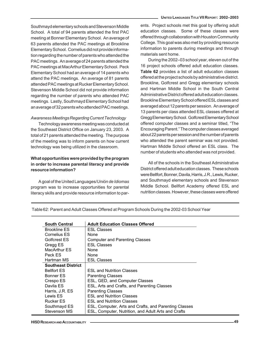Southmayd elementary schools and Stevenson Middle School. A total of 94 parents attended the first PAC meeting at Bonner Elementary School. An average of 63 parents attended the PAC meetings at Brookline Elementary School. Cornelius did not provide information regarding the number of parents who attended the PAC meetings. An average of 24 parents attended the PAC meetings at MacArthur Elementary School. Peck Elementary School had an average of 14 parents who attend the PAC meetings. An average of 81 parents attended PAC meetings at Rucker Elementary School. Stevenson Middle School did not provide information regarding the number of parents who attended PAC meetings. Lastly, Southmayd Elementary School had an average of 32 parents who attended PAC meetings.

#### *Awareness Meetings Regarding Current Technology*

Technology awareness meeting was conducted at the Southeast District Office on January 23, 2003. A total of 21 parents attended the meeting. The purpose of the meeting was to inform parents on how current technology was being utilized in the classroom.

#### **What opportunities were provided by the program in order to increase parental literacy and provide resource information?**

A goal of the United Languages/*Unión de Idiomas* program was to increase opportunities for parental literacy skills and provide resource information to parents. Project schools met this goal by offering adult education classes. Some of these classes were offered through collaboration with Houston Community College. This goal was also met by providing resource information to parents during meetings and through materials sent home.

During the 2002–03 school year, eleven out of the 16 project schools offered adult education classes. **Table 62** provides a list of adult education classes offered at the project schools by administrative district. Brookline, Golfcrest and Gregg elementary schools and Hartman Middle School in the South Central Administrative District offered adult education classes. Brookline Elementary School offered ESL classes and averaged about 12 parents per session. An average of 13 parents per class attended ESL classes offered at Gregg Elementary School. Golfcrest Elementary School offered computer classes and a seminar titled, "The Encouraging Parent." The computer classes averaged about 22 parents per session and the number of parents who attended the parent seminar was not provided. Hartman Middle School offered an ESL class. The number of students who attended was not provided.

All of the schools in the Southeast Administrative District offered adult education classes. These schools were Bellfort, Bonner, Davila, Harris, J.R., Lewis, Rucker, and Southmayd elementary schools and Stevenson Middle School. Bellfort Academy offered ESL and nutrition classes. However, these classes were offered

| <b>South Central</b>      | <b>Adult Education Classes Offered</b>                |
|---------------------------|-------------------------------------------------------|
| <b>Brookline ES</b>       | <b>ESL Classes</b>                                    |
| <b>Cornelius ES</b>       | None                                                  |
| Golfcrest ES              | <b>Computer and Parenting Classes</b>                 |
| Gregg ES                  | <b>ESL Classes</b>                                    |
| MacArthur ES              | None                                                  |
| Peck ES                   | None                                                  |
| Hartman MS                | <b>ESL Classes</b>                                    |
| <b>Southeast District</b> |                                                       |
| <b>Bellfort ES</b>        | <b>ESL and Nutrition Classes</b>                      |
| Bonner ES                 | <b>Parenting Classes</b>                              |
| Crespo ES                 | ESL, GED, and Computer Classes                        |
| Davila ES                 | ESL, Arts and Crafts, and Parenting Classes           |
| Harris, J.R. ES           | <b>Parenting Classes</b>                              |
| Lewis ES                  | <b>ESL and Nutrition Classes</b>                      |
| <b>Rucker ES</b>          | <b>ESL and Nutrition Classes</b>                      |
| Southmayd ES              | ESL, Computer, Arts and Crafts, and Parenting Classes |
| Stevenson MS              | ESL, Computer, Nutrition, and Adult Arts and Crafts   |

Table 62: Parent and Adult Classes Offered at Program Schools During the 2002-03 School Year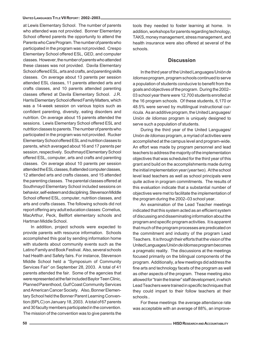#### **UNITED LANGUAGES TITLE VII REPORT: 2002–2003**

at Lewis Elementary School. The number of parents who attended was not provided. Bonner Elementary School offered parents the opportunity to attend the Parents who Care Program. The number of parents who participated in the program was not provided. Crespo Elementary School offered ESL, GED, and computer classes. However, the number of parents who attended these classes was not provided. Davila Elementary School offered ESL, arts and crafts, and parenting skills classes. On average about 13 parents per session attended ESL classes, 11 parents attended arts and crafts classes, and 10 parents attended parenting classes offered at Davila Elementary School. J.R. Harris Elementary School offered Family Matters, which was a 14-week session on various topics such as confident parenting, diversity, eating disorders and nutrition. On average about 15 parents attended the sessions. Lewis Elementary School offered ESL and nutrition classes to parents. The number of parents who participated in the program was not provided. Rucker Elementary School offered ESL and nutrition classes to parents, which averaged about 16 and 17 parents per session, respectively. Southmayd Elementary School offered ESL, computer, arts and crafts and parenting classes. On average about 10 parents per session attended the ESL classes, 8 attended computer classes, 12 attended arts and crafts classes, and 15 attended the parenting classes. The parental classes offered at Southmayd Elementary School included sessions on behavior, self-esteem and disciplining. Stevenson Middle School offered ESL, computer, nutrition classes, and arts and crafts classes. The following schools did not report offering any adult education classes: Cornelius, MacArthur, Peck, Bellfort elementary schools and Hartman Middle School.

In addition, project schools were expected to provide parents with resource information. Schools accomplished this goal by sending information home with students about community events such as the Latino Family and Book Festival. Also, several schools had Health and Safety fairs. For instance, Stevenson Middle School held a "Symposium of Community Services Fair" on September 28, 2003. A total of 41 parents attended the fair. Some of the agencies that were represented at the fair included Baylor Teen Clinic, Planned Parenthood, Gulf Coast Community Services and American Cancer Society. Also, Bonner Elementary School held the Bonner Parent Learning Convention (BPLC) on January 18, 2003. A total of 67 parents and 30 faculty members participated in the convention. The mission of the convention was to give parents the

tools they needed to foster learning at home. In addition, workshops for parents regarding technology, TAKS, money management, stress management, and health insurance were also offered at several of the schools.

#### **Discussion**

In the third year of the United Languages/*Unión de Idiomas* program, program schools continued to serve a population of students conducive to benefit from the goals and objectives of the program. During the 2002– 03 school year there were 12,700 students enrolled at the 16 program schools. Of these students, 6,170 or 48.5% were served by multilingual instructional curricula. As an additive program, the United Languages/ *Unión de Idiomas* program is uniquely designed to serve such a population of students.

During the third year of the United Languages/ *Unión de Idiomas* program, a myriad of activities were accomplished at the campus level and program-wide. An effort was made by program personnel and lead teachers to address the majority of the implementation objectives that was scheduled for the third year of this grant and build on the accomplishments made during the initial implementation year (year two). At the school level lead teachers as well as school principals were quite active in program commitments. The results of this evaluation indicate that a substantial number of objectives were met to facilitate the implementation of the program during the 2002–03 school year.

An examination of the Lead Teacher meetings indicated that this system acted as an efficient system of discussing and disseminating information about the program and specific program activities. It is apparent that much of the program processes are predicated on the commitment and industry of the program Lead Teachers. It is through their efforts that the vision of the United Languages/*Unión de Idiomas* program becomes a pragmatic reality. The discussions at the meetings focused primarily on the bilingual components of the program. Additionally, a few meetings did address the fine arts and technology facets of the program as well as other aspects of the program. These meeting also allowed for "train the trainer" staff development, in which Lead Teachers were trained in specific techniques that they could impart to their follow teachers at their schools..

For these meetings the average attendance rate was acceptable with an average of 88%, an improve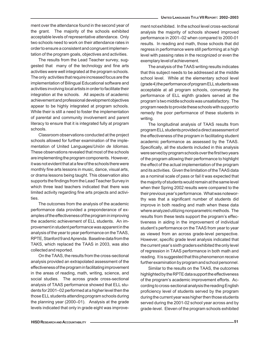ment over the attendance found in the second year of the grant. The majority of the schools exhibited acceptable levels of representative attendance. Only two schools need to work on their attendance rates in order to ensure a consistent and congruent implementation of the program goals, objectives and activities.

The results from the Lead Teacher survey, suggested that many of the technology and fine arts activities were well integrated at the program schools. The only activities that require increased focus are the implementation of Bilingual Educational software and activities involving local artists in order to facilitate their integration at the schools. All aspects of academic achievement and professional development objectives appear to be highly integrated at program schools. While their is still a need to foster the implementation of parental and community involvement and parent literacy to ensure that it is integrated fully at program schools.

Classroom observations conducted at the project schools allowed for further examination of the implementation of United Languages/*Unión de Idiomas*. These observations revealed that most of the schools are implementing the program components. However, it was not evident that at a few of the schools there were monthly fine arts lessons in music, dance, visual arts, or drama lessons being taught. This observation also supports the findings from the Lead Teacher Survey in which three lead teachers indicated that there was limited activity regarding fine arts projects and activities.

The outcomes from the analysis of the academic performance data provided a preponderance of examples of the effectiveness of the program in improving the academic achievement of ELL students. An improvement in student performance was apparent in the analysis of the year to year performance on the TAAS, RPTE, Stanford 9 and Aprenda. Baseline data from the TAKS, which replaced the TAAS in 2003, was also collected and reported.

On the TAAS, the results from the cross-sectional analysis provided an extrapolated assessment of the effectiveness of the program in facilitating improvement in the areas of reading, math, writing, science, and social studies. The across grade cross-sectional analysis of TAAS performance showed that ELL students for 2001–02 performed at a higher level then the those ELL students attending program schools during the planning year (2000–01). Analysis at the grade levels indicated that only in grade eight was improvement not exhibited. In the school level cross-sectional analysis the majority of schools showed improved performance in 2001–02 when compared to 2000-01 results. In reading and math, those schools that did regress in performance were still performing at a high level with passing rates in the recognized or even the exemplary level of achievement.

The analysis of the TAAS writing results indicates that this subject needs to be addressed at the middle school level. While at the elementary school level (grade 4) the performance of program ELL students was acceptable at all program schools, conversely the performance of ELL eighth graders served at the program's two middle schools was unsatisfactory. The program needs to provide these schools with support to remedy the poor performance of these students in writing.

The longitudinal analysis of TAAS results from program ELL students provided a direct assessment of the effectiveness of the program in facilitating student academic performance as assessed by the TAAS. Specifically, all the students included in this analysis were served by program schools over the first two years of the program allowing their performance to highlight the effect of the actual implementation of the program and its activities. Given the limitation of the TAAS data as a nominal scale of pass or fail it was expected that the majority of students would remain at the same level when their Spring 2002 results were compared to the their previous year's performance. What was noteworthy was that a significant number of students did improve in both reading and math when these data where analyzed utilizing nonparametric methods. The results from these tests support the program's effectiveness in aiding in the improvement of individual student's performance on the TAAS from year to year as viewed from an across grade-level perspective. However, specific grade level analysis indicated that the current year's sixth graders exhibited the only level of regression in TAAS performance in both math and reading. It is suggested that this phenomenon receive further examination by program and school personnel.

Similar to the results on the TAAS, the outcomes highlighted by the RPTE data support the effectiveness of the program's academic improvement efforts. According to cross-sectional analysis the reading English proficiency level of students served by the program during the current year was higher then those students served during the 2001-02 school year across and by grade-level. Eleven of the program schools exhibited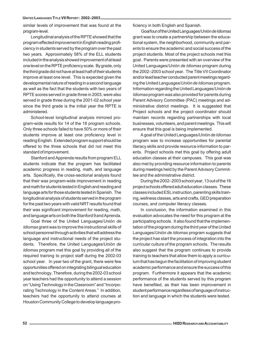similar levels of improvement that was found at the program-level.

Longitudinal analysis of the RPTE showed that the program effected improvement in English reading proficiency in students served by the program over the past two years. Approximately 58% of the ELL students included in the analysis showed improvement of at least one level on the RPTE proficiency scale. By grade, only the third grade did not have at least half of their students improve at least one level. This is expected given the developmental nature of reading in a second language as well as the fact that the students with two years of RPTE scores served in grade three in 2003, were also served in grade three during the 2001-02 school year since the third grade is the initial year the RPTE is administered.

School-level longitudinal analysis mirrored program-wide results for 14 of the 16 program schools. Only three schools failed to have 50% or more of their students improve at least one proficiency level in reading English. Extended program support should be offered to the three schools that did not meet this standard of improvement.

Stanford and Apprenda results from program ELL students indicate that the program has facilitated academic progress in reading, math, and language arts. Specifically, the cross-sectional analysis found that their was program-wide improvement in reading and math for students tested in English and reading and language arts for those students tested in Spanish. The longitudinal analysis of students served in the program for the past two years with valid NRT results found that their was significant improvement for reading, math, and language arts on both the Stanford 9 and Aprenda.

Goal three of the United Languages/*Unión de Idiomas* grant was to improve the instructional skills of school personnel through activities that will address the language and instructional needs of the project students. Therefore, the United Languages/*Unión de Idiomas* program met this goal by providing all of the required training to project staff during the 2002-03 school year. In year two of the grant, there were few opportunities offered on integrating bilingual education and technology. Therefore, during the 2002-03 school year teachers had the opportunity to attend a session on "Using Technology in the Classroom" and "Incorporating Technology in the Content Areas." In addition, teachers had the opportunity to attend courses at Houston Community College to develop language proficiency in both English and Spanish.

 Goal four of the United Languages/*Unión de Idiomas* grant was to create a partnership between the educational system, the neighborhood, community and parents to ensure the academic and social success of the project students. Most of the project schools met this goal. Parents were presented with an overview of the United Languages/*Unión de Idiomas* program during the 2002–2003 school year. The Title VII Coordinator and/or lead teacher conducted parent meetings regarding the United Languages/*Unión de Idiomas* program. Information regarding the United Languages/*Unión de Idiomas* program was also provided for parents during Parent Advisory Committee (PAC) meetings and administrative district meetings. It is suggested that Project schools and the project coordinator should maintain records regarding partnerships with local businesses, volunteers, and parent meetings. This will ensure that this goal is being implemented.

A goal of the United Languages/*Unión de Idiomas* program was to increase opportunities for parental literacy skills and provide resource information to parents. Project schools met this goal by offering adult education classes at their campuses. This goal was also met by providing resource information to parents during meetings held by the Parent Advisory Committee and the administrative district.

During the 2002–2003 school year, 13 out of the 16 project schools offered adult education classes. These classes included ESL instruction, parenting skills training, wellness classes, arts and crafts, GED preparation courses, and computer literacy classes.

In conclusion, the information examined in this evaluation advocates the need for this program at the participating schools. It also found that the implementation of the program during the third year of the United Languages/*Unión de Idiomas* program suggests that the project has start the process of integration into the curricular culture of the program schools. The results also suggest that the program continues to provide training to teachers that allow them to apply a curriculum that has begun the facilitation of improving student academic performance and ensure the success of this program. Furthermore it appears that the academic performance of the students served by this program have benefited, as their has been improvement in student performance regardless of language of instruction and language in which the students were tested.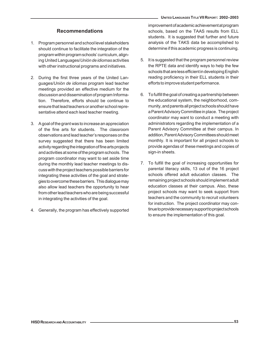## **Recommendations**

- 1. Program personnel and school level stakeholders should continue to facilitate the integration of the program within program schools' curriculum, aligning United Languages/*Unión de idiomas* activities with other instructional programs and initiatives.
- 2. During the first three years of the United Languages/*Unión de idiomas* program lead teacher meetings provided an effective medium for the discussion and dissemination of program Information. Therefore, efforts should be continue to ensure that lead teachers or another school representative attend each lead teacher meeting.
- 3. A goal of the grant was to increase an appreciation of the fine arts for students. The classroom observations and lead teacher's responses on the survey suggested that there has been limited activity regarding the integration of fine arts projects and activities at some of the program schools. The program coordinator may want to set aside time during the monthly lead teacher meetings to discuss with the project teachers possible barriers for integrating these activities of the goal and strategies to overcome these barriers. This dialogue may also allow lead teachers the opportunity to hear from other lead teachers who are being successful in integrating the activities of the goal.
- 4. Generally, the program has effectively supported

improvement of academic achievement at program schools, based on the TAAS results from ELL students. It is suggested that further and future analysis of the TAKS data be accomplished to determine if this academic progress is continuing.

- 5. It is suggested that the program personnel review the RPTE data and identify ways to help the few schools that are less efficient in developing English reading proficiency in their ELL students in their efforts to improve student performance.
- 6. To fulfill the goal of creating a partnership between the educational system, the neighborhood, community, and parents all project schools should have a Parent Advisory Committee in place. The project coordinator may want to conduct a meeting with administrators regarding the implementation of a Parent Advisory Committee at their campus. In addition, Parent Advisory Committees should meet monthly. It is important for all project schools to provide agendas of these meetings and copies of sign-in sheets.
- 7. To fulfill the goal of increasing opportunities for parental literacy skills, 13 out of the 16 project schools offered adult education classes. The remaining project schools should implement adult education classes at their campus. Also, these project schools may want to seek support from teachers and the community to recruit volunteers for instruction. The project coordinator may continue to provide necessary support to project schools to ensure the implementation of this goal.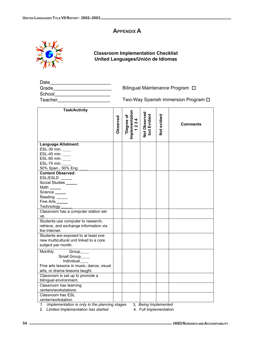# **APPENDIX A**



## **Classroom Implementation Checklist United Languages/Unión de Idiomas**

| Date   |  |  |
|--------|--|--|
| Grade  |  |  |
| School |  |  |
|        |  |  |

Bilingual Maintenance Program  $\Box$ 

Teacher\_\_\_\_\_\_\_\_\_\_\_\_\_\_\_\_\_\_\_\_ Two-Way Spanish Immersion Program

| <b>Language Allotment:</b><br>ESL-30 min. ____<br>ESL-45 min.<br>ESL-60 min.                       |  |
|----------------------------------------------------------------------------------------------------|--|
|                                                                                                    |  |
|                                                                                                    |  |
|                                                                                                    |  |
|                                                                                                    |  |
| ESL-75 min.                                                                                        |  |
| 50% Span., 50% Eng.                                                                                |  |
| <b>Content Observed:</b>                                                                           |  |
| ESL/ESLD<br>Social Studies _____                                                                   |  |
| Math $\frac{1}{2}$                                                                                 |  |
| Science                                                                                            |  |
| Reading _____                                                                                      |  |
| Fine Arts _____                                                                                    |  |
| Technology _____                                                                                   |  |
| Classroom has a computer station set                                                               |  |
| up.                                                                                                |  |
| Students use computer to research,                                                                 |  |
| retrieve, and exchange information via                                                             |  |
| the Internet.                                                                                      |  |
| Students are exposed to at least one                                                               |  |
| new multicultural unit linked to a core                                                            |  |
| subject per month.                                                                                 |  |
| Monthly<br>Group <sub>____</sub>                                                                   |  |
| Small Group____                                                                                    |  |
| Individual                                                                                         |  |
| Fine arts lessons in music, dance, visual                                                          |  |
| arts, or drama lessons taught.                                                                     |  |
| Classroom is set up to promote a                                                                   |  |
| bilingual environment.                                                                             |  |
| Classroom has learning                                                                             |  |
| centers/workstations.                                                                              |  |
| Classroom has ESL                                                                                  |  |
| center/workstation.<br>Implementation is only in the planning stages<br>3. Being Implemented<br>1. |  |

2. *Limited Implementation has started* 4. *Full Implementation*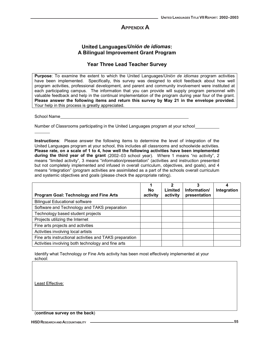## **APPENDIX A**

## **United Languages/***Unión de idiomas***: A Bilingual Improvement Grant Program**

## **Year Three Lead Teacher Survey**

**Purpose**: To examine the extent to which the United Languages/*Unión de idiomas* program activities have been implemented. Specifically, this survey was designed to elicit feedback about how well program activities, professional development, and parent and community involvement were instituted at each participating campus. The information that you can provide will supply program personnel with valuable feedback and help in the continual implementation of the program during year four of the grant. **Please answer the following items and return this survey by May 21 in the envelope provided.** Your help in this process is greatly appreciated.

School Name

Number of Classrooms participating in the United Languages program at your school

**Instructions**: Please answer the following items to determine the level of integration of the United Languages program at your school, this includes all classrooms and schoolwide activities. **Please rate, on a scale of 1 to 4, how well the following activities have been implemented during the third year of the grant** (2002–03 school year). Where 1 means "no activity", 2 means "limited activity", 3 means "information/presentation" (activities and instruction presented but not completely implemented and infused in overall curriculum, objectives, and goals), and 4 means "integration" (program activities are assimilated as a part of the schools overall curriculum and systemic objectives and goals (please check the appropriate rating).

| <b>Program Goal: Technology and Fine Arts</b>           | 1<br>No<br>activity | 2<br>Limited<br>activity | 3<br>Information/<br>presentation | 4<br>Integration |
|---------------------------------------------------------|---------------------|--------------------------|-----------------------------------|------------------|
| <b>Bilingual Educational software</b>                   |                     |                          |                                   |                  |
| Software and Technology and TAKS preparation            |                     |                          |                                   |                  |
| Technology based student projects                       |                     |                          |                                   |                  |
| Projects utilizing the Internet                         |                     |                          |                                   |                  |
| Fine arts projects and activities                       |                     |                          |                                   |                  |
| Activities involving local artists                      |                     |                          |                                   |                  |
| Fine arts instructional activities and TAKS preparation |                     |                          |                                   |                  |
| Activities involving both technology and fine arts      |                     |                          |                                   |                  |

Identify what Technology or Fine Arts activity has been most effectively implemented at your school:

Least Effective:

(**continue survey on the back**)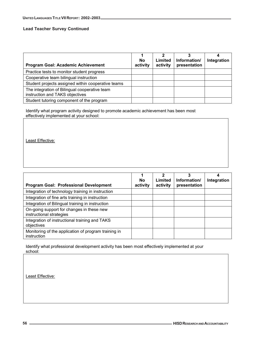#### **Lead Teacher Survey Continued**

| Program Goal: Academic Achievement                                               | <b>No</b><br>activity | Limited<br>activity | Information/<br>presentation | Integration |
|----------------------------------------------------------------------------------|-----------------------|---------------------|------------------------------|-------------|
| Practice tests to monitor student progress                                       |                       |                     |                              |             |
| Cooperative team bilingual instruction                                           |                       |                     |                              |             |
| Student projects assigned within cooperative teams                               |                       |                     |                              |             |
| The integration of Bilingual cooperative team<br>instruction and TAKS objectives |                       |                     |                              |             |
| Student tutoring component of the program                                        |                       |                     |                              |             |

Identify what program activity designed to promote academic achievement has been most effectively implemented at your school:

Least Effective:

| <b>Program Goal: Professional Development</b>                         | <b>No</b><br>activity | Limited<br>activity | Information/<br>presentation | Integration |
|-----------------------------------------------------------------------|-----------------------|---------------------|------------------------------|-------------|
| Integration of technology training in instruction                     |                       |                     |                              |             |
| Integration of fine arts training in instruction                      |                       |                     |                              |             |
| Integration of Bilingual training in instruction                      |                       |                     |                              |             |
| On-going support for changes in these new<br>instructional strategies |                       |                     |                              |             |
| Integration of instructional training and TAKS<br>objectives          |                       |                     |                              |             |
| Monitoring of the application of program training in<br>instruction   |                       |                     |                              |             |

Identify what professional development activity has been most effectively implemented at your school:

Least Effective: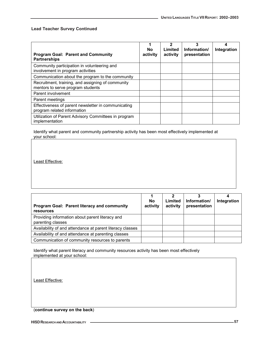#### **Lead Teacher Survey Continued**

| <b>Program Goal: Parent and Community</b><br><b>Partnerships</b>                       | <b>No</b><br>activity | 2<br>Limited<br>activity | 3<br>Information/<br>presentation | Integration |
|----------------------------------------------------------------------------------------|-----------------------|--------------------------|-----------------------------------|-------------|
| Community participation in volunteering and<br>involvement in program activities       |                       |                          |                                   |             |
| Communication about the program to the community                                       |                       |                          |                                   |             |
| Recruitment, training, and assigning of community<br>mentors to serve program students |                       |                          |                                   |             |
| Parent involvement                                                                     |                       |                          |                                   |             |
| Parent meetings                                                                        |                       |                          |                                   |             |
| Effectiveness of parent newsletter in communicating<br>program related information     |                       |                          |                                   |             |
| Utilization of Parent Advisory Committees in program<br>implementation                 |                       |                          |                                   |             |

Identify what parent and community partnership activity has been most effectively implemented at your school:

Least Effective:

| <b>Program Goal: Parent literacy and community</b><br>resources      | No<br>activity | Limited<br>activity | Information/<br>presentation | Integration |
|----------------------------------------------------------------------|----------------|---------------------|------------------------------|-------------|
| Providing information about parent literacy and<br>parenting classes |                |                     |                              |             |
| Availability of and attendance at parent literacy classes            |                |                     |                              |             |
| Availability of and attendance at parenting classes                  |                |                     |                              |             |
| Communication of community resources to parents                      |                |                     |                              |             |

Identify what parent literacy and community resources activity has been most effectively implemented at your school:

Least Effective:

(**continue survey on the back**)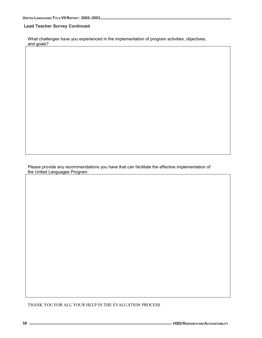#### **Lead Teacher Survey Continued**

What challenges have you experienced in the implementation of program activities, objectives, and goals?

Please provide any recommendations you have that can facilitate the effective implementation of the United Languages Program.

THANK YOU FOR ALL YOUR HELP IN THE EVALUATION PROCESS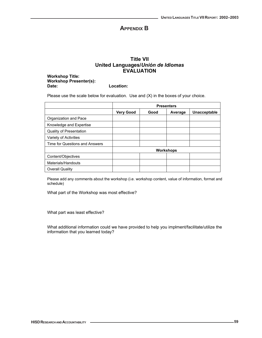## **APPENDIX B**

## **Title VII United Languages/***Unión de Idiomas* **EVALUATION**

**Workshop Title: Workshop Presenter(s): Date: Location:**

Please use the scale below for evaluation. Use and (X) in the boxes of your choice.

|                                | <b>Presenters</b> |      |                  |              |  |  |  |  |  |
|--------------------------------|-------------------|------|------------------|--------------|--|--|--|--|--|
|                                | <b>Very Good</b>  | Good | Average          | Unacceptable |  |  |  |  |  |
| Organization and Pace          |                   |      |                  |              |  |  |  |  |  |
| Knowledge and Expertise        |                   |      |                  |              |  |  |  |  |  |
| <b>Quality of Presentation</b> |                   |      |                  |              |  |  |  |  |  |
| Variety of Activities          |                   |      |                  |              |  |  |  |  |  |
| Time for Questions and Answers |                   |      |                  |              |  |  |  |  |  |
|                                |                   |      | <b>Workshops</b> |              |  |  |  |  |  |
| Content/Objectives             |                   |      |                  |              |  |  |  |  |  |
| Materials/Handouts             |                   |      |                  |              |  |  |  |  |  |
| Overall Quality                |                   |      |                  |              |  |  |  |  |  |

Please add any comments about the workshop (i.e. workshop content, value of information, format and schedule)

What part of the Workshop was most effective?

What part was least effective?

What additional information could we have provided to help you implment/facilitate/utilize the information that you learned today?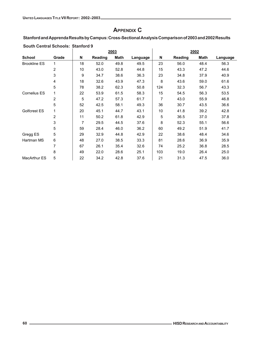## **APPENDIX C**

## **Stanford and Apprenda Results by Campus: Cross-Sectional Analysis Comparison of 2003 and 2002 Results**

|                     |                |    | 2003    |             |          |     |         | 2002        |          |
|---------------------|----------------|----|---------|-------------|----------|-----|---------|-------------|----------|
| <b>School</b>       | Grade          | N  | Reading | <b>Math</b> | Language | N   | Reading | <b>Math</b> | Language |
| <b>Brookline ES</b> | 1              | 18 | 52.0    | 49.8        | 49.5     | 23  | 56.0    | 48.4        | 56.3     |
|                     | $\overline{2}$ | 10 | 43.0    | 52.8        | 44.8     | 15  | 43.3    | 47.2        | 44.6     |
|                     | 3              | 9  | 34.7    | 38.6        | 36.3     | 23  | 34.8    | 37.9        | 40.9     |
|                     | 4              | 18 | 32.6    | 43.9        | 47.3     | 8   | 43.6    | 59.0        | 61.6     |
|                     | 5              | 78 | 38.2    | 62.3        | 50.8     | 124 | 32.3    | 56.7        | 43.3     |
| <b>Cornelius ES</b> | 1              | 22 | 53.9    | 61.5        | 58.3     | 15  | 54.5    | 56.3        | 53.5     |
|                     | 2              | 5  | 47.2    | 57.3        | 61.7     | 7   | 43.0    | 55.9        | 46.8     |
|                     | 5              | 52 | 42.5    | 58.1        | 49.3     | 36  | 30.7    | 43.5        | 36.6     |
| Golfcrest ES        | 1              | 20 | 45.1    | 44.7        | 43.1     | 10  | 41.8    | 39.2        | 42.8     |
|                     | 2              | 11 | 50.2    | 61.8        | 42.9     | 5   | 36.5    | 37.0        | 37.8     |
|                     | 3              | 7  | 29.5    | 44.5        | 37.6     | 8   | 52.3    | 55.1        | 56.6     |
|                     | 5              | 59 | 28.4    | 46.0        | 36.2     | 60  | 49.2    | 51.9        | 41.7     |
| Gregg ES            | 5              | 29 | 32.9    | 44.8        | 42.9     | 22  | 38.6    | 48.4        | 34.6     |
| Hartman MS          | 6              | 48 | 27.0    | 38.5        | 33.3     | 81  | 28.6    | 36.9        | 35.9     |
|                     | 7              | 67 | 26.1    | 35.4        | 32.6     | 74  | 25.2    | 36.8        | 28.5     |
|                     | 8              | 49 | 22.0    | 28.6        | 25.1     | 103 | 19.0    | 26.4        | 25.0     |
| <b>MacArthur ES</b> | 5              | 22 | 34.2    | 42.8        | 37.6     | 21  | 31.3    | 47.5        | 36.0     |

#### **South Central Schools: Stanford 9**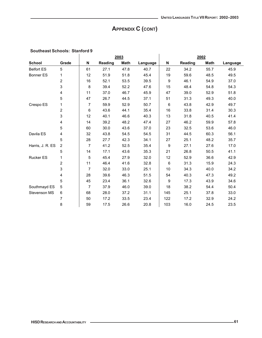# **APPENDIX C (CONT)**

|                   |                         |    |         | 2003        |          |     | 2002    |             |          |  |
|-------------------|-------------------------|----|---------|-------------|----------|-----|---------|-------------|----------|--|
| <b>School</b>     | Grade                   | N  | Reading | <b>Math</b> | Language | N   | Reading | <b>Math</b> | Language |  |
| <b>Belfort ES</b> | 5                       | 61 | 27.1    | 47.8        | 40.7     | 22  | 34.2    | 55.7        | 45.9     |  |
| Bonner ES         | 1                       | 12 | 51.9    | 51.8        | 45.4     | 19  | 59.6    | 48.5        | 49.5     |  |
|                   | $\overline{2}$          | 16 | 52.1    | 53.5        | 39.5     | 9   | 46.1    | 54.9        | 37.0     |  |
|                   | 3                       | 8  | 39.4    | 52.2        | 47.6     | 15  | 48.4    | 54.8        | 54.3     |  |
|                   | 4                       | 11 | 37.0    | 46.7        | 45.9     | 47  | 39.0    | 52.9        | 51.8     |  |
|                   | 5                       | 47 | 26.7    | 44.5        | 37.1     | 51  | 31.3    | 49.3        | 40.0     |  |
| Crespo ES         | $\mathbf{1}$            | 7  | 59.9    | 52.9        | 50.7     | 6   | 43.8    | 42.9        | 49.7     |  |
|                   | $\overline{c}$          | 6  | 43.6    | 44.1        | 35.4     | 16  | 33.8    | 31.4        | 30.3     |  |
|                   | 3                       | 12 | 40.1    | 46.6        | 40.3     | 13  | 31.8    | 40.5        | 41.4     |  |
|                   | 4                       | 14 | 39.2    | 48.2        | 47.4     | 27  | 46.2    | 59.9        | 57.8     |  |
|                   | 5                       | 60 | 30.0    | 43.6        | 37.0     | 23  | 32.5    | 53.6        | 46.0     |  |
| Davila ES         | 4                       | 32 | 43.8    | 54.5        | 54.5     | 31  | 44.5    | 60.3        | 56.1     |  |
|                   | 5                       | 28 | 27.7    | 42.3        | 34.1     | 27  | 25.1    | 48.2        | 35.7     |  |
| Harris, J. R. ES  | $\overline{2}$          | 7  | 41.2    | 52.5        | 35.4     | 9   | 27.1    | 27.6        | 17.0     |  |
|                   | 5                       | 14 | 17.1    | 43.6        | 35.3     | 21  | 26.8    | 50.5        | 41.1     |  |
| <b>Rucker ES</b>  | 1                       | 5  | 45.4    | 27.9        | 32.0     | 12  | 52.9    | 36.6        | 42.9     |  |
|                   | $\overline{\mathbf{c}}$ | 11 | 46.4    | 41.6        | 32.8     | 6   | 31.3    | 15.9        | 24.3     |  |
|                   | 3                       | 7  | 32.0    | 33.0        | 25.1     | 10  | 34.3    | 40.0        | 34.2     |  |
|                   | 4                       | 28 | 39.6    | 46.3        | 51.5     | 54  | 40.3    | 47.3        | 49.2     |  |
|                   | 5                       | 45 | 23.4    | 36.1        | 32.6     | 9   | 17.3    | 43.9        | 34.6     |  |
| Southmayd ES      | 5                       | 7  | 37.9    | 46.0        | 39.0     | 18  | 38.2    | 54.4        | 50.4     |  |
| Stevenson MS      | 6                       | 68 | 28.0    | 37.2        | 31.1     | 145 | 25.1    | 37.8        | 33.0     |  |
|                   | 7                       | 50 | 17.2    | 33.5        | 23.4     | 122 | 17.2    | 32.9        | 24.2     |  |
|                   | 8                       | 59 | 17.5    | 26.6        | 20.8     | 103 | 16.0    | 24.5        | 23.5     |  |

#### **Southeast Schools: Stanford 9**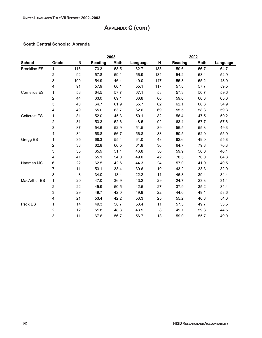# **APPENDIX C (CONT)**

## **South Central Schools: Aprenda**

|                     |                |     |                | 2003        |          |     |                | 2002        |          |  |  |
|---------------------|----------------|-----|----------------|-------------|----------|-----|----------------|-------------|----------|--|--|
| <b>School</b>       | Grade          | N   | <b>Reading</b> | <b>Math</b> | Language | N   | <b>Reading</b> | <b>Math</b> | Language |  |  |
| <b>Brookline ES</b> | $\mathbf{1}$   | 116 | 73.3           | 58.5        | 62.7     | 135 | 59.6           | 56.7        | 64.7     |  |  |
|                     | $\overline{c}$ | 92  | 57.8           | 59.1        | 56.9     | 134 | 54.2           | 53.4        | 52.9     |  |  |
|                     | 3              | 100 | 54.9           | 46.4        | 49.0     | 147 | 55.3           | 55.2        | 48.0     |  |  |
|                     | 4              | 91  | 57.9           | 60.1        | 55.1     | 117 | 57.8           | 57.7        | 59.5     |  |  |
| <b>Cornelius ES</b> | 1              | 53  | 64.5           | 57.7        | 67.1     | 58  | 57.3           | 50.7        | 59.6     |  |  |
|                     | 2              | 44  | 63.0           | 69.1        | 66.8     | 60  | 59.0           | 60.3        | 65.6     |  |  |
|                     | 3              | 40  | 64.7           | 61.9        | 55.7     | 62  | 62.1           | 66.3        | 54.9     |  |  |
|                     | 4              | 49  | 55.0           | 63.7        | 62.6     | 69  | 55.5           | 58.3        | 59.3     |  |  |
| Golfcrest ES        | 1              | 81  | 52.0           | 45.3        | 50.1     | 82  | 56.4           | 47.5        | 50.2     |  |  |
|                     | $\overline{2}$ | 81  | 53.3           | 52.6        | 48.5     | 92  | 63.4           | 57.7        | 57.6     |  |  |
|                     | 3              | 87  | 54.6           | 52.9        | 51.5     | 89  | 56.5           | 55.3        | 49.3     |  |  |
|                     | 4              | 84  | 58.8           | 56.7        | 56.8     | 83  | 50.5           | 52.0        | 55.9     |  |  |
| Gregg ES            | 1              | 35  | 68.3           | 55.4        | 61.0     | 43  | 62.6           | 49.0        | 55.8     |  |  |
|                     | $\overline{2}$ | 33  | 62.8           | 66.5        | 61.8     | 36  | 64.7           | 79.8        | 70.3     |  |  |
|                     | 3              | 35  | 65.9           | 51.1        | 46.8     | 56  | 59.9           | 56.0        | 46.1     |  |  |
|                     | 4              | 41  | 55.1           | 54.0        | 49.0     | 42  | 78.5           | 70.0        | 64.8     |  |  |
| Hartman MS          | 6              | 22  | 62.5           | 42.6        | 44.3     | 24  | 57.0           | 41.9        | 40.5     |  |  |
|                     | $\overline{7}$ | 11  | 53.1           | 33.4        | 39.6     | 10  | 43.2           | 33.3        | 32.0     |  |  |
|                     | 8              | 8   | 34.0           | 18.4        | 22.2     | 11  | 46.8           | 39.4        | 34.4     |  |  |
| <b>MacArthur ES</b> | 1              | 20  | 47.0           | 36.9        | 43.2     | 29  | 24.7           | 23.3        | 31.4     |  |  |
|                     | 2              | 22  | 45.9           | 50.5        | 42.5     | 27  | 37.9           | 35.2        | 34.4     |  |  |
|                     | 3              | 29  | 49.7           | 42.0        | 49.9     | 22  | 44.0           | 49.1        | 53.6     |  |  |
|                     | 4              | 21  | 53.4           | 42.2        | 53.3     | 25  | 55.2           | 46.8        | 54.0     |  |  |
| Peck ES             | 1              | 14  | 49.3           | 56.7        | 53.4     | 11  | 57.5           | 49.7        | 53.5     |  |  |
|                     | $\overline{2}$ | 12  | 51.8           | 48.3        | 43.5     | 8   | 49.7           | 59.3        | 44.5     |  |  |
|                     | 3              | 11  | 67.6           | 56.7        | 56.7     | 13  | 59.0           | 55.7        | 49.0     |  |  |